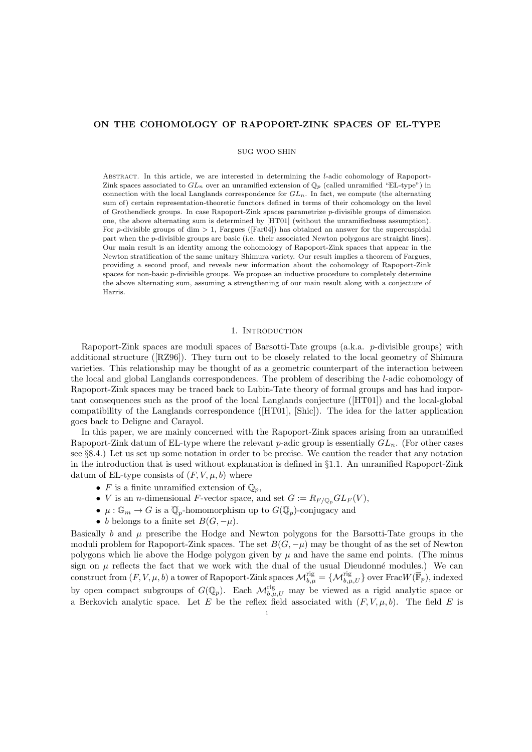# ON THE COHOMOLOGY OF RAPOPORT-ZINK SPACES OF EL-TYPE

SUG WOO SHIN

Abstract. In this article, we are interested in determining the l-adic cohomology of Rapoport-Zink spaces associated to  $GL_n$  over an unramified extension of  $\mathbb{Q}_p$  (called unramified "EL-type") in connection with the local Langlands correspondence for  $GL_n$ . In fact, we compute (the alternating sum of) certain representation-theoretic functors defined in terms of their cohomology on the level of Grothendieck groups. In case Rapoport-Zink spaces parametrize p-divisible groups of dimension one, the above alternating sum is determined by [HT01] (without the unramifiedness assumption). For p-divisible groups of dim  $> 1$ , Fargues ([Far04]) has obtained an answer for the supercuspidal part when the p-divisible groups are basic (i.e. their associated Newton polygons are straight lines). Our main result is an identity among the cohomology of Rapoport-Zink spaces that appear in the Newton stratification of the same unitary Shimura variety. Our result implies a theorem of Fargues, providing a second proof, and reveals new information about the cohomology of Rapoport-Zink spaces for non-basic p-divisible groups. We propose an inductive procedure to completely determine the above alternating sum, assuming a strengthening of our main result along with a conjecture of Harris.

# 1. INTRODUCTION

Rapoport-Zink spaces are moduli spaces of Barsotti-Tate groups  $(a.k.a. \ p\text{-divisible groups})$  with additional structure ([RZ96]). They turn out to be closely related to the local geometry of Shimura varieties. This relationship may be thought of as a geometric counterpart of the interaction between the local and global Langlands correspondences. The problem of describing the l-adic cohomology of Rapoport-Zink spaces may be traced back to Lubin-Tate theory of formal groups and has had important consequences such as the proof of the local Langlands conjecture ([HT01]) and the local-global compatibility of the Langlands correspondence ([HT01], [Shic]). The idea for the latter application goes back to Deligne and Carayol.

In this paper, we are mainly concerned with the Rapoport-Zink spaces arising from an unramified Rapoport-Zink datum of EL-type where the relevant p-adic group is essentially  $GL_n$ . (For other cases see §8.4.) Let us set up some notation in order to be precise. We caution the reader that any notation in the introduction that is used without explanation is defined in §1.1. An unramified Rapoport-Zink datum of EL-type consists of  $(F, V, \mu, b)$  where

- F is a finite unramified extension of  $\mathbb{Q}_p$ ,
- *V* is an *n*-dimensional *F*-vector space, and set  $G := R_{F/\mathbb{Q}_p} GL_F(V)$ ,
- $\mu: \mathbb{G}_m \to G$  is a  $\overline{\mathbb{Q}}_p$ -homomorphism up to  $G(\overline{\mathbb{Q}}_p)$ -conjugacy and
- b belongs to a finite set  $B(G, -\mu)$ .

Basically b and  $\mu$  prescribe the Hodge and Newton polygons for the Barsotti-Tate groups in the moduli problem for Rapoport-Zink spaces. The set  $B(G, -\mu)$  may be thought of as the set of Newton polygons which lie above the Hodge polygon given by  $\mu$  and have the same end points. (The minus sign on  $\mu$  reflects the fact that we work with the dual of the usual Dieudonné modules.) We can construct from  $(F, V, \mu, b)$  a tower of Rapoport-Zink spaces  $\mathcal{M}_{b,\mu}^{\text{rig}} = \{ \mathcal{M}_{b,\mu,U}^{\text{rig}} \}$  over Frac $W(\overline{\mathbb{F}}_p)$ , indexed by open compact subgroups of  $G(\mathbb{Q}_p)$ . Each  $\mathcal{M}_{b,\mu,U}^{rig}$  may be viewed as a rigid analytic space or a Berkovich analytic space. Let E be the reflex field associated with  $(F, V, \mu, b)$ . The field E is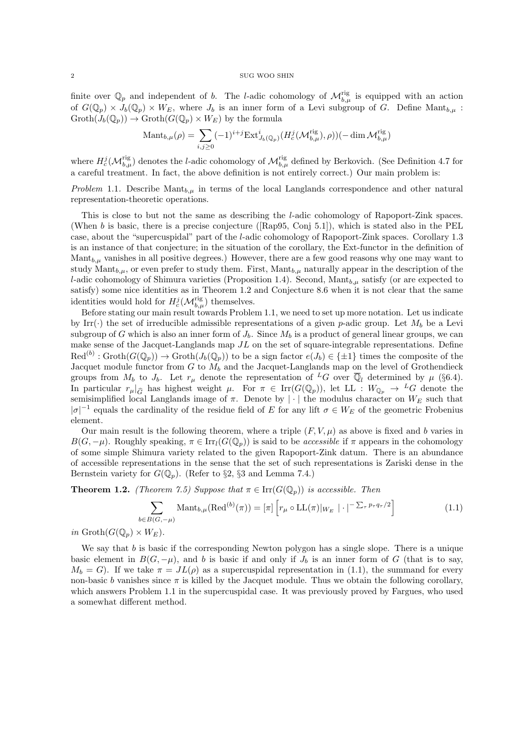finite over  $\mathbb{Q}_p$  and independent of b. The l-adic cohomology of  $\mathcal{M}_{b,\mu}^{rig}$  is equipped with an action of  $G(\mathbb{Q}_p) \times J_b(\mathbb{Q}_p) \times W_E$ , where  $J_b$  is an inner form of a Levi subgroup of G. Define Mant<sub>b,u</sub>:  $\mathrm{Groth}(J_b(\mathbb{Q}_p)) \to \mathrm{Groth}(G(\mathbb{Q}_p) \times W_E)$  by the formula

$$
\mathrm{Mant}_{b,\mu}(\rho) = \sum_{i,j\geq 0} (-1)^{i+j} \mathrm{Ext}^i_{J_b(\mathbb{Q}_p)}(H_c^j(\mathcal{M}_{b,\mu}^{\mathrm{rig}}), \rho))(-\dim \mathcal{M}_{b,\mu}^{\mathrm{rig}})
$$

where  $H_c^j(\mathcal{M}_{b,\mu}^{rig})$  denotes the *l*-adic cohomology of  $\mathcal{M}_{b,\mu}^{rig}$  defined by Berkovich. (See Definition 4.7 for a careful treatment. In fact, the above definition is not entirely correct.) Our main problem is:

Problem 1.1. Describe  $\text{Mant}_{b,\mu}$  in terms of the local Langlands correspondence and other natural representation-theoretic operations.

This is close to but not the same as describing the l-adic cohomology of Rapoport-Zink spaces. (When  $b$  is basic, there is a precise conjecture ([Rap95, Conj 5.1]), which is stated also in the PEL case, about the "supercuspidal" part of the l-adic cohomology of Rapoport-Zink spaces. Corollary 1.3 is an instance of that conjecture; in the situation of the corollary, the Ext-functor in the definition of Mant $_{b,\mu}$  vanishes in all positive degrees.) However, there are a few good reasons why one may want to study Mant $_{b,\mu}$ , or even prefer to study them. First, Mant $_{b,\mu}$  naturally appear in the description of the l-adic cohomology of Shimura varieties (Proposition 1.4). Second,  $\text{Mant}_{b,\mu}$  satisfy (or are expected to satisfy) some nice identities as in Theorem 1.2 and Conjecture 8.6 when it is not clear that the same identities would hold for  $H_c^j(\mathcal{M}_{b,\mu}^{\text{rig}})$  themselves.

Before stating our main result towards Problem 1.1, we need to set up more notation. Let us indicate by Irr( $\cdot$ ) the set of irreducible admissible representations of a given p-adic group. Let  $M_h$  be a Levi subgroup of G which is also an inner form of  $J<sub>b</sub>$ . Since  $M<sub>b</sub>$  is a product of general linear groups, we can make sense of the Jacquet-Langlands map  $JL$  on the set of square-integrable representations. Define  $\text{Red}^{(b)}: \text{Groth}(G(\mathbb{Q}_p)) \to \text{Groth}(J_b(\mathbb{Q}_p))$  to be a sign factor  $e(J_b) \in \{\pm 1\}$  times the composite of the Jacquet module functor from  $G$  to  $M_b$  and the Jacquet-Langlands map on the level of Grothendieck groups from  $M_b$  to  $J_b$ . Let  $r_\mu$  denote the representation of <sup>L</sup>G over  $\overline{\mathbb{Q}}_l$  determined by  $\mu$  (§6.4). In particular  $r_{\mu}|_{\widehat{G}}$  has highest weight  $\mu$ . For  $\pi \in \text{Irr}(G(\mathbb{Q}_p))$ , let LL :  $W_{\mathbb{Q}_p} \to {}^L G$  denote the semisimplified local Langlands image of  $\pi$ . Denote by  $|\cdot|$  the modulus character on  $W_E$  such that  $|\sigma|^{-1}$  equals the cardinality of the residue field of E for any lift  $\sigma \in W_E$  of the geometric Frobenius element.

Our main result is the following theorem, where a triple  $(F, V, \mu)$  as above is fixed and b varies in  $B(G, -\mu)$ . Roughly speaking,  $\pi \in \text{Irr}_l(G(\mathbb{Q}_p))$  is said to be *accessible* if  $\pi$  appears in the cohomology of some simple Shimura variety related to the given Rapoport-Zink datum. There is an abundance of accessible representations in the sense that the set of such representations is Zariski dense in the Bernstein variety for  $G(\mathbb{Q}_p)$ . (Refer to §2, §3 and Lemma 7.4.)

**Theorem 1.2.** (Theorem 7.5) Suppose that  $\pi \in \text{Irr}(G(\mathbb{Q}_p))$  is accessible. Then

$$
\sum_{B(G,-\mu)} \text{Mant}_{b,\mu}(\text{Red}^{(b)}(\pi)) = [\pi] \left[ r_{\mu} \circ \text{LL}(\pi) |_{W_E} | \cdot |^{-\sum_{\tau} p_{\tau} q_{\tau}/2} \right]
$$
(1.1)

in  $\operatorname{Groth}(G(\mathbb{Q}_p)\times W_E)$ .

 $b \in$ 

We say that b is basic if the corresponding Newton polygon has a single slope. There is a unique basic element in  $B(G, -\mu)$ , and b is basic if and only if  $J_b$  is an inner form of G (that is to say,  $M_b = G$ ). If we take  $\pi = JL(\rho)$  as a supercuspidal representation in (1.1), the summand for every non-basic b vanishes since  $\pi$  is killed by the Jacquet module. Thus we obtain the following corollary, which answers Problem 1.1 in the supercuspidal case. It was previously proved by Fargues, who used a somewhat different method.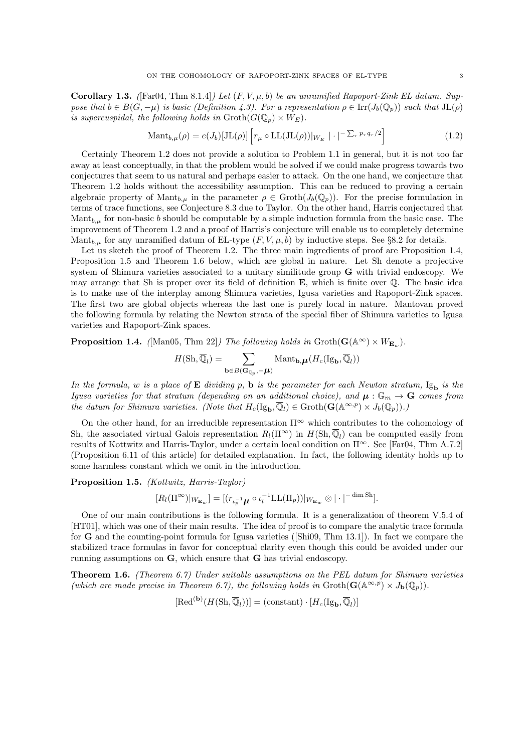**Corollary 1.3.** ([Far04, Thm 8.1.4]) Let  $(F, V, \mu, b)$  be an unramified Rapoport-Zink EL datum. Suppose that  $b \in B(G, -\mu)$  is basic (Definition 4.3). For a representation  $\rho \in \text{Irr}(J_b(\mathbb{Q}_p))$  such that  $JL(\rho)$ is supercuspidal, the following holds in  $\mathrm{Groth}(G(\mathbb{Q}_p) \times W_E)$ .

$$
\text{Mant}_{b,\mu}(\rho) = e(J_b)[\text{JL}(\rho)] \left[ r_{\mu} \circ \text{LL}(\text{JL}(\rho)) |_{W_E} \right] \cdot \left| \cdot \right|^{-\sum_{\tau} p_{\tau} q_{\tau}/2} \right]
$$
(1.2)

Certainly Theorem 1.2 does not provide a solution to Problem 1.1 in general, but it is not too far away at least conceptually, in that the problem would be solved if we could make progress towards two conjectures that seem to us natural and perhaps easier to attack. On the one hand, we conjecture that Theorem 1.2 holds without the accessibility assumption. This can be reduced to proving a certain algebraic property of  $\mathrm{Mant}_{b,\mu}$  in the parameter  $\rho \in \mathrm{Groth}(J_b(\mathbb{Q}_p))$ . For the precise formulation in terms of trace functions, see Conjecture 8.3 due to Taylor. On the other hand, Harris conjectured that Mant<sub>b, $\mu$ </sub> for non-basic b should be computable by a simple induction formula from the basic case. The improvement of Theorem 1.2 and a proof of Harris's conjecture will enable us to completely determine Mant<sub>b,</sub> $\mu$  for any unramified datum of EL-type  $(F, V, \mu, b)$  by inductive steps. See §8.2 for details.

Let us sketch the proof of Theorem 1.2. The three main ingredients of proof are Proposition 1.4, Proposition 1.5 and Theorem 1.6 below, which are global in nature. Let Sh denote a projective system of Shimura varieties associated to a unitary similitude group G with trivial endoscopy. We may arrange that Sh is proper over its field of definition  $\mathbf{E}$ , which is finite over  $\mathbb{Q}$ . The basic idea is to make use of the interplay among Shimura varieties, Igusa varieties and Rapoport-Zink spaces. The first two are global objects whereas the last one is purely local in nature. Mantovan proved the following formula by relating the Newton strata of the special fiber of Shimura varieties to Igusa varieties and Rapoport-Zink spaces.

**Proposition 1.4.** ([Man05, Thm 22]) The following holds in  $\text{Groth}(\mathbf{G}(\mathbb{A}^{\infty}) \times W_{\mathbf{E}_{nn}})$ .

$$
H(\mathrm{Sh}, \overline{\mathbb{Q}}_l) = \sum_{\mathbf{b} \in B(\mathbf{G}_{\mathbb{Q}_p}, -\boldsymbol{\mu})} \mathrm{Mant}_{\mathbf{b}, \boldsymbol{\mu}}(H_c(\mathrm{Ig}_{\mathbf{b}}, \overline{\mathbb{Q}}_l))
$$

In the formula, w is a place of  $E$  dividing p, b is the parameter for each Newton stratum,  $I_{S<sub>b</sub>}$  is the Igusa varieties for that stratum (depending on an additional choice), and  $\mu: \mathbb{G}_m \to \mathbf{G}$  comes from the datum for Shimura varieties. (Note that  $H_c(\mathrm{Ig}_{\mathbf{b}}, \overline{\mathbb{Q}}_l) \in \mathrm{Groth}(\mathbf{G}(\mathbb{A}^{\infty, p}) \times J_b(\mathbb{Q}_p)).$ )

On the other hand, for an irreducible representation  $\Pi^{\infty}$  which contributes to the cohomology of Sh, the associated virtual Galois representation  $R_l(\Pi^\infty)$  in  $H(\text{Sh}, \overline{\mathbb{Q}}_l)$  can be computed easily from results of Kottwitz and Harris-Taylor, under a certain local condition on Π<sup>∞</sup>. See [Far04, Thm A.7.2] (Proposition 6.11 of this article) for detailed explanation. In fact, the following identity holds up to some harmless constant which we omit in the introduction.

Proposition 1.5. (Kottwitz, Harris-Taylor)

$$
[R_l(\Pi^\infty)|_{W_{\mathbf{E}_w}}] = [(r_{\iota_p^{-1}}\mu \circ \iota_l^{-1} \mathrm{LL}(\Pi_p))|_{W_{\mathbf{E}_w}} \otimes |\cdot|^{-\dim \mathrm{Sh}}].
$$

One of our main contributions is the following formula. It is a generalization of theorem V.5.4 of [HT01], which was one of their main results. The idea of proof is to compare the analytic trace formula for G and the counting-point formula for Igusa varieties ([Shi09, Thm 13.1]). In fact we compare the stabilized trace formulas in favor for conceptual clarity even though this could be avoided under our running assumptions on G, which ensure that G has trivial endoscopy.

**Theorem 1.6.** (Theorem 6.7) Under suitable assumptions on the PEL datum for Shimura varieties (which are made precise in Theorem 6.7), the following holds in  $\text{Groth}(\mathbf{G}(\mathbb{A}^{\infty,p}) \times J_{\mathbf{b}}(\mathbb{Q}_p)).$ 

 $[\text{Red}^{(\mathbf{b})}(H(\text{Sh},\overline{\mathbb{Q}}_l))] = (\text{constant}) \cdot [H_c(\text{Ig}_{\mathbf{b}},\overline{\mathbb{Q}}_l)]$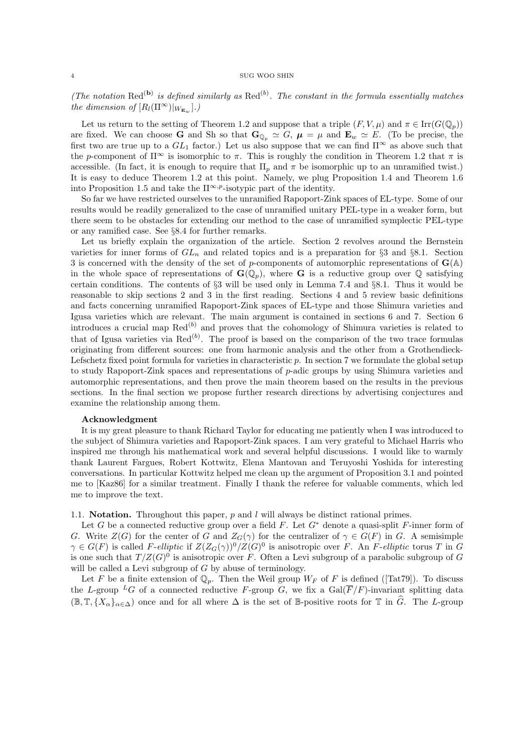(The notation Red<sup>(b)</sup> is defined similarly as Red<sup>(b)</sup>. The constant in the formula essentially matches the dimension of  $[R_l(\Pi^\infty)|_{W_{\mathbf{E}_w}}]$ .

Let us return to the setting of Theorem 1.2 and suppose that a triple  $(F, V, \mu)$  and  $\pi \in \text{Irr}(G(\mathbb{Q}_p))$ are fixed. We can choose G and Sh so that  $G_{\mathbb{Q}_p} \simeq G$ ,  $\mu = \mu$  and  $\mathbf{E}_w \simeq E$ . (To be precise, the first two are true up to a  $GL_1$  factor.) Let us also suppose that we can find  $\Pi^{\infty}$  as above such that the p-component of  $\Pi^{\infty}$  is isomorphic to  $\pi$ . This is roughly the condition in Theorem 1.2 that  $\pi$  is accessible. (In fact, it is enough to require that  $\Pi_p$  and  $\pi$  be isomorphic up to an unramified twist.) It is easy to deduce Theorem 1.2 at this point. Namely, we plug Proposition 1.4 and Theorem 1.6 into Proposition 1.5 and take the  $\Pi^{\infty,p}$ -isotypic part of the identity.

So far we have restricted ourselves to the unramified Rapoport-Zink spaces of EL-type. Some of our results would be readily generalized to the case of unramified unitary PEL-type in a weaker form, but there seem to be obstacles for extending our method to the case of unramified symplectic PEL-type or any ramified case. See §8.4 for further remarks.

Let us briefly explain the organization of the article. Section 2 revolves around the Bernstein varieties for inner forms of  $GL_n$  and related topics and is a preparation for §3 and §8.1. Section 3 is concerned with the density of the set of p-components of automorphic representations of  $\mathbf{G}(\mathbb{A})$ in the whole space of representations of  $\mathbf{G}(\mathbb{Q}_p)$ , where G is a reductive group over  $\mathbb Q$  satisfying certain conditions. The contents of §3 will be used only in Lemma 7.4 and §8.1. Thus it would be reasonable to skip sections 2 and 3 in the first reading. Sections 4 and 5 review basic definitions and facts concerning unramified Rapoport-Zink spaces of EL-type and those Shimura varieties and Igusa varieties which are relevant. The main argument is contained in sections 6 and 7. Section 6 introduces a crucial map  $\text{Red}^{(b)}$  and proves that the cohomology of Shimura varieties is related to that of Igusa varieties via  $\text{Red}^{(b)}$ . The proof is based on the comparison of the two trace formulas originating from different sources: one from harmonic analysis and the other from a Grothendieck-Lefschetz fixed point formula for varieties in characteristic  $p$ . In section 7 we formulate the global setup to study Rapoport-Zink spaces and representations of  $p$ -adic groups by using Shimura varieties and automorphic representations, and then prove the main theorem based on the results in the previous sections. In the final section we propose further research directions by advertising conjectures and examine the relationship among them.

### Acknowledgment

It is my great pleasure to thank Richard Taylor for educating me patiently when I was introduced to the subject of Shimura varieties and Rapoport-Zink spaces. I am very grateful to Michael Harris who inspired me through his mathematical work and several helpful discussions. I would like to warmly thank Laurent Fargues, Robert Kottwitz, Elena Mantovan and Teruyoshi Yoshida for interesting conversations. In particular Kottwitz helped me clean up the argument of Proposition 3.1 and pointed me to [Kaz86] for a similar treatment. Finally I thank the referee for valuable comments, which led me to improve the text.

1.1. **Notation.** Throughout this paper,  $p$  and  $l$  will always be distinct rational primes.

Let G be a connected reductive group over a field F. Let  $G^*$  denote a quasi-split F-inner form of G. Write  $Z(G)$  for the center of G and  $Z_G(\gamma)$  for the centralizer of  $\gamma \in G(F)$  in G. A semisimple  $\gamma \in G(F)$  is called F-elliptic if  $Z(Z_G(\gamma))^0/Z(G)^0$  is anisotropic over F. An F-elliptic torus T in G is one such that  $T/Z(G)^0$  is anisotropic over F. Often a Levi subgroup of a parabolic subgroup of G will be called a Levi subgroup of G by abuse of terminology.

Let F be a finite extension of  $\mathbb{Q}_p$ . Then the Weil group  $W_F$  of F is defined ([Tat79]). To discuss the L-group <sup>L</sup>G of a connected reductive F-group G, we fix a  $Gal(\overline{F}/F)$ -invariant splitting data  $(\mathbb{B}, \mathbb{T}, \{X_{\alpha}\}_{{\alpha\in\Delta}})$  once and for all where  $\Delta$  is the set of B-positive roots for T in  $\widehat{G}$ . The L-group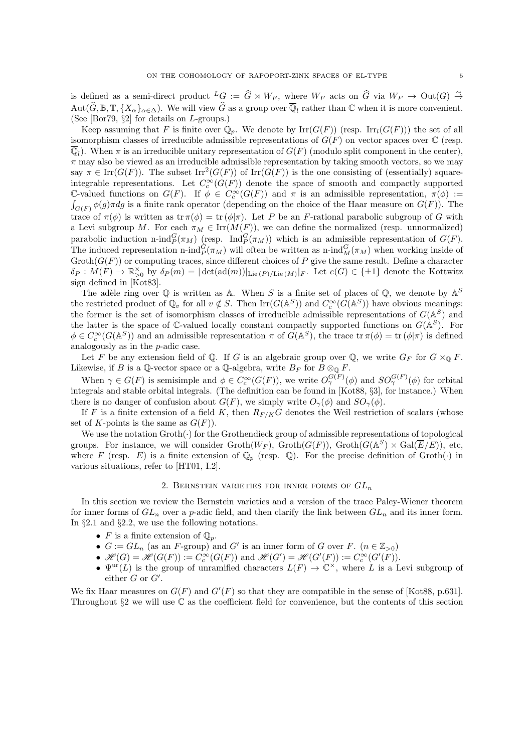is defined as a semi-direct product  ${}^L G := \hat{G} \rtimes W_F$ , where  $W_F$  acts on  $\hat{G}$  via  $W_F \to \text{Out}(G) \stackrel{\sim}{\to}$  $\text{Aut}(\widehat{G}, \mathbb{B}, \mathbb{T}, \{X_{\alpha}\}_{{\alpha \in \Delta}})$ . We will view  $\widehat{G}$  as a group over  $\overline{\mathbb{Q}}_l$  rather than  $\mathbb C$  when it is more convenient. (See [Bor79, §2] for details on L-groups.)

Keep assuming that F is finite over  $\mathbb{Q}_p$ . We denote by  $\mathrm{Irr}(G(F))$  (resp.  $\mathrm{Irr}_l(G(F))$ ) the set of all isomorphism classes of irreducible admissible representations of  $G(F)$  on vector spaces over  $\mathbb C$  (resp.  $\overline{\mathbb{Q}}_l$ ). When  $\pi$  is an irreducible unitary representation of  $G(F)$  (modulo split component in the center),  $\pi$  may also be viewed as an irreducible admissible representation by taking smooth vectors, so we may say  $\pi \in \text{Irr}(G(F))$ . The subset  $\text{Irr}^2(G(F))$  of  $\text{Irr}(G(F))$  is the one consisting of (essentially) squareintegrable representations. Let  $C_c^{\infty}(G(F))$  denote the space of smooth and compactly supported C-valued functions on  $G(F)$ . If  $\phi \in C_c^{\infty}(G(F))$  and  $\pi$  is an admissible representation,  $\pi(\phi)$  :=  $\int_{G(F)} \phi(g) \pi dg$  is a finite rank operator (depending on the choice of the Haar measure on  $G(F)$ ). The trace of  $\pi(\phi)$  is written as tr  $\pi(\phi) = \text{tr}(\phi|\pi)$ . Let P be an F-rational parabolic subgroup of G with a Levi subgroup M. For each  $\pi_M \in \text{Irr}(M(F))$ , we can define the normalized (resp. unnormalized) parabolic induction n-ind $_P^G(\pi_M)$  (resp. Ind $_P^G(\pi_M)$ ) which is an admissible representation of  $G(F)$ . The induced representation n-ind $_P^G(\pi_M)$  will often be written as n-ind $_M^G(\pi_M)$  when working inside of  $\operatorname{Groth}(G(F))$  or computing traces, since different choices of P give the same result. Define a character  $\delta_P: M(F) \to \mathbb{R}_{\geq 0}^\times$  by  $\delta_P(m) = |\det(\text{ad}(m))|_{\text{Lie}(P)/\text{Lie}(M)}|_F$ . Let  $e(G) \in \{\pm 1\}$  denote the Kottwitz sign defined in [Kot83].

The adèle ring over  $\mathbb Q$  is written as A. When S is a finite set of places of  $\mathbb Q$ , we denote by  $\mathbb A^S$ the restricted product of  $\mathbb{Q}_v$  for all  $v \notin S$ . Then  $\text{Irr}(G(\mathbb{A}^S))$  and  $C_c^{\infty}(G(\mathbb{A}^S))$  have obvious meanings: the former is the set of isomorphism classes of irreducible admissible representations of  $G(A<sup>S</sup>)$  and the latter is the space of C-valued locally constant compactly supported functions on  $G(\mathbb{A}^S)$ . For  $\phi \in C_c^{\infty}(G(\mathbb{A}^S))$  and an admissible representation  $\pi$  of  $G(\mathbb{A}^S)$ , the trace  $\operatorname{tr} \pi(\phi) = \operatorname{tr} (\phi|\pi)$  is defined analogously as in the p-adic case.

Let F be any extension field of Q. If G is an algebraic group over Q, we write  $G_F$  for  $G \times_{\mathbb{Q}} F$ . Likewise, if B is a Q-vector space or a Q-algebra, write  $B_F$  for  $B \otimes_{\mathbb{Q}} F$ .

When  $\gamma \in G(F)$  is semisimple and  $\phi \in C_c^{\infty}(G(F))$ , we write  $O_{\gamma}^{G(F)}(\phi)$  and  $SO_{\gamma}^{G(F)}(\phi)$  for orbital integrals and stable orbital integrals. (The definition can be found in [Kot88, §3], for instance.) When there is no danger of confusion about  $G(F)$ , we simply write  $O_{\gamma}(\phi)$  and  $SO_{\gamma}(\phi)$ .

If F is a finite extension of a field K, then  $R_{F/K}G$  denotes the Weil restriction of scalars (whose set of K-points is the same as  $G(F)$ .

We use the notation Groth(·) for the Grothendieck group of admissible representations of topological groups. For instance, we will consider  $\operatorname{Groth}(W_F)$ ,  $\operatorname{Groth}(G(F))$ ,  $\operatorname{Groth}(G(\mathbb{A}^S) \times \operatorname{Gal}(\overline{E}/E))$ , etc, where F (resp. E) is a finite extension of  $\mathbb{Q}_p$  (resp.  $\mathbb{Q}$ ). For the precise definition of Groth( $\cdot$ ) in various situations, refer to [HT01, I.2].

## 2. BERNSTEIN VARIETIES FOR INNER FORMS OF  $GL_n$

In this section we review the Bernstein varieties and a version of the trace Paley-Wiener theorem for inner forms of  $GL_n$  over a p-adic field, and then clarify the link between  $GL_n$  and its inner form. In §2.1 and §2.2, we use the following notations.

- F is a finite extension of  $\mathbb{Q}_n$ .
- $G := GL_n$  (as an F-group) and G' is an inner form of G over F.  $(n \in \mathbb{Z}_{>0})$
- $\mathcal{H}(G) = \mathcal{H}(G(F)) := C_c^{\infty}(G(F))$  and  $\mathcal{H}(G') = \mathcal{H}(G'(F)) := C_c^{\infty}(G'(F)).$
- $\Psi^{\text{ur}}(L)$  is the group of unramified characters  $L(F) \to \mathbb{C}^{\times}$ , where L is a Levi subgroup of either  $G$  or  $G'$ .

We fix Haar measures on  $G(F)$  and  $G'(F)$  so that they are compatible in the sense of [Kot88, p.631]. Throughout  $\S2$  we will use  $\mathbb C$  as the coefficient field for convenience, but the contents of this section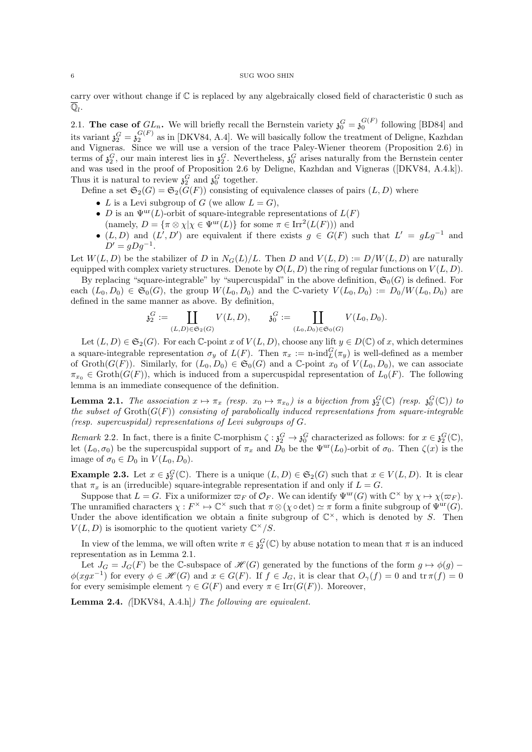carry over without change if C is replaced by any algebraically closed field of characteristic 0 such as  $\overline{\mathbb{Q}}_l$  .

2.1. The case of  $GL_n$ . We will briefly recall the Bernstein variety  $\mathfrak{z}_0^G = \mathfrak{z}_0^{G(F)}$  following [BD84] and its variant  $\mathfrak{z}_2^G = \mathfrak{z}_2^{G(F)}$  as in [DKV84, A.4]. We will basically follow the treatment of Deligne, Kazhdan and Vigneras. Since we will use a version of the trace Paley-Wiener theorem (Proposition 2.6) in terms of  $\mathfrak{z}_2^G$ , our main interest lies in  $\mathfrak{z}_2^G$ . Nevertheless,  $\mathfrak{z}_0^G$  arises naturally from the Bernstein center and was used in the proof of Proposition 2.6 by Deligne, Kazhdan and Vigneras ([DKV84, A.4.k]). Thus it is natural to review  $\mathfrak{z}_2^G$  and  $\mathfrak{z}_0^G$  together.

Define a set  $\mathfrak{S}_2(G) = \mathfrak{S}_2(G(F))$  consisting of equivalence classes of pairs  $(L, D)$  where

- L is a Levi subgroup of G (we allow  $L = G$ ),
- D is an  $\Psi^{\text{ur}}(L)$ -orbit of square-integrable representations of  $L(F)$
- (namely,  $D = {\pi \otimes \chi | \chi \in \Psi^{\text{ur}}(L)}$  for some  $\pi \in \text{Irr}^2(L(F))$ ) and
- $(L, D)$  and  $(L', D')$  are equivalent if there exists  $g \in G(F)$  such that  $L' = gLg^{-1}$  and  $D' = gDg^{-1}.$

Let  $W(L, D)$  be the stabilizer of D in  $N_G(L)/L$ . Then D and  $V(L, D) := D/W(L, D)$  are naturally equipped with complex variety structures. Denote by  $\mathcal{O}(L, D)$  the ring of regular functions on  $V(L, D)$ .

By replacing "square-integrable" by "supercuspidal" in the above definition,  $\mathfrak{S}_0(G)$  is defined. For each  $(L_0, D_0) \in \mathfrak{S}_0(G)$ , the group  $W(L_0, D_0)$  and the C-variety  $V(L_0, D_0) := D_0/W(L_0, D_0)$  are defined in the same manner as above. By definition,

$$
\mathfrak{z}_2^G := \coprod_{(L,D)\in \mathfrak{S}_2(G)} V(L,D), \qquad \mathfrak{z}_0^G := \coprod_{(L_0,D_0)\in \mathfrak{S}_0(G)} V(L_0,D_0).
$$

Let  $(L, D) \in \mathfrak{S}_2(G)$ . For each C-point x of  $V(L, D)$ , choose any lift  $y \in D(\mathbb{C})$  of x, which determines a square-integrable representation  $\sigma_y$  of  $L(F)$ . Then  $\pi_x := \text{n-ind}_L^G(\pi_y)$  is well-defined as a member of Groth $(G(F))$ . Similarly, for  $(L_0, D_0) \in \mathfrak{S}_0(G)$  and a C-point  $x_0$  of  $V(L_0, D_0)$ , we can associate  $\pi_{x_0} \in \text{Groth}(G(F))$ , which is induced from a supercuspidal representation of  $L_0(F)$ . The following lemma is an immediate consequence of the definition.

**Lemma 2.1.** The association  $x \mapsto \pi_x$  (resp.  $x_0 \mapsto \pi_{x_0}$ ) is a bijection from  $\mathfrak{z}_2^G(\mathbb{C})$  (resp.  $\mathfrak{z}_0^G(\mathbb{C})$ ) to the subset of  $\operatorname{Groth}(G(F))$  consisting of parabolically induced representations from square-integrable (resp. supercuspidal) representations of Levi subgroups of G.

Remark 2.2. In fact, there is a finite C-morphism  $\zeta : \mathfrak{z}_2^G \to \mathfrak{z}_0^G$  characterized as follows: for  $x \in \mathfrak{z}_2^G(\mathbb{C})$ , let  $(L_0, \sigma_0)$  be the supercuspidal support of  $\pi_x$  and  $D_0$  be the  $\Psi^{\text{ur}}(L_0)$ -orbit of  $\sigma_0$ . Then  $\zeta(x)$  is the image of  $\sigma_0 \in D_0$  in  $V(L_0, D_0)$ .

**Example 2.3.** Let  $x \in \mathfrak{z}_2^G(\mathbb{C})$ . There is a unique  $(L, D) \in \mathfrak{S}_2(G)$  such that  $x \in V(L, D)$ . It is clear that  $\pi_x$  is an (irreducible) square-integrable representation if and only if  $L = G$ .

Suppose that  $L = G$ . Fix a uniformizer  $\varpi_F$  of  $\mathcal{O}_F$ . We can identify  $\Psi^{\text{ur}}(G)$  with  $\mathbb{C}^\times$  by  $\chi \mapsto \chi(\varpi_F)$ . The unramified characters  $\chi : F^{\times} \to \mathbb{C}^{\times}$  such that  $\pi \otimes (\chi \circ \det) \simeq \pi$  form a finite subgroup of  $\Psi^{\text{ur}}(G)$ . Under the above identification we obtain a finite subgroup of  $\mathbb{C}^{\times}$ , which is denoted by S. Then  $V(L, D)$  is isomorphic to the quotient variety  $\mathbb{C}^{\times}/S$ .

In view of the lemma, we will often write  $\pi \in \mathfrak{z}_2^G(\mathbb{C})$  by abuse notation to mean that  $\pi$  is an induced representation as in Lemma 2.1.

Let  $J_G = J_G(F)$  be the C-subspace of  $\mathcal{H}(G)$  generated by the functions of the form  $g \mapsto \phi(g)$  –  $\phi(xgx^{-1})$  for every  $\phi \in \mathscr{H}(G)$  and  $x \in G(F)$ . If  $f \in J_G$ , it is clear that  $O_\gamma(f) = 0$  and  $\text{tr } \pi(f) = 0$ for every semisimple element  $\gamma \in G(F)$  and every  $\pi \in \text{Irr}(G(F))$ . Moreover,

Lemma 2.4. ([DKV84, A.4.h]) The following are equivalent.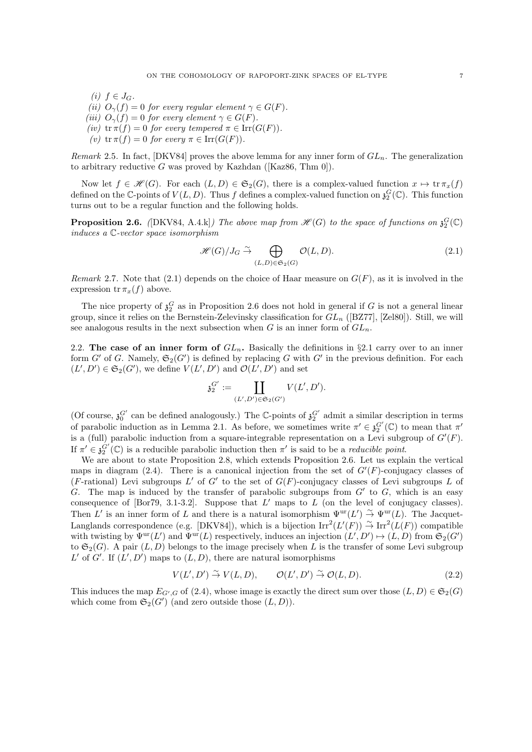- (i)  $f \in J_G$ .
- (ii)  $O_{\gamma}(f) = 0$  for every regular element  $\gamma \in G(F)$ .
- (iii)  $O_{\gamma}(f) = 0$  for every element  $\gamma \in G(F)$ .
- (iv)  $tr \pi(f) = 0$  for every tempered  $\pi \in \text{Irr}(G(F)).$
- (v)  $tr \pi(f) = 0$  for every  $\pi \in Irr(G(F)).$

Remark 2.5. In fact,  $[DKV84]$  proves the above lemma for any inner form of  $GL_n$ . The generalization to arbitrary reductive G was proved by Kazhdan ( $[Kaz86, Thm 0]$ ).

Now let  $f \in \mathscr{H}(G)$ . For each  $(L, D) \in \mathfrak{S}_2(G)$ , there is a complex-valued function  $x \mapsto \text{tr } \pi_x(f)$ defined on the C-points of  $V(L, D)$ . Thus f defines a complex-valued function on  $\mathfrak{z}_2^G(\mathbb{C})$ . This function turns out to be a regular function and the following holds.

**Proposition 2.6.** ([DKV84, A.4.k]) The above map from  $\mathscr{H}(G)$  to the space of functions on  $\mathfrak{z}_2^G(\mathbb{C})$ induces a C-vector space isomorphism

$$
\mathcal{H}(G)/J_G \stackrel{\sim}{\to} \bigoplus_{(L,D)\in\mathfrak{S}_2(G)} \mathcal{O}(L,D). \tag{2.1}
$$

Remark 2.7. Note that  $(2.1)$  depends on the choice of Haar measure on  $G(F)$ , as it is involved in the expression  $\operatorname{tr} \pi_x(f)$  above.

The nice property of  $\mathfrak{z}_2^G$  as in Proposition 2.6 does not hold in general if G is not a general linear group, since it relies on the Bernstein-Zelevinsky classification for  $GL_n$  ([BZ77], [Zel80]). Still, we will see analogous results in the next subsection when G is an inner form of  $GL_n$ .

2.2. The case of an inner form of  $GL_n$ . Basically the definitions in §2.1 carry over to an inner form  $G'$  of G. Namely,  $\mathfrak{S}_2(G')$  is defined by replacing G with  $G'$  in the previous definition. For each  $(L', D') \in \mathfrak{S}_2(G')$ , we define  $V(L', D')$  and  $\mathcal{O}(L', D')$  and set

$$
\mathfrak{z}_2^{G'}:=\coprod_{(L',D')\in\mathfrak{S}_2(G')}V(L',D').
$$

(Of course,  $\mathfrak{z}_0^{G'}$  can be defined analogously.) The C-points of  $\mathfrak{z}_2^{G'}$  admit a similar description in terms of parabolic induction as in Lemma 2.1. As before, we sometimes write  $\pi' \in \mathfrak{z}_2^{G'}(\mathbb{C})$  to mean that  $\pi'$ is a (full) parabolic induction from a square-integrable representation on a Levi subgroup of  $G'(F)$ . If  $\pi' \in \mathfrak{z}_2^{G'}(\mathbb{C})$  is a reducible parabolic induction then  $\pi'$  is said to be a *reducible point*.

We are about to state Proposition 2.8, which extends Proposition 2.6. Let us explain the vertical maps in diagram (2.4). There is a canonical injection from the set of  $G'(F)$ -conjugacy classes of (F-rational) Levi subgroups  $L'$  of  $G'$  to the set of  $G(F)$ -conjugacy classes of Levi subgroups  $L$  of G. The map is induced by the transfer of parabolic subgroups from  $G'$  to  $G$ , which is an easy consequence of [Bor79, 3.1-3.2]. Suppose that  $L'$  maps to  $L$  (on the level of conjugacy classes). Then L' is an inner form of L and there is a natural isomorphism  $\Psi^{\text{ur}}(L') \overset{\sim}{\to} \Psi^{\text{ur}}(L)$ . The Jacquet-Langlands correspondence (e.g. [DKV84]), which is a bijection  $\mathrm{Irr}^2(L'(F)) \overset{\sim}{\to} \mathrm{Irr}^2(L(F))$  compatible with twisting by  $\Psi^{\text{ur}}(L')$  and  $\Psi^{\text{ur}}(L)$  respectively, induces an injection  $(L', D') \mapsto (L, D)$  from  $\mathfrak{S}_2(G')$ to  $\mathfrak{S}_2(G)$ . A pair  $(L, D)$  belongs to the image precisely when L is the transfer of some Levi subgroup L' of G'. If  $(L', D')$  maps to  $(L, D)$ , there are natural isomorphisms

$$
V(L', D') \stackrel{\sim}{\to} V(L, D), \qquad \mathcal{O}(L', D') \stackrel{\sim}{\to} \mathcal{O}(L, D). \tag{2.2}
$$

This induces the map  $E_{G',G}$  of (2.4), whose image is exactly the direct sum over those  $(L, D) \in \mathfrak{S}_2(G)$ which come from  $\mathfrak{S}_2(G')$  (and zero outside those  $(L, D)$ ).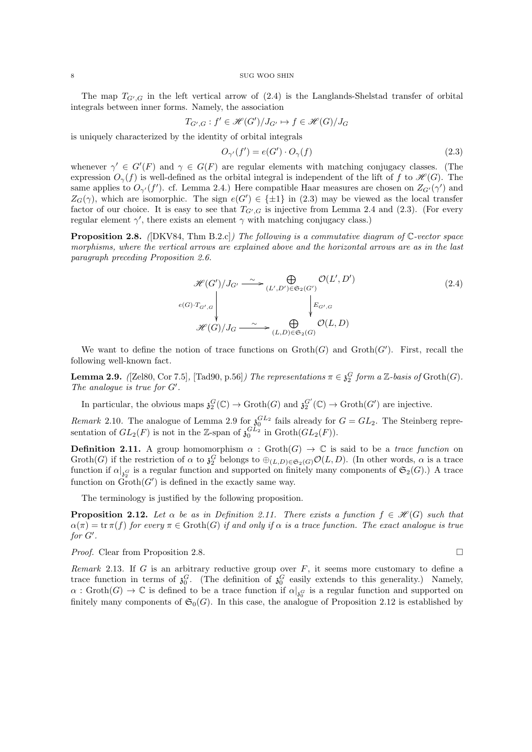The map  $T_{G',G}$  in the left vertical arrow of  $(2.4)$  is the Langlands-Shelstad transfer of orbital integrals between inner forms. Namely, the association

$$
T_{G',G}: f' \in \mathcal{H}(G')/J_{G'} \mapsto f \in \mathcal{H}(G)/J_G
$$

is uniquely characterized by the identity of orbital integrals

$$
O_{\gamma'}(f') = e(G') \cdot O_{\gamma}(f) \tag{2.3}
$$

whenever  $\gamma' \in G'(F)$  and  $\gamma \in G(F)$  are regular elements with matching conjugacy classes. (The expression  $O_{\gamma}(f)$  is well-defined as the orbital integral is independent of the lift of f to  $\mathcal{H}(G)$ . The same applies to  $O_{\gamma'}(f')$ . cf. Lemma 2.4.) Here compatible Haar measures are chosen on  $Z_{G'}(\gamma')$  and  $Z_G(\gamma)$ , which are isomorphic. The sign  $e(G') \in {\pm 1}$  in (2.3) may be viewed as the local transfer factor of our choice. It is easy to see that  $T_{G',G}$  is injective from Lemma 2.4 and (2.3). (For every regular element  $\gamma'$ , there exists an element  $\gamma$  with matching conjugacy class.)

**Proposition 2.8.** ([DKV84, Thm B.2.c]) The following is a commutative diagram of  $\mathbb{C}\text{-vector space}$ morphisms, where the vertical arrows are explained above and the horizontal arrows are as in the last paragraph preceding Proposition 2.6.

$$
\mathcal{H}(G')/J_{G'} \xrightarrow{\sim} \bigoplus_{(L',D') \in \mathfrak{S}_2(G')} \mathcal{O}(L',D')
$$
\n
$$
\downarrow e(G) \cdot T_{G',G} \qquad \qquad \downarrow e_{G'/G} \qquad \qquad \downarrow e_{G',G}
$$
\n
$$
\mathcal{H}(G)/J_G \xrightarrow{\sim} \bigoplus_{(L,D) \in \mathfrak{S}_2(G)} \mathcal{O}(L,D)
$$
\n
$$
(2.4)
$$

We want to define the notion of trace functions on  $\operatorname{Groth}(G)$  and  $\operatorname{Groth}(G')$ . First, recall the following well-known fact.

**Lemma 2.9.** ([Zel80, Cor 7.5], [Tad90, p.56]) The representations  $\pi \in \mathfrak{z}_2^G$  form a Z-basis of Groth(G). The analogue is true for  $G'$ .

In particular, the obvious maps  $\mathfrak{z}_2^G(\mathbb{C}) \to \text{Groth}(G)$  and  $\mathfrak{z}_2^{G'}(\mathbb{C}) \to \text{Groth}(G')$  are injective.

Remark 2.10. The analogue of Lemma 2.9 for  $\delta_0^{GL_2}$  fails already for  $G = GL_2$ . The Steinberg representation of  $GL_2(F)$  is not in the Z-span of  $\mathfrak{z}_0^{GL_2}$  in  $\text{Groth}(GL_2(F))$ .

**Definition 2.11.** A group homomorphism  $\alpha$ : Groth $(G) \rightarrow \mathbb{C}$  is said to be a *trace function* on  $\mathrm{Groth}(G)$  if the restriction of  $\alpha$  to  $\mathfrak{z}_2^G$  belongs to  $\oplus_{(L,D)\in\mathfrak{S}_2(G)}\mathcal{O}(L,D)$ . (In other words,  $\alpha$  is a trace function if  $\alpha|_{\mathfrak{z}_2^G}$  is a regular function and supported on finitely many components of  $\mathfrak{S}_2(G)$ .) A trace function on  $\text{Groth}(G')$  is defined in the exactly same way.

The terminology is justified by the following proposition.

**Proposition 2.12.** Let  $\alpha$  be as in Definition 2.11. There exists a function  $f \in \mathcal{H}(G)$  such that  $\alpha(\pi) = \text{tr}\,\pi(f)$  for every  $\pi \in \text{Groth}(G)$  if and only if  $\alpha$  is a trace function. The exact analogue is true for  $G'$ .

*Proof.* Clear from Proposition 2.8. □

Remark 2.13. If G is an arbitrary reductive group over  $F$ , it seems more customary to define a trace function in terms of  $\mathfrak{z}_0^G$ . (The definition of  $\mathfrak{z}_0^G$  easily extends to this generality.) Namely,  $\alpha$ : Groth $(G) \to \mathbb{C}$  is defined to be a trace function if  $\alpha|_{\mathfrak{z}_0^G}$  is a regular function and supported on finitely many components of  $\mathfrak{S}_0(G)$ . In this case, the analogue of Proposition 2.12 is established by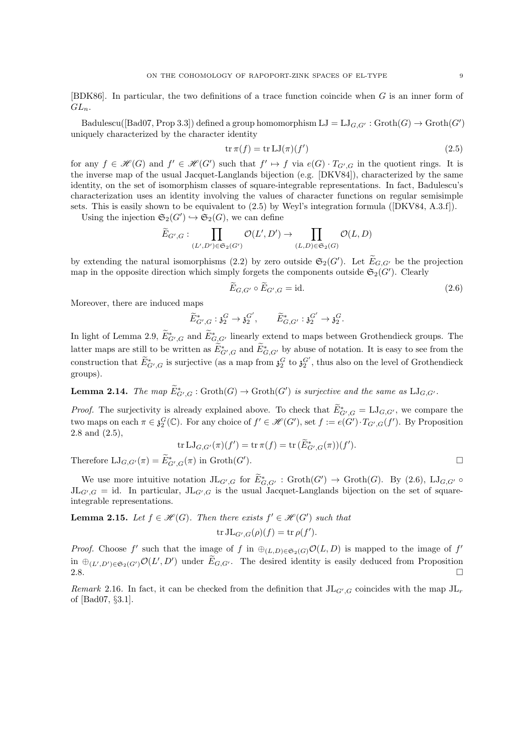[BDK86]. In particular, the two definitions of a trace function coincide when G is an inner form of  $GL_n$ .

Badulescu([Bad07, Prop 3.3]) defined a group homomorphism  $LJ = LJ_{G,G'} : \text{Groth}(G) \to \text{Groth}(G')$ uniquely characterized by the character identity

$$
\operatorname{tr} \pi(f) = \operatorname{tr} \operatorname{LJ}(\pi)(f') \tag{2.5}
$$

for any  $f \in \mathcal{H}(G)$  and  $f' \in \mathcal{H}(G')$  such that  $f' \mapsto f$  via  $e(G) \cdot T_{G',G}$  in the quotient rings. It is the inverse map of the usual Jacquet-Langlands bijection (e.g. [DKV84]), characterized by the same identity, on the set of isomorphism classes of square-integrable representations. In fact, Badulescu's characterization uses an identity involving the values of character functions on regular semisimple sets. This is easily shown to be equivalent to (2.5) by Weyl's integration formula ([DKV84, A.3.f]).

Using the injection  $\mathfrak{S}_2(G') \hookrightarrow \mathfrak{S}_2(G)$ , we can define

$$
\widetilde{E}_{G',G}: \prod_{(L',D') \in \mathfrak{S}_2(G')} \mathcal{O}(L',D') \to \prod_{(L,D) \in \mathfrak{S}_2(G)} \mathcal{O}(L,D)
$$

by extending the natural isomorphisms (2.2) by zero outside  $\mathfrak{S}_2(G')$ . Let  $\widetilde{E}_{G,G'}$  be the projection map in the opposite direction which simply forgets the components outside  $\mathfrak{S}_2(G')$ . Clearly

$$
E_{G,G'} \circ E_{G',G} = \text{id}.\tag{2.6}
$$

Moreover, there are induced maps

$$
\widetilde{E}^*_{G',G}: \mathfrak{z}_2^G \to \mathfrak{z}_2^{G'}, \qquad \widetilde{E}^*_{G,G'}: \mathfrak{z}_2^{G'} \to \mathfrak{z}_2^G.
$$

In light of Lemma 2.9,  $\tilde{E}_{G',G}^*$  and  $\tilde{E}_{G,G'}^*$  linearly extend to maps between Grothendieck groups. The latter maps are still to be written as  $\tilde{E}_{G',G}^*$  and  $\tilde{E}_{G,G'}^*$  by abuse of notation. It is easy to see from the construction that  $\widetilde{E}_{G',G}^*$  is surjective (as a map from  $\mathfrak{z}_2^G$  to  $\mathfrak{z}_2^{G'}$ , thus also on the level of Grothendieck groups).

**Lemma 2.14.** The map  $\widetilde{E}_{G',G}^*$ :  $\mathrm{Groth}(G) \to \mathrm{Groth}(G')$  is surjective and the same as  $\mathrm{LJ}_{G,G'}$ .

*Proof.* The surjectivity is already explained above. To check that  $\tilde{E}_{G',G}^* = \mathrm{LJ}_{G,G'}$ , we compare the two maps on each  $\pi \in \mathfrak{z}_2^G(\mathbb{C})$ . For any choice of  $f' \in \mathscr{H}(G')$ , set  $f := e(G') \cdot T_{G',G}(f')$ . By Proposition 2.8 and (2.5),

$$
\operatorname{tr} \mathrm{LJ}_{G,G'}(\pi)(f') = \operatorname{tr} \pi(f) = \operatorname{tr} (\widetilde{E}_{G',G}^*(\pi))(f').
$$

Therefore  $\mathrm{LJ}_{G,G'}(\pi) = \widetilde{E}_{G',G}^*(\pi)$  in  $\mathrm{Groth}(G')$ 

We use more intuitive notation  $JL_{G',G}$  for  $\tilde{E}_{G,G'}^*$ :  $\operatorname{Groth}(G') \to \operatorname{Groth}(G)$ . By (2.6),  $\operatorname{LJ}_{G,G'} \circ$  $JL_{G',G} = id$ . In particular,  $JL_{G',G}$  is the usual Jacquet-Langlands bijection on the set of squareintegrable representations.

**Lemma 2.15.** Let  $f \in \mathcal{H}(G)$ . Then there exists  $f' \in \mathcal{H}(G')$  such that

$$
\operatorname{tr} \mathrm{JL}_{G',G}(\rho)(f) = \operatorname{tr} \rho(f').
$$

*Proof.* Choose f' such that the image of f in  $\oplus_{(L,D)\in\mathfrak{S}_2(G)}\mathcal{O}(L,D)$  is mapped to the image of f' in  $\oplus_{(L',D')\in\mathfrak{S}_2(G')} \mathcal{O}(L',D')$  under  $\widetilde{E}_{G,G'}$ . The desired identity is easily deduced from Proposition 2.8.  $\Box$ 

Remark 2.16. In fact, it can be checked from the definition that  $J L_{G',G}$  coincides with the map  $J L_r$ of [Bad07, §3.1].

 $\Box$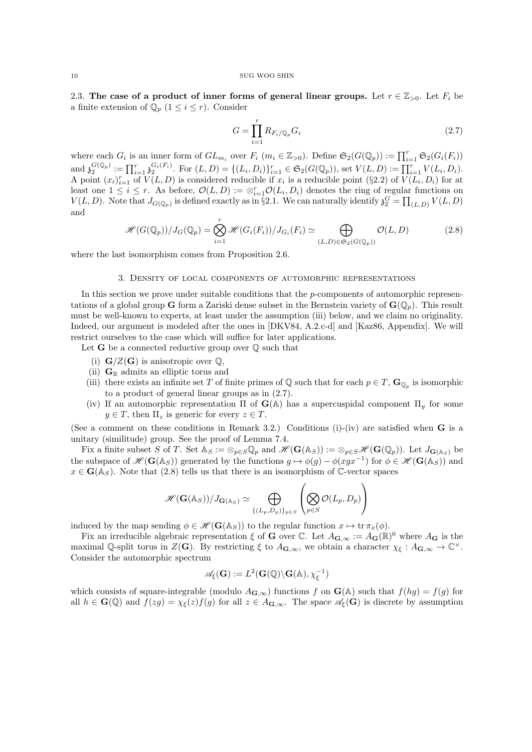2.3. The case of a product of inner forms of general linear groups. Let  $r \in \mathbb{Z}_{>0}$ . Let  $F_i$  be a finite extension of  $\mathbb{Q}_p$   $(1 \leq i \leq r)$ . Consider

$$
G = \prod_{i=1}^{r} R_{F_i/\mathbb{Q}_p} G_i \tag{2.7}
$$

where each  $G_i$  is an inner form of  $GL_{m_i}$  over  $F_i$   $(m_i \in \mathbb{Z}_{>0})$ . Define  $\mathfrak{S}_2(G(\mathbb{Q}_p)) := \prod_{i=1}^r \mathfrak{S}_2(G_i(F_i))$ and  $\mathfrak{z}_2^{G(\mathbb{Q}_p)} := \prod_{i=1}^r \mathfrak{z}_2^{G_i(F_i)}$ . For  $(L, D) = \{(L_i, D_i)\}_{i=1}^r \in \mathfrak{S}_2(G(\mathbb{Q}_p))$ , set  $V(L, D) := \prod_{i=1}^r V(L_i, D_i)$ . A point  $(x_i)_{i=1}^r$  of  $V(L, D)$  is considered reducible if  $x_i$  is a reducible point (§2.2) of  $V(L_i, D_i)$  for at least one  $1 \leq i \leq r$ . As before,  $\mathcal{O}(L, D) := \otimes_{i=1}^r \mathcal{O}(L_i, D_i)$  denotes the ring of regular functions on  $V(L, D)$ . Note that  $J_{G(\mathbb{Q}_p)}$  is defined exactly as in §2.1. We can naturally identify  $\mathfrak{z}_2^G = \prod_{(L, D)} V(L, D)$ and

$$
\mathcal{H}(G(\mathbb{Q}_p))/J_G(\mathbb{Q}_p) = \bigotimes_{i=1}^r \mathcal{H}(G_i(F_i))/J_{G_i}(F_i) \simeq \bigoplus_{(L,D)\in\mathfrak{S}_2(G(\mathbb{Q}_p))}\mathcal{O}(L,D) \tag{2.8}
$$

where the last isomorphism comes from Proposition 2.6.

## 3. Density of local components of automorphic representations

In this section we prove under suitable conditions that the p-components of automorphic representations of a global group G form a Zariski dense subset in the Bernstein variety of  $\mathbf{G}(\mathbb{Q}_p)$ . This result must be well-known to experts, at least under the assumption (iii) below, and we claim no originality. Indeed, our argument is modeled after the ones in [DKV84, A.2.c-d] and [Kaz86, Appendix]. We will restrict ourselves to the case which will suffice for later applications.

Let  $G$  be a connected reductive group over  $\mathbb Q$  such that

- (i)  $\mathbf{G}/Z(\mathbf{G})$  is anisotropic over  $\mathbb{Q}$ ,
- (ii)  $\mathbf{G}_{\mathbb{R}}$  admits an elliptic torus and
- (iii) there exists an infinite set T of finite primes of  $\mathbb Q$  such that for each  $p \in T$ ,  $\mathbf{G}_{\mathbb Q_p}$  is isomorphic to a product of general linear groups as in (2.7).
- (iv) If an automorphic representation  $\Pi$  of  $\mathbf{G}(\mathbb{A})$  has a supercuspidal component  $\Pi_y$  for some  $y \in T$ , then  $\Pi_z$  is generic for every  $z \in T$ .

(See a comment on these conditions in Remark 3.2.) Conditions (i)-(iv) are satisfied when  $\bf{G}$  is a unitary (similitude) group. See the proof of Lemma 7.4.

Fix a finite subset S of T. Set  $\mathbb{A}_S := \otimes_{p \in S} \mathbb{Q}_p$  and  $\mathscr{H}(\mathbf{G}(\mathbb{A}_S)) := \otimes_{p \in S} \mathscr{H}(\mathbf{G}(\mathbb{Q}_p))$ . Let  $J_{\mathbf{G}(\mathbb{A}_S)}$  be the subspace of  $\mathscr{H}(\mathbf{G}(\mathbb{A}_S))$  generated by the functions  $g \mapsto \phi(g) - \phi(xgx^{-1})$  for  $\phi \in \mathscr{H}(\mathbf{G}(\mathbb{A}_S))$  and  $x \in \mathbf{G}(\mathbb{A}_S)$ . Note that (2.8) tells us that there is an isomorphism of C-vector spaces

$$
\mathscr{H}(\mathbf{G}(\mathbb{A}_S))/J_{\mathbf{G}(\mathbb{A}_S)} \simeq \bigoplus_{\{(L_p,D_p)\}_{p\in S}} \left(\bigotimes_{p\in S} \mathcal{O}(L_p,D_p)\right)
$$

induced by the map sending  $\phi \in \mathscr{H}(\mathbf{G}(\mathbb{A}_S))$  to the regular function  $x \mapsto \text{tr } \pi_x(\phi)$ .

Fix an irreducible algebraic representation  $\xi$  of G over C. Let  $A_{\mathbf{G},\infty} := A_{\mathbf{G}}(\mathbb{R})^0$  where  $A_{\mathbf{G}}$  is the maximal Q-split torus in  $Z(G)$ . By restricting  $\xi$  to  $A_{\mathbf{G},\infty}$ , we obtain a character  $\chi_{\xi}: A_{\mathbf{G},\infty} \to \mathbb{C}^{\times}$ . Consider the automorphic spectrum

$$
\mathscr{A}_{\xi}(\mathbf{G}):=L^2(\mathbf{G}(\mathbb{Q})\backslash\mathbf{G}(\mathbb{A}),\chi_{\xi}^{-1})
$$

which consists of square-integrable (modulo  $A_{\mathbf{G},\infty}$ ) functions f on  $\mathbf{G}(\mathbb{A})$  such that  $f(hg) = f(g)$  for all  $h \in \mathbf{G}(\mathbb{Q})$  and  $f(zg) = \chi_{\xi}(z)f(g)$  for all  $z \in A_{\mathbf{G},\infty}$ . The space  $\mathscr{A}_{\xi}(\mathbf{G})$  is discrete by assumption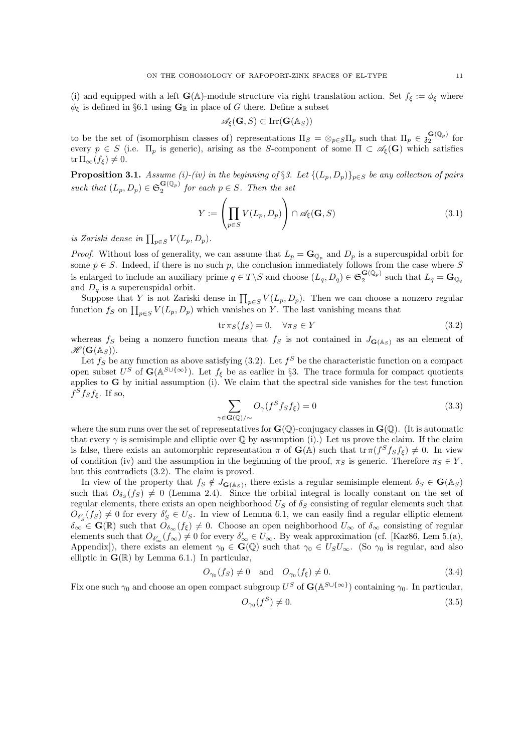(i) and equipped with a left  $\mathbf{G}(\mathbb{A})$ -module structure via right translation action. Set  $f_{\xi} := \phi_{\xi}$  where  $\phi_{\xi}$  is defined in §6.1 using  $\mathbf{G}_{\mathbb{R}}$  in place of G there. Define a subset

$$
\mathscr{A}_{\xi}(\mathbf{G},S) \subset \operatorname{Irr}(\mathbf{G}(\mathbb{A}_S))
$$

to be the set of (isomorphism classes of) representations  $\Pi_S = \otimes_{p \in S} \Pi_p$  such that  $\Pi_p \in \mathfrak{z}_2^{\mathbf{G}(\mathbb{Q}_p)}$  for every  $p \in S$  (i.e.  $\Pi_p$  is generic), arising as the S-component of some  $\Pi \subset \mathscr{A}_{\xi}(\mathbf{G})$  which satisfies  $tr \Pi_{\infty}(f_{\xi}) \neq 0.$ 

**Proposition 3.1.** Assume (i)-(iv) in the beginning of §3. Let  $\{(L_p, D_p)\}_{p\in S}$  be any collection of pairs such that  $(L_p, D_p) \in \mathfrak{S}_2^{\mathbf{G}(\mathbb{Q}_p)}$  for each  $p \in S$ . Then the set

$$
Y := \left(\prod_{p \in S} V(L_p, D_p)\right) \cap \mathscr{A}_{\xi}(\mathbf{G}, S)
$$
\n(3.1)

is Zariski dense in  $\prod_{p\in S} V(L_p, D_p)$ .

*Proof.* Without loss of generality, we can assume that  $L_p = \mathbf{G}_{\mathbb{Q}_p}$  and  $D_p$  is a supercuspidal orbit for some  $p \in S$ . Indeed, if there is no such p, the conclusion immediately follows from the case where S is enlarged to include an auxiliary prime  $q \in T \backslash S$  and choose  $(L_q, D_q) \in \mathfrak{S}_2^{\mathbf{G}(\mathbb{Q}_p)}$  such that  $L_q = \mathbf{G}_{\mathbb{Q}_q}$ and  $D_q$  is a supercuspidal orbit.

Suppose that Y is not Zariski dense in  $\prod_{p\in S} V(L_p, D_p)$ . Then we can choose a nonzero regular function  $f_S$  on  $\prod_{p\in S} V(L_p, D_p)$  which vanishes on Y. The last vanishing means that

$$
\operatorname{tr} \pi_S(f_S) = 0, \quad \forall \pi_S \in Y \tag{3.2}
$$

whereas  $f_S$  being a nonzero function means that  $f_S$  is not contained in  $J_{\mathbf{G}(\mathbb{A}_S)}$  as an element of  $\mathscr{H}(\mathbf{G}(\mathbb{A}_{S})).$ 

Let  $f_S$  be any function as above satisfying (3.2). Let  $f^S$  be the characteristic function on a compact open subset  $U^S$  of  $\mathbf{G}(\mathbb{A}^{S\cup\{\infty\}})$ . Let  $f_{\xi}$  be as earlier in §3. The trace formula for compact quotients applies to  $G$  by initial assumption (i). We claim that the spectral side vanishes for the test function  $f^S f_S f_{\xi}$ . If so,

$$
\sum_{\gamma \in \mathbf{G}(\mathbb{Q})/\sim} O_{\gamma}(f^S f_S f_{\xi}) = 0
$$
\n(3.3)

where the sum runs over the set of representatives for  $\mathbf{G}(\mathbb{Q})$ -conjugacy classes in  $\mathbf{G}(\mathbb{Q})$ . (It is automatic that every  $\gamma$  is semisimple and elliptic over  $\mathbb Q$  by assumption (i).) Let us prove the claim. If the claim is false, there exists an automorphic representation  $\pi$  of  $\mathbf{G}(\mathbb{A})$  such that  $\text{tr } \pi(f^S f_S f_{\xi}) \neq 0$ . In view of condition (iv) and the assumption in the beginning of the proof,  $\pi_S$  is generic. Therefore  $\pi_S \in Y$ , but this contradicts (3.2). The claim is proved.

In view of the property that  $f_S \notin J_{\mathbf{G}(\mathbb{A}_S)}$ , there exists a regular semisimple element  $\delta_S \in \mathbf{G}(\mathbb{A}_S)$ such that  $O_{\delta_S}(f_S) \neq 0$  (Lemma 2.4). Since the orbital integral is locally constant on the set of regular elements, there exists an open neighborhood  $U_S$  of  $\delta_S$  consisting of regular elements such that  $O_{\delta'_{S}}(f_S) \neq 0$  for every  $\delta'_{S} \in U_S$ . In view of Lemma 6.1, we can easily find a regular elliptic element  $\delta_{\infty} \in \mathbf{G}(\mathbb{R})$  such that  $O_{\delta_{\infty}}(f_{\xi}) \neq 0$ . Choose an open neighborhood  $U_{\infty}$  of  $\delta_{\infty}$  consisting of regular elements such that  $O_{\delta'_{\infty}}(f_{\infty}) \neq 0$  for every  $\delta'_{\infty} \in U_{\infty}$ . By weak approximation (cf. [Kaz86, Lem 5.(a), Appendix), there exists an element  $\gamma_0 \in \mathbf{G}(\mathbb{Q})$  such that  $\gamma_0 \in U_S U_\infty$ . (So  $\gamma_0$  is regular, and also elliptic in  $\mathbf{G}(\mathbb{R})$  by Lemma 6.1.) In particular,

$$
O_{\gamma_0}(f_S) \neq 0 \quad \text{and} \quad O_{\gamma_0}(f_{\xi}) \neq 0. \tag{3.4}
$$

Fix one such  $\gamma_0$  and choose an open compact subgroup  $U^S$  of  $\mathbf{G}(\mathbb{A}^{S\cup\{\infty\}})$  containing  $\gamma_0$ . In particular,

$$
O_{\gamma_0}(f^S) \neq 0. \tag{3.5}
$$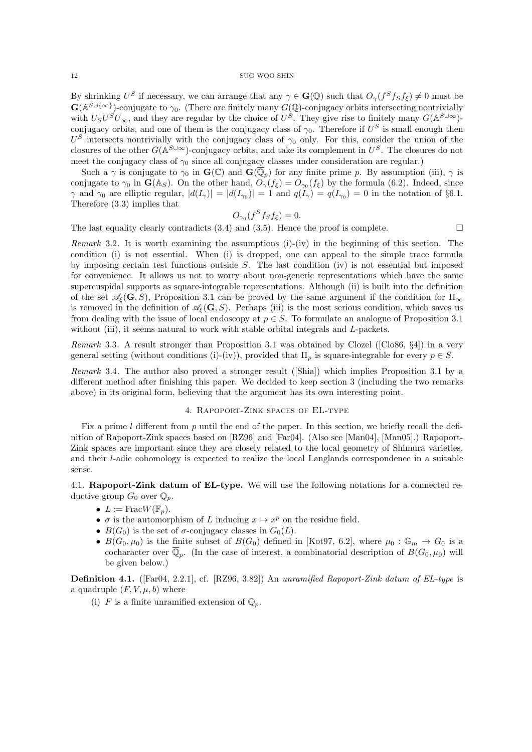By shrinking  $U^S$  if necessary, we can arrange that any  $\gamma \in \mathbf{G}(\mathbb{Q})$  such that  $O_\gamma(f^S f_S f_{\xi}) \neq 0$  must be  $\mathbf{G}(\mathbb{A}^{S\cup\{\infty\}})$ -conjugate to  $\gamma_0$ . (There are finitely many  $G(\mathbb{Q})$ -conjugacy orbits intersecting nontrivially with  $U_S U^S U_{\infty}$ , and they are regular by the choice of  $U^S$ . They give rise to finitely many  $G(A^{S \cup \infty})$ conjugacy orbits, and one of them is the conjugacy class of  $\gamma_0$ . Therefore if  $U^S$  is small enough then  $U^S$  intersects nontrivially with the conjugacy class of  $\gamma_0$  only. For this, consider the union of the closures of the other  $G(A^{S\cup\infty})$ -conjugacy orbits, and take its complement in  $U^S$ . The closures do not meet the conjugacy class of  $\gamma_0$  since all conjugacy classes under consideration are regular.)

Such a  $\gamma$  is conjugate to  $\gamma_0$  in  $\mathbf{G}(\mathbb{C})$  and  $\mathbf{G}(\overline{\mathbb{Q}}_p)$  for any finite prime p. By assumption (iii),  $\gamma$  is conjugate to  $\gamma_0$  in  $\mathbf{G}(\mathbb{A}_S)$ . On the other hand,  $O_\gamma(f_\xi) = O_{\gamma_0}(f_\xi)$  by the formula (6.2). Indeed, since  $\gamma$  and  $\gamma_0$  are elliptic regular,  $|d(I_{\gamma})| = |d(I_{\gamma_0})| = 1$  and  $q(I_{\gamma}) = q(I_{\gamma_0}) = 0$  in the notation of §6.1. Therefore (3.3) implies that

$$
O_{\gamma_0}(f^S f_S f_{\xi}) = 0.
$$

The last equality clearly contradicts (3.4) and (3.5). Hence the proof is complete.  $\square$ 

*Remark* 3.2. It is worth examining the assumptions  $(i)$ - $(iv)$  in the beginning of this section. The condition (i) is not essential. When (i) is dropped, one can appeal to the simple trace formula by imposing certain test functions outside  $S$ . The last condition (iv) is not essential but imposed for convenience. It allows us not to worry about non-generic representations which have the same supercuspidal supports as square-integrable representations. Although (ii) is built into the definition of the set  $\mathscr{A}_{\epsilon}(\mathbf{G}, S)$ , Proposition 3.1 can be proved by the same argument if the condition for  $\Pi_{\infty}$ is removed in the definition of  $\mathscr{A}_{\epsilon}(\mathbf{G}, S)$ . Perhaps (iii) is the most serious condition, which saves us from dealing with the issue of local endoscopy at  $p \in S$ . To formulate an analogue of Proposition 3.1 without (iii), it seems natural to work with stable orbital integrals and  $L$ -packets.

Remark 3.3. A result stronger than Proposition 3.1 was obtained by Clozel ([Clo86, §4]) in a very general setting (without conditions (i)-(iv)), provided that  $\Pi_p$  is square-integrable for every  $p \in S$ .

Remark 3.4. The author also proved a stronger result ([Shia]) which implies Proposition 3.1 by a different method after finishing this paper. We decided to keep section 3 (including the two remarks above) in its original form, believing that the argument has its own interesting point.

## 4. Rapoport-Zink spaces of EL-type

Fix a prime l different from p until the end of the paper. In this section, we briefly recall the definition of Rapoport-Zink spaces based on [RZ96] and [Far04]. (Also see [Man04], [Man05].) Rapoport-Zink spaces are important since they are closely related to the local geometry of Shimura varieties, and their l-adic cohomology is expected to realize the local Langlands correspondence in a suitable sense.

4.1. Rapoport-Zink datum of EL-type. We will use the following notations for a connected reductive group  $G_0$  over  $\mathbb{Q}_p$ .

- $L := \text{Frac }W(\overline{\mathbb{F}}_p).$
- $\sigma$  is the automorphism of L inducing  $x \mapsto x^p$  on the residue field.
- $B(G_0)$  is the set of  $\sigma$ -conjugacy classes in  $G_0(L)$ .
- $B(G_0, \mu_0)$  is the finite subset of  $B(G_0)$  defined in [Kot97, 6.2], where  $\mu_0 : \mathbb{G}_m \to G_0$  is a cocharacter over  $\overline{\mathbb{Q}}_p$ . (In the case of interest, a combinatorial description of  $B(G_0, \mu_0)$  will be given below.)

Definition 4.1. ([Far04, 2.2.1], cf. [RZ96, 3.82]) An unramified Rapoport-Zink datum of EL-type is a quadruple  $(F, V, \mu, b)$  where

(i) F is a finite unramified extension of  $\mathbb{O}_n$ .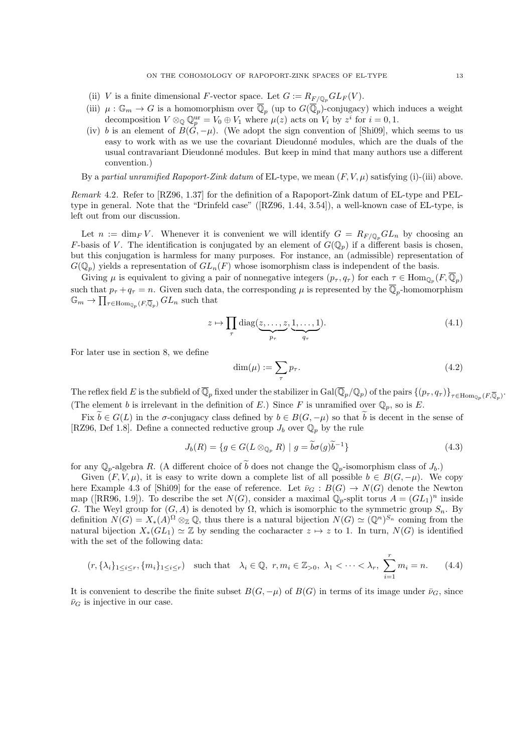- (ii) V is a finite dimensional F-vector space. Let  $G := R_{F/\mathbb{Q}_p} GL_F(V)$ .
- (iii)  $\mu: \mathbb{G}_m \to G$  is a homomorphism over  $\overline{\mathbb{Q}}_p$  (up to  $G(\overline{\mathbb{Q}}_p)$ -conjugacy) which induces a weight decomposition  $V \otimes_{\mathbb{Q}} \mathbb{Q}_p^{\text{ur}} = V_0 \oplus V_1$  where  $\mu(z)$  acts on  $V_i$  by  $z^i$  for  $i = 0, 1$ .
- (iv) b is an element of  $B(\hat{G}, -\mu)$ . (We adopt the sign convention of [Shi09], which seems to us easy to work with as we use the covariant Dieudonné modules, which are the duals of the usual contravariant Dieudonn´e modules. But keep in mind that many authors use a different convention.)

By a partial unramified Rapoport-Zink datum of EL-type, we mean  $(F, V, \mu)$  satisfying (i)-(iii) above.

Remark 4.2. Refer to [RZ96, 1.37] for the definition of a Rapoport-Zink datum of EL-type and PELtype in general. Note that the "Drinfeld case" ([RZ96, 1.44, 3.54]), a well-known case of EL-type, is left out from our discussion.

Let  $n := \dim_F V$ . Whenever it is convenient we will identify  $G = R_{F/\mathbb{Q}_n} GL_n$  by choosing an F-basis of V. The identification is conjugated by an element of  $G(\mathbb{Q}_p)$  if a different basis is chosen, but this conjugation is harmless for many purposes. For instance, an (admissible) representation of  $G(\mathbb{Q}_p)$  yields a representation of  $GL_n(F)$  whose isomorphism class is independent of the basis.

Giving  $\mu$  is equivalent to giving a pair of nonnegative integers  $(p_{\tau}, q_{\tau})$  for each  $\tau \in \text{Hom}_{\mathbb{Q}_p}(F, \overline{\mathbb{Q}}_p)$ such that  $p_{\tau} + q_{\tau} = n$ . Given such data, the corresponding  $\mu$  is represented by the  $\overline{\mathbb{Q}}_p$ -homomorphism  $\mathbb{G}_m \to \prod_{\tau \in \text{Hom}_{\mathbb{Q}_p}(F,\overline{\mathbb{Q}}_p)} GL_n$  such that

$$
z \mapsto \prod_{\tau} \text{diag}(\underbrace{z, \dots, z}_{p_{\tau}}, \underbrace{1, \dots, 1}_{q_{\tau}}). \tag{4.1}
$$

For later use in section 8, we define

$$
\dim(\mu) := \sum_{\tau} p_{\tau}.\tag{4.2}
$$

The reflex field E is the subfield of  $\overline{\mathbb{Q}}_p$  fixed under the stabilizer in  $\text{Gal}(\overline{\mathbb{Q}}_p/\mathbb{Q}_p)$  of the pairs  $\{(p_\tau, q_\tau)\}_{\tau \in \text{Hom}_{\mathbb{Q}_p}(F,\overline{\mathbb{Q}}_p)}$ . (The element b is irrelevant in the definition of E.) Since F is unramified over  $\mathbb{Q}_p$ , so is E.

Fix  $\tilde{b} \in G(L)$  in the  $\sigma$ -conjugacy class defined by  $b \in B(G, -\mu)$  so that  $\tilde{b}$  is decent in the sense of [RZ96, Def 1.8]. Define a connected reductive group  $J_b$  over  $\mathbb{Q}_p$  by the rule

$$
J_b(R) = \{ g \in G(L \otimes_{\mathbb{Q}_p} R) \mid g = \widetilde{b}\sigma(g)\widetilde{b}^{-1} \}
$$
\n(4.3)

for any  $\mathbb{Q}_p$ -algebra R. (A different choice of  $\tilde{b}$  does not change the  $\mathbb{Q}_p$ -isomorphism class of  $J_b$ .)

Given  $(F, V, \mu)$ , it is easy to write down a complete list of all possible  $b \in B(G, -\mu)$ . We copy here Example 4.3 of [Shi09] for the ease of reference. Let  $\bar{\nu}_G : B(G) \to N(G)$  denote the Newton map ([RR96, 1.9]). To describe the set  $N(G)$ , consider a maximal  $\mathbb{Q}_p$ -split torus  $A = (GL_1)^n$  inside G. The Weyl group for  $(G, A)$  is denoted by  $\Omega$ , which is isomorphic to the symmetric group  $S_n$ . By definition  $N(G) = X_*(A)^\Omega \otimes_{\mathbb{Z}} \mathbb{Q}$ , thus there is a natural bijection  $N(G) \simeq (\mathbb{Q}^n)^{S_n}$  coming from the natural bijection  $X_*(GL_1) \simeq \mathbb{Z}$  by sending the cocharacter  $z \mapsto z$  to 1. In turn,  $N(G)$  is identified with the set of the following data:

$$
(r, \{\lambda_i\}_{1 \le i \le r}, \{m_i\}_{1 \le i \le r}) \quad \text{such that} \quad \lambda_i \in \mathbb{Q}, \ r, m_i \in \mathbb{Z}_{>0}, \ \lambda_1 < \cdots < \lambda_r, \ \sum_{i=1}^r m_i = n. \tag{4.4}
$$

It is convenient to describe the finite subset  $B(G, -\mu)$  of  $B(G)$  in terms of its image under  $\bar{\nu}_G$ , since  $\bar{\nu}_G$  is injective in our case.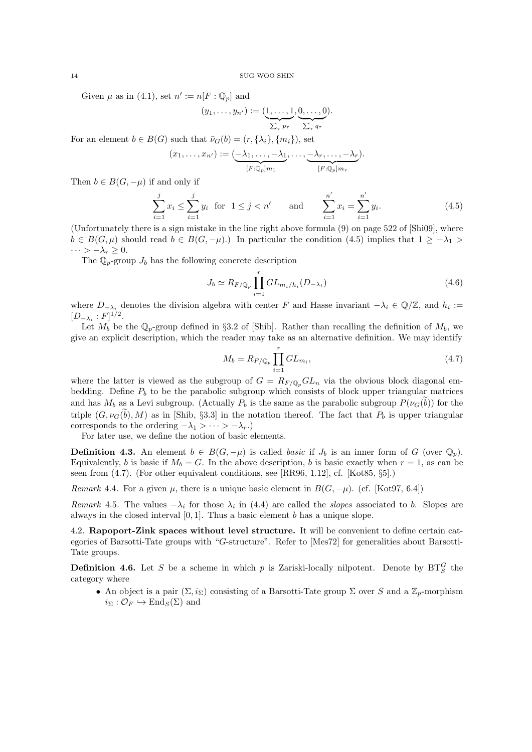Given  $\mu$  as in (4.1), set  $n' := n[F : \mathbb{Q}_p]$  and

$$
(y_1,\ldots,y_{n'}) := (\underbrace{1,\ldots,1}_{\sum_{\tau} p_{\tau}},\underbrace{0,\ldots,0}_{\sum_{\tau} q_{\tau}}).
$$

For an element  $b \in B(G)$  such that  $\bar{\nu}_G(b) = (r, {\lambda_i}, {m_i})$ , set

$$
(x_1,\ldots,x_{n'}) := \underbrace{(-\lambda_1,\ldots,-\lambda_1}_{[F:\mathbb{Q}_p]m_1},\ldots,\underbrace{-\lambda_r,\ldots,-\lambda_r}_{[F:\mathbb{Q}_p]m_r}).
$$

Then  $b \in B(G, -\mu)$  if and only if

$$
\sum_{i=1}^{j} x_i \le \sum_{i=1}^{j} y_i \text{ for } 1 \le j < n' \quad \text{and} \quad \sum_{i=1}^{n'} x_i = \sum_{i=1}^{n'} y_i. \tag{4.5}
$$

(Unfortunately there is a sign mistake in the line right above formula (9) on page 522 of [Shi09], where  $b \in B(G, \mu)$  should read  $b \in B(G, -\mu)$ .) In particular the condition (4.5) implies that  $1 \ge -\lambda_1 >$  $\cdots > -\lambda_r \geq 0.$ 

The  $\mathbb{Q}_p$ -group  $J_b$  has the following concrete description

$$
J_b \simeq R_{F/\mathbb{Q}_p} \prod_{i=1}^r GL_{m_i/h_i}(D_{-\lambda_i})
$$
\n(4.6)

where  $D_{-\lambda_i}$  denotes the division algebra with center F and Hasse invariant  $-\lambda_i \in \mathbb{Q}/\mathbb{Z}$ , and  $h_i :=$  $[D_{-\lambda_i}:F]^{1/2}.$ 

Let  $M_b$  be the  $\mathbb{Q}_p$ -group defined in §3.2 of [Shib]. Rather than recalling the definition of  $M_b$ , we give an explicit description, which the reader may take as an alternative definition. We may identify

$$
M_b = R_{F/\mathbb{Q}_p} \prod_{i=1}^r GL_{m_i},\tag{4.7}
$$

where the latter is viewed as the subgroup of  $G = R_{F/\mathbb{Q}_p}GL_n$  via the obvious block diagonal embedding. Define  $P_b$  to be the parabolic subgroup which consists of block upper triangular matrices and has  $M_b$  as a Levi subgroup. (Actually  $P_b$  is the same as the parabolic subgroup  $P(\nu_G(b))$  for the triple  $(G, \nu_G(b), M)$  as in [Shib, §3.3] in the notation thereof. The fact that  $P_b$  is upper triangular corresponds to the ordering  $-\lambda_1 > \cdots > -\lambda_r$ .)

For later use, we define the notion of basic elements.

**Definition 4.3.** An element  $b \in B(G, -\mu)$  is called *basic* if  $J_b$  is an inner form of G (over  $\mathbb{Q}_p$ ). Equivalently, b is basic if  $M_b = G$ . In the above description, b is basic exactly when  $r = 1$ , as can be seen from (4.7). (For other equivalent conditions, see [RR96, 1.12], cf. [Kot85, §5].)

Remark 4.4. For a given  $\mu$ , there is a unique basic element in  $B(G, -\mu)$ . (cf. [Kot97, 6.4])

Remark 4.5. The values  $-\lambda_i$  for those  $\lambda_i$  in (4.4) are called the *slopes* associated to b. Slopes are always in the closed interval  $[0, 1]$ . Thus a basic element b has a unique slope.

4.2. Rapoport-Zink spaces without level structure. It will be convenient to define certain categories of Barsotti-Tate groups with "G-structure". Refer to [Mes72] for generalities about Barsotti-Tate groups.

**Definition 4.6.** Let S be a scheme in which p is Zariski-locally nilpotent. Denote by  $BT_S^G$  the category where

• An object is a pair  $(\Sigma, i_{\Sigma})$  consisting of a Barsotti-Tate group  $\Sigma$  over S and a  $\mathbb{Z}_n$ -morphism  $i_{\Sigma}: \mathcal{O}_F \hookrightarrow \text{End}_S(\Sigma)$  and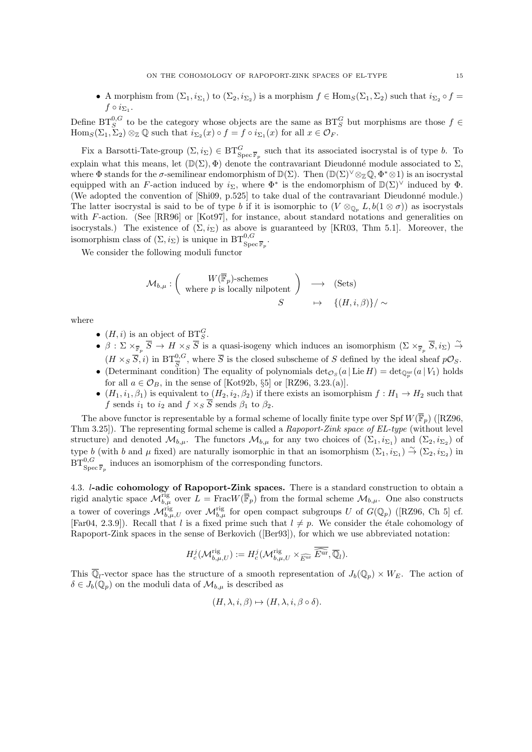• A morphism from  $(\Sigma_1, i_{\Sigma_1})$  to  $(\Sigma_2, i_{\Sigma_2})$  is a morphism  $f \in \text{Hom}_S(\Sigma_1, \Sigma_2)$  such that  $i_{\Sigma_2} \circ f =$  $f \circ i_{\Sigma_1}$ .

Define  $BT_S^{0,G}$  to be the category whose objects are the same as  $BT_S^G$  but morphisms are those  $f \in$  $\text{Hom}_S(\Sigma_1, \Sigma_2) \otimes_{\mathbb{Z}} \mathbb{Q}$  such that  $i_{\Sigma_2}(x) \circ f = f \circ i_{\Sigma_1}(x)$  for all  $x \in \mathcal{O}_F$ .

Fix a Barsotti-Tate-group  $(\Sigma, i_{\Sigma}) \in BT_{Spec \overline{\mathbb{F}}_p}^G$  such that its associated isocrystal is of type b. To explain what this means, let  $(\mathbb{D}(\Sigma), \Phi)$  denote the contravariant Dieudonné module associated to  $\Sigma$ , where  $\Phi$  stands for the  $\sigma$ -semilinear endomorphism of  $\mathbb{D}(\Sigma)$ . Then  $(\mathbb{D}(\Sigma)^{\vee} \otimes_{\mathbb{Z}} \mathbb{Q}, \Phi^* \otimes 1)$  is an isocrystal equipped with an F-action induced by  $i_{\Sigma}$ , where  $\Phi^*$  is the endomorphism of  $\mathbb{D}(\Sigma)^{\vee}$  induced by  $\Phi$ . (We adopted the convention of [Shi09, p.525] to take dual of the contravariant Dieudonné module.) The latter isocrystal is said to be of type b if it is isomorphic to  $(V \otimes_{\mathbb{Q}_p} L, b(1 \otimes \sigma))$  as isocrystals with F-action. (See [RR96] or [Kot97], for instance, about standard notations and generalities on isocrystals.) The existence of  $(\Sigma, i_{\Sigma})$  as above is guaranteed by [KR03, Thm 5.1]. Moreover, the isomorphism class of  $(\Sigma, i_{\Sigma})$  is unique in  $\mathrm{BT}^{0, G}_{\mathrm{Spec} \, \overline{\mathbb{F}}_p}$ .

We consider the following moduli functor

$$
\mathcal{M}_{b,\mu} : \left( \begin{array}{c} W(\overline{\mathbb{F}}_p)\text{-schemes} \\ \text{where } p \text{ is locally nilpotent} \end{array} \right) \longrightarrow (\text{Sets})
$$

$$
S \longrightarrow \left\{ (H, i, \beta) \right\} / \sim
$$

where

- $(H, i)$  is an object of  $BT_S^G$ .
- $\beta : \Sigma \times_{\overline{\mathbb{F}}_p} \overline{S} \to H \times_S \overline{S}$  is a quasi-isogeny which induces an isomorphism  $(\Sigma \times_{\overline{\mathbb{F}}_p} \overline{S}, i_{\Sigma}) \stackrel{\sim}{\to}$  $(H \times_S \overline{S}, i)$  in  $BT^{0,G}_{\overline{S}}$ , where  $\overline{S}$  is the closed subscheme of S defined by the ideal sheaf  $p\mathcal{O}_S$ .
- (Determinant condition) The equality of polynomials  $\det_{{\cal O}_S}(a | \operatorname{Lie} H) = \det_{{\mathbb{Q}}_p^{\rm ur}}(a | V_1)$  holds for all  $a \in \mathcal{O}_B$ , in the sense of [Kot92b, §5] or [RZ96, 3.23.(a)].
- $(H_1, i_1, \beta_1)$  is equivalent to  $(H_2, i_2, \beta_2)$  if there exists an isomorphism  $f : H_1 \to H_2$  such that f sends  $i_1$  to  $i_2$  and  $f \times_S \overline{S}$  sends  $\beta_1$  to  $\beta_2$ .

The above functor is representable by a formal scheme of locally finite type over Spf  $W(\overline{\mathbb{F}}_n)$  ([RZ96, Thm 3.25]). The representing formal scheme is called a Rapoport-Zink space of EL-type (without level structure) and denoted  $\mathcal{M}_{b,\mu}$ . The functors  $\mathcal{M}_{b,\mu}$  for any two choices of  $(\Sigma_1, i_{\Sigma_1})$  and  $(\Sigma_2, i_{\Sigma_2})$  of type b (with b and  $\mu$  fixed) are naturally isomorphic in that an isomorphism  $(\Sigma_1, i_{\Sigma_1}) \stackrel{\sim}{\rightarrow} (\Sigma_2, i_{\Sigma_2})$  in  $BT^{0,G}_{\mathrm{Spec}\, \overline{\mathbb{F}}_p}$  induces an isomorphism of the corresponding functors.

4.3. l-adic cohomology of Rapoport-Zink spaces. There is a standard construction to obtain a rigid analytic space  $\mathcal{M}_{b,\mu}^{\text{rig}}$  over  $L = \text{FracW}(\overline{\mathbb{F}}_p)$  from the formal scheme  $\mathcal{M}_{b,\mu}$ . One also constructs a tower of coverings  $\mathcal{M}_{b,\mu,U}^{rig}$  over  $\mathcal{M}_{b,\mu}^{rig}$  for open compact subgroups U of  $G(\mathbb{Q}_p)$  ([RZ96, Ch 5] cf. [Far04, 2.3.9]). Recall that l is a fixed prime such that  $l \neq p$ . We consider the étale cohomology of Rapoport-Zink spaces in the sense of Berkovich ([Ber93]), for which we use abbreviated notation:

$$
H_c^j(\mathcal{M}_{b,\mu,U}^{\text{rig}}) := H_c^j(\mathcal{M}_{b,\mu,U}^{\text{rig}} \times_{\widehat{E^{\text{ur}}}} \widehat{\overline{E^{\text{ur}}}}, \overline{\mathbb{Q}}_l).
$$

This  $\overline{\mathbb{Q}}_l$ -vector space has the structure of a smooth representation of  $J_b(\mathbb{Q}_p) \times W_E$ . The action of  $\delta \in J_b(\mathbb{Q}_p)$  on the moduli data of  $\mathcal{M}_{b,\mu}$  is described as

$$
(H, \lambda, i, \beta) \mapsto (H, \lambda, i, \beta \circ \delta).
$$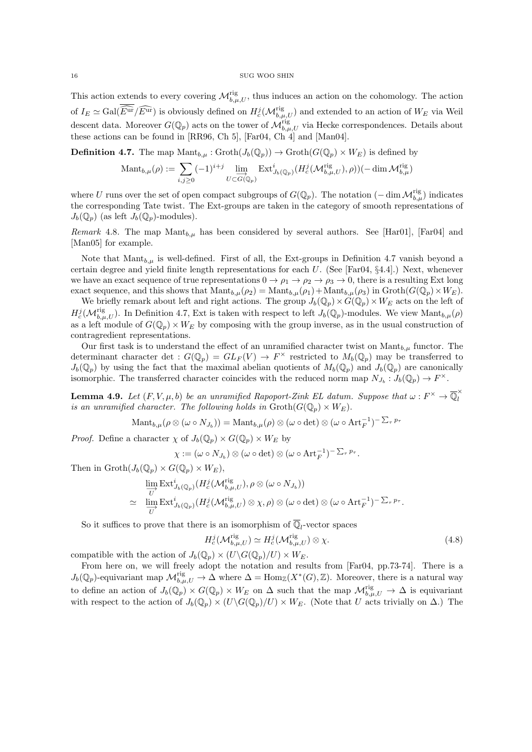This action extends to every covering  $\mathcal{M}_{b,\mu,U}^{\text{rig}},$  thus induces an action on the cohomology. The action of  $I_E \simeq \text{Gal}(\widehat{E^{\text{ur}}}/\widehat{E^{\text{ur}}})$  is obviously defined on  $H_c^j(\mathcal{M}_{b,\mu,U}^{\text{rig}})$  and extended to an action of  $W_E$  via Weil descent data. Moreover  $G(\mathbb{Q}_p)$  acts on the tower of  $\mathcal{M}_{b,\mu,U}^{\text{rig}}$  via Hecke correspondences. Details about these actions can be found in [RR96, Ch 5], [Far04, Ch 4] and [Man04].

**Definition 4.7.** The map  $\text{Mant}_{b,\mu} : \text{Groth}(J_b(\mathbb{Q}_p)) \to \text{Groth}(G(\mathbb{Q}_p) \times W_E)$  is defined by

$$
\mathrm{Mant}_{b,\mu}(\rho) := \sum_{i,j \geq 0} (-1)^{i+j} \lim_{U \subset \overrightarrow{G}(\mathbb{Q}_p)} \mathrm{Ext}^i_{J_b(\mathbb{Q}_p)}(H_c^j(\mathcal{M}_{b,\mu,U}^{\mathrm{rig}}), \rho))(-\dim \mathcal{M}_{b,\mu}^{\mathrm{rig}})
$$

where U runs over the set of open compact subgroups of  $G(\mathbb{Q}_p)$ . The notation  $(-\dim \mathcal{M}_{b,\mu}^{\text{rig}})$  indicates the corresponding Tate twist. The Ext-groups are taken in the category of smooth representations of  $J_b(\mathbb{Q}_p)$  (as left  $J_b(\mathbb{Q}_p)$ -modules).

*Remark* 4.8. The map Mant<sub>b,u</sub> has been considered by several authors. See [Har01], [Far04] and [Man05] for example.

Note that  $\text{Mant}_{b,\mu}$  is well-defined. First of all, the Ext-groups in Definition 4.7 vanish beyond a certain degree and yield finite length representations for each  $U$ . (See [Far04, §4.4].) Next, whenever we have an exact sequence of true representations  $0 \to \rho_1 \to \rho_2 \to \rho_3 \to 0$ , there is a resulting Ext long exact sequence, and this shows that  $\mathrm{Mant}_{b,\mu}(\rho_2) = \mathrm{Mant}_{b,\mu}(\rho_1) + \mathrm{Mant}_{b,\mu}(\rho_3)$  in  $\mathrm{Groth}(G(\mathbb{Q}_p)\times W_E)$ .

We briefly remark about left and right actions. The group  $J_b(\mathbb{Q}_p)\times\hat{G}(\mathbb{Q}_p)\times W_E$  acts on the left of  $H_c^j(\mathcal{M}_{b,\mu,U}^{\text{rig}})$ . In Definition 4.7, Ext is taken with respect to left  $J_b(\mathbb{Q}_p)$ -modules. We view  $\text{Mant}_{b,\mu}(\rho)$ as a left module of  $G(\mathbb{Q}_p) \times W_E$  by composing with the group inverse, as in the usual construction of contragredient representations.

Our first task is to understand the effect of an unramified character twist on  $\text{Mant}_{b,\mu}$  functor. The determinant character det :  $G(\mathbb{Q}_p) = GL_F(V) \to F^\times$  restricted to  $M_b(\mathbb{Q}_p)$  may be transferred to  $J_b(\mathbb{Q}_p)$  by using the fact that the maximal abelian quotients of  $M_b(\mathbb{Q}_p)$  and  $J_b(\mathbb{Q}_p)$  are canonically isomorphic. The transferred character coincides with the reduced norm map  $N_{J_b} : J_b(\mathbb{Q}_p) \to F^{\times}$ .

**Lemma 4.9.** Let  $(F, V, \mu, b)$  be an unramified Rapoport-Zink EL datum. Suppose that  $\omega : F^{\times} \to \overline{\mathbb{Q}}_l^{\times}$ l is an unramified character. The following holds in  $\operatorname{Groth}(G(\mathbb{Q}_p) \times W_E)$ .

 $\mathrm{Mant}_{b,\mu}(\rho\otimes(\omega\circ N_{J_b}))=\mathrm{Mant}_{b,\mu}(\rho)\otimes(\omega\circ\mathrm{det})\otimes(\omega\circ\mathrm{Art}_{F}^{-1})^{-\sum_{\tau}p_{\tau}}$ 

*Proof.* Define a character  $\chi$  of  $J_b(\mathbb{Q}_p) \times G(\mathbb{Q}_p) \times W_E$  by

 $\chi := (\omega \circ N_{J_b}) \otimes (\omega \circ \det) \otimes (\omega \circ \operatorname{Art}_{F}^{-1})^{-\sum_{\tau} p_{\tau}}.$ 

Then in  $\mathrm{Groth}(J_b(\mathbb{Q}_p)\times G(\mathbb{Q}_p)\times W_E)$ ,

$$
\lim_{\substack{U\\ U}} \text{Ext}^i_{J_b(\mathbb{Q}_p)}(H_c^j(\mathcal{M}_{b,\mu,U}^{\text{rig}}), \rho \otimes (\omega \circ N_{J_b}))
$$
\n
$$
\simeq \lim_{\substack{U\\ U}} \text{Ext}^i_{J_b(\mathbb{Q}_p)}(H_c^j(\mathcal{M}_{b,\mu,U}^{\text{rig}}) \otimes \chi, \rho) \otimes (\omega \circ \text{det}) \otimes (\omega \circ \text{Art}_F^{-1})^{-\sum_{\tau} p_{\tau}}.
$$

So it suffices to prove that there is an isomorphism of  $\overline{\mathbb{Q}}_l$ -vector spaces

$$
H_c^j(\mathcal{M}_{b,\mu,U}^{\text{rig}}) \simeq H_c^j(\mathcal{M}_{b,\mu,U}^{\text{rig}}) \otimes \chi. \tag{4.8}
$$

compatible with the action of  $J_b(\mathbb{Q}_p) \times (U \backslash G(\mathbb{Q}_p)/U) \times W_E$ .

From here on, we will freely adopt the notation and results from [Far04, pp.73-74]. There is a  $J_b(\mathbb{Q}_p)$ -equivariant map  $\mathcal{M}_{b,\mu,U}^{\text{rig}} \to \Delta$  where  $\Delta = \text{Hom}_{\mathbb{Z}}(X^*(G),\mathbb{Z})$ . Moreover, there is a natural way to define an action of  $J_b(\mathbb{Q}_p) \times G(\mathbb{Q}_p) \times W_E$  on  $\Delta$  such that the map  $\mathcal{M}_{b,\mu,U}^{\text{rig}} \to \Delta$  is equivariant with respect to the action of  $J_b(\mathbb{Q}_p) \times (U\backslash G(\mathbb{Q}_p)/U) \times W_E$ . (Note that U acts trivially on  $\Delta$ .) The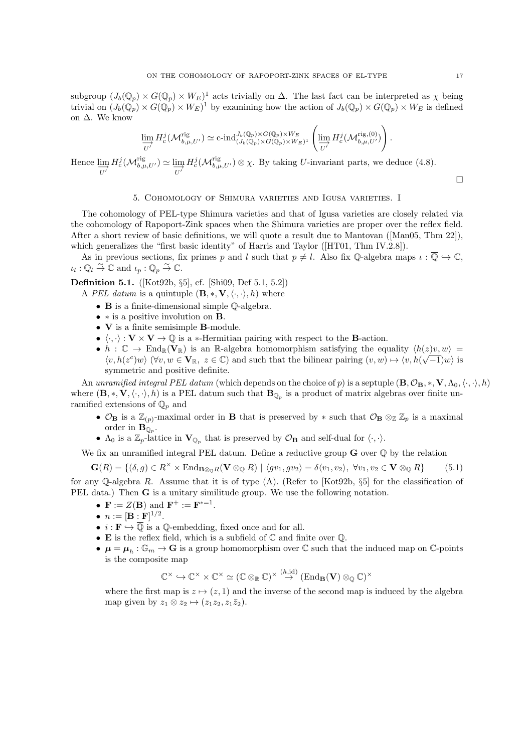subgroup  $(J_b(\mathbb{Q}_p) \times G(\mathbb{Q}_p) \times W_E)^1$  acts trivially on  $\Delta$ . The last fact can be interpreted as  $\chi$  being trivial on  $(J_b(\mathbb{Q}_p) \times G(\mathbb{Q}_p) \times W_E)^1$  by examining how the action of  $J_b(\mathbb{Q}_p) \times G(\mathbb{Q}_p) \times W_E$  is defined on ∆. We know

$$
\varinjlim_{U'} H_c^j(\mathcal{M}_{b,\mu,U'}^{\mathrm{rig}}) \simeq \operatorname{c-ind}_{(J_b(\mathbb{Q}_p)\times G(\mathbb{Q}_p)\times W_E)}^{J_b(\mathbb{Q}_p)\times G(\mathbb{Q}_p)\times W_E} \left( \varinjlim_{U'} H_c^j(\mathcal{M}_{b,\mu,U'}^{\mathrm{rig},(0)}) \right).
$$

Hence  $\lim_{\overrightarrow{U'}} H_c^j(\mathcal{M}_{b,\mu,U'}^{rig}) \simeq \lim_{\overrightarrow{U'}} H_c^j(\mathcal{M}_{b,\mu,U'}^{rig}) \otimes \chi$ . By taking U-invariant parts, we deduce (4.8).

## 5. Cohomology of Shimura varieties and Igusa varieties. I

The cohomology of PEL-type Shimura varieties and that of Igusa varieties are closely related via the cohomology of Rapoport-Zink spaces when the Shimura varieties are proper over the reflex field. After a short review of basic definitions, we will quote a result due to Mantovan ([Man05, Thm 22]), which generalizes the "first basic identity" of Harris and Taylor ([HT01, Thm IV.2.8]).

As in previous sections, fix primes p and l such that  $p \neq l$ . Also fix Q-algebra maps  $\iota : \overline{Q} \hookrightarrow \mathbb{C}$ ,  $\iota_l : \mathbb{Q}_l \stackrel{\sim}{\to} \mathbb{C}$  and  $\iota_p : \mathbb{Q}_p \stackrel{\sim}{\to} \mathbb{C}$ .

Definition 5.1. ([Kot92b, §5], cf. [Shi09, Def 5.1, 5.2])

- A PEL datum is a quintuple  $(\mathbf{B}, \ast, \mathbf{V}, \langle \cdot, \cdot \rangle, h)$  where
	- B is a finite-dimensional simple Q-algebra.
	- ∗ is a positive involution on B.
	- V is a finite semisimple B-module.
	- $\langle \cdot, \cdot \rangle : V \times V \to \mathbb{Q}$  is a  $*$ -Hermitian pairing with respect to the B-action.
	- $h : \mathbb{C} \to \text{End}_{\mathbb{R}}(\mathbf{V}_{\mathbb{R}})$  is an R-algebra homomorphism satisfying the equality  $\langle h(z)v, w \rangle =$  $\langle v, h(z^c)w \rangle$  ( $\forall v, w \in V_{\mathbb{R}}, z \in \mathbb{C}$ ) and such that the bilinear pairing  $(v, w) \mapsto \langle v, h(\sqrt{-1})w \rangle$  is symmetric and positive definite.

An unramified integral PEL datum (which depends on the choice of p) is a septuple  $(\mathbf{B}, \mathcal{O}_\mathbf{B}, *, \mathbf{V}, \Lambda_0, \langle \cdot, \cdot \rangle, h)$ where  $(\mathbf{B},*,\mathbf{V},\langle\cdot,\cdot\rangle,h)$  is a PEL datum such that  $\mathbf{B}_{\mathbb{Q}_p}$  is a product of matrix algebras over finite unramified extensions of  $\mathbb{Q}_p$  and

- $\mathcal{O}_B$  is a  $\mathbb{Z}_{(p)}$ -maximal order in **B** that is preserved by  $*$  such that  $\mathcal{O}_B \otimes_{\mathbb{Z}} \mathbb{Z}_p$  is a maximal order in  $\mathbf{B}_{\mathbb{Q}_p}$ .
- $\Lambda_0$  is a  $\mathbb{Z}_p$ -lattice in  $\mathbf{V}_{\mathbb{Q}_p}$  that is preserved by  $\mathcal{O}_\mathbf{B}$  and self-dual for  $\langle \cdot, \cdot \rangle$ .

We fix an unramified integral PEL datum. Define a reductive group  $\bf{G}$  over  $\bf{\mathbb{Q}}$  by the relation

$$
\mathbf{G}(R) = \{ (\delta, g) \in R^{\times} \times \operatorname{End}_{\mathbf{B} \otimes_{\mathbb{O}} R}(\mathbf{V} \otimes_{\mathbb{Q}} R) \mid \langle gv_1, gv_2 \rangle = \delta \langle v_1, v_2 \rangle, \ \forall v_1, v_2 \in \mathbf{V} \otimes_{\mathbb{Q}} R \} \tag{5.1}
$$

for any Q-algebra R. Assume that it is of type (A). (Refer to [Kot92b,  $\S5$ ] for the classification of PEL data.) Then **G** is a unitary similitude group. We use the following notation.

• 
$$
\mathbf{F} := Z(\mathbf{B})
$$
 and  $\mathbf{F}^+ := \mathbf{F}^{*-1}$ 

- $n := [\mathbf{B} : \mathbf{F}]^{1/2}$ .
- $i : \mathbf{F} \hookrightarrow \overline{\mathbb{Q}}$  is a  $\mathbb{Q}$ -embedding, fixed once and for all.
- **E** is the reflex field, which is a subfield of  $\mathbb C$  and finite over  $\mathbb Q$ .

.

•  $\mu = \mu_h : \mathbb{G}_m \to \mathbf{G}$  is a group homomorphism over  $\mathbb C$  such that the induced map on  $\mathbb C$ -points is the composite map

$$
\mathbb{C}^\times \hookrightarrow \mathbb{C}^\times \times \mathbb{C}^\times \simeq (\mathbb{C} \otimes_\mathbb{R} \mathbb{C})^\times \stackrel{(h, \mathrm{id})}{\to} (\mathrm{End}_{\mathbf{B}}(\mathbf{V}) \otimes_\mathbb{Q} \mathbb{C})^\times
$$

where the first map is  $z \mapsto (z, 1)$  and the inverse of the second map is induced by the algebra map given by  $z_1 \otimes z_2 \mapsto (z_1z_2, z_1\overline{z}_2).$ 

 $\Box$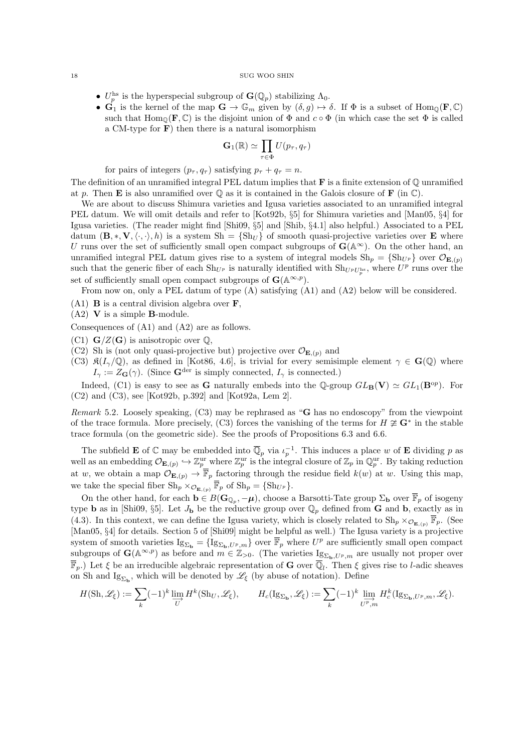- $U_p^{\text{hs}}$  is the hyperspecial subgroup of  $\mathbf{G}(\mathbb{Q}_p)$  stabilizing  $\Lambda_0$ .
- $\hat{\mathbf{G}}_1$  is the kernel of the map  $\mathbf{G} \to \mathbb{G}_m$  given by  $(\delta, g) \mapsto \delta$ . If  $\Phi$  is a subset of  $\text{Hom}_{\mathbb{Q}}(\mathbf{F}, \mathbb{C})$ such that  $\text{Hom}_{\mathbb{Q}}(\mathbf{F}, \mathbb{C})$  is the disjoint union of  $\Phi$  and  $c \circ \Phi$  (in which case the set  $\Phi$  is called a CM-type for  $\bf{F}$ ) then there is a natural isomorphism

$$
\mathbf{G}_1(\mathbb{R}) \simeq \prod_{\tau \in \Phi} U(p_\tau, q_\tau)
$$

for pairs of integers  $(p_{\tau}, q_{\tau})$  satisfying  $p_{\tau} + q_{\tau} = n$ .

The definition of an unramified integral PEL datum implies that  $\bf{F}$  is a finite extension of  $\mathbb O$  unramified at p. Then **E** is also unramified over  $\mathbb{O}$  as it is contained in the Galois closure of **F** (in  $\mathbb{C}$ ).

We are about to discuss Shimura varieties and Igusa varieties associated to an unramified integral PEL datum. We will omit details and refer to [Kot92b, §5] for Shimura varieties and [Man05, §4] for Igusa varieties. (The reader might find [Shi09, §5] and [Shib, §4.1] also helpful.) Associated to a PEL datum  $(\mathbf{B}, \ast, \mathbf{V}, \langle \cdot, \cdot \rangle, h)$  is a system  $\mathrm{Sh} = \{ \mathrm{Sh}_U \}$  of smooth quasi-projective varieties over **E** where U runs over the set of sufficiently small open compact subgroups of  $\mathbf{G}(\mathbb{A}^{\infty})$ . On the other hand, an unramified integral PEL datum gives rise to a system of integral models  $\mathrm{Sh}_p = {\mathrm{Sh}}_{U^p}$  over  $\mathcal{O}_{\mathbf{E},(p)}$ such that the generic fiber of each  $\text{Sh}_{U^p}$  is naturally identified with  $\text{Sh}_{U^pU_p^{\text{hs}}},$  where  $U^p$  runs over the set of sufficiently small open compact subgroups of  $\mathbf{G}(\mathbb{A}^{\infty,p})$ .

From now on, only a PEL datum of type (A) satisfying (A1) and (A2) below will be considered.

- $(A1)$  **B** is a central division algebra over **F**,
- $(A2)$  V is a simple **B**-module.
- Consequences of (A1) and (A2) are as follows.
- (C1)  $\mathbf{G}/Z(\mathbf{G})$  is anisotropic over  $\mathbb{Q}$ ,
- (C2) Sh is (not only quasi-projective but) projective over  $\mathcal{O}_{\mathbf{E},(p)}$  and
- (C3)  $\mathfrak{K}(I_{\gamma}/\mathbb{Q})$ , as defined in [Kot86, 4.6], is trivial for every semisimple element  $\gamma \in \mathbf{G}(\mathbb{Q})$  where  $I_{\gamma} := Z_{\mathbf{G}}(\gamma)$ . (Since  $\mathbf{G}^{\text{der}}$  is simply connected,  $I_{\gamma}$  is connected.)

Indeed, (C1) is easy to see as **G** naturally embeds into the Q-group  $GL_{\mathbf{B}}(\mathbf{V}) \simeq GL_1(\mathbf{B}^{op})$ . For (C2) and (C3), see [Kot92b, p.392] and [Kot92a, Lem 2].

Remark 5.2. Loosely speaking,  $(C3)$  may be rephrased as "G has no endoscopy" from the viewpoint of the trace formula. More precisely, (C3) forces the vanishing of the terms for  $H \not\cong \mathbf{G}^*$  in the stable trace formula (on the geometric side). See the proofs of Propositions 6.3 and 6.6.

The subfield **E** of  $\mathbb C$  may be embedded into  $\overline{\mathbb Q}_p$  via  $\iota_p^{-1}$ . This induces a place w of **E** dividing p as well as an embedding  $\mathcal{O}_{\mathbf{E},(p)} \hookrightarrow \mathbb{Z}_p^{\text{ur}}$  where  $\mathbb{Z}_p^{\text{ur}}$  is the integral closure of  $\mathbb{Z}_p$  in  $\mathbb{Q}_p^{\text{ur}}$ . By taking reduction at w, we obtain a map  $\mathcal{O}_{\mathbf{E},(p)} \to \overline{\mathbb{F}}_p$  factoring through the residue field  $k(w)$  at w. Using this map, we take the special fiber  $\text{Sh}_p \times_{\mathcal{O}_{\mathbf{E},(p)}} \overline{\mathbb{F}}_p$  of  $\text{Sh}_p = {\text{Sh}}_{U^p}$ .

On the other hand, for each  $\mathbf{b} \in B(\mathbf{G}_{\mathbb{Q}_p}, -\mu)$ , choose a Barsotti-Tate group  $\Sigma_{\mathbf{b}}$  over  $\overline{\mathbb{F}}_p$  of isogeny type **b** as in [Shi09, §5]. Let  $J_{\bf{b}}$  be the reductive group over  $\mathbb{Q}_p$  defined from **G** and **b**, exactly as in (4.3). In this context, we can define the Igusa variety, which is closely related to  $\text{Sh}_p \times_{\mathcal{O}_{\mathbf{E},(p)}} \overline{\mathbb{F}}_p$ . (See [Man05, §4] for details. Section 5 of [Shi09] might be helpful as well.) The Igusa variety is a projective system of smooth varieties  $\operatorname{Ig}_{\Sigma_{\mathbf{b}}} = \{\operatorname{Ig}_{\Sigma_{\mathbf{b}},U^p,m}\}\n\text{ over }\overline{\mathbb{F}}_p$  where  $U^p$  are sufficiently small open compact subgroups of  $\mathbf{G}(\mathbb{A}^{\infty,p})$  as before and  $m \in \mathbb{Z}_{>0}$ . (The varieties  $\mathrm{Ig}_{\Sigma_{\mathbf{b}},U^p,m}$  are usually not proper over  $\overline{\mathbb{F}}_p$ .) Let  $\xi$  be an irreducible algebraic representation of **G** over  $\overline{\mathbb{Q}}_l$ . Then  $\xi$  gives rise to *l*-adic sheaves on Sh and  $\text{Ig}_{\Sigma_{\mathbf{b}}}$ , which will be denoted by  $\mathscr{L}_{\xi}$  (by abuse of notation). Define

$$
H(\mathrm{Sh}, \mathscr{L}_{\xi}) := \sum_{k} (-1)^{k} \varinjlim_{U} H^{k}(\mathrm{Sh}_{U}, \mathscr{L}_{\xi}), \qquad H_{c}(\mathrm{Ig}_{\Sigma_{\mathbf{b}}}, \mathscr{L}_{\xi}) := \sum_{k} (-1)^{k} \varinjlim_{U^{p}, m} H_{c}^{k}(\mathrm{Ig}_{\Sigma_{\mathbf{b}}, U^{p}, m}, \mathscr{L}_{\xi}).
$$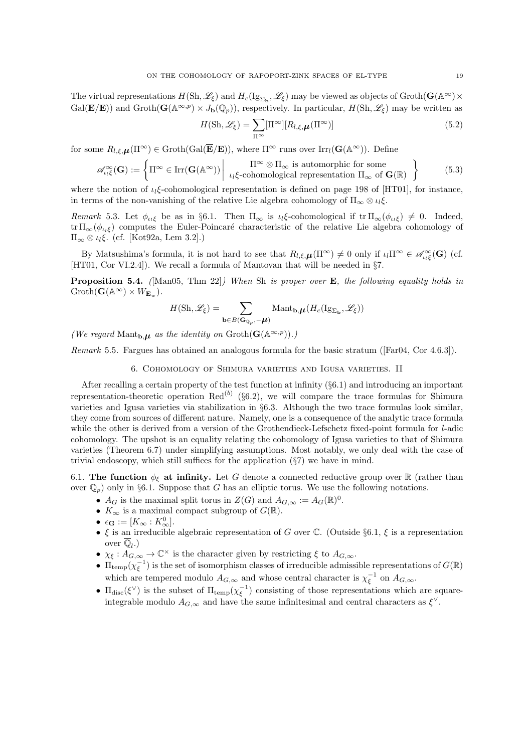The virtual representations  $H(\mathrm{Sh}, \mathscr{L}_{\xi})$  and  $H_c(\mathrm{Ig}_{\Sigma_{\mathbf{b}}}, \mathscr{L}_{\xi})$  may be viewed as objects of  $\mathrm{Groth}(\mathbf{G}(\mathbb{A}^{\infty}) \times$  $Gal(\overline{\mathbf{E}}/\mathbf{E}))$  and  $Groth(\mathbf{G}(\mathbb{A}^{\infty,p}) \times J_{\mathbf{b}}(\mathbb{Q}_p))$ , respectively. In particular,  $H(\mathrm{Sh}, \mathscr{L}_{\xi})$  may be written as

$$
H(\mathrm{Sh}, \mathscr{L}_{\xi}) = \sum_{\Pi^{\infty}} [\Pi^{\infty}][R_{l, \xi, \mu}(\Pi^{\infty})]
$$
(5.2)

for some  $R_{l,\xi,\mu}(\Pi^{\infty}) \in \operatorname{Groth}(\operatorname{Gal}(\overline{\mathbf{E}}/\mathbf{E}))$ , where  $\Pi^{\infty}$  runs over  $\operatorname{Irr}_l(\mathbf{G}(\mathbb{A}^{\infty}))$ . Define

$$
\mathscr{A}_{\iota_{l}\xi}^{\infty}(\mathbf{G}) := \left\{ \Pi^{\infty} \in \operatorname{Irr}(\mathbf{G}(\mathbb{A}^{\infty})) \middle| \ \Pi^{\infty} \otimes \Pi_{\infty} \text{ is automorphic for some} \atop \iota_{l}\xi\text{-cohomological representation } \Pi_{\infty} \text{ of } \mathbf{G}(\mathbb{R}) \right\}
$$
(5.3)

where the notion of  $\iota_l \xi$ -cohomological representation is defined on page 198 of [HT01], for instance, in terms of the non-vanishing of the relative Lie algebra cohomology of  $\Pi_{\infty} \otimes \iota_{\iota} \xi$ .

Remark 5.3. Let  $\phi_{\iota_i\xi}$  be as in §6.1. Then  $\Pi_{\infty}$  is  $\iota_i\xi$ -cohomological if  $tr \Pi_{\infty}(\phi_{\iota_i\xi}) \neq 0$ . Indeed, tr  $\Pi_{\infty}(\phi_{\iota_{\iota_{\iota_{\iota_{\iota}}}}})$  computes the Euler-Poincaré characteristic of the relative Lie algebra cohomology of  $\Pi_{\infty} \otimes \iota_{l} \xi$ . (cf. [Kot92a, Lem 3.2].)

By Matsushima's formula, it is not hard to see that  $R_{l,\xi,\mu}(\Pi^{\infty}) \neq 0$  only if  $\iota_l \Pi^{\infty} \in \mathscr{A}_{\iota_l \xi}^{\infty}(\mathbf{G})$  (cf. [HT01, Cor VI.2.4]). We recall a formula of Mantovan that will be needed in §7.

**Proposition 5.4.** (Man05, Thm 22) When Sh is proper over  $E$ , the following equality holds in  $Groth(G(\mathbb{A}^{\infty})\times W_{\mathbf{E}_{w}}).$ 

$$
H(\mathrm{Sh},\mathscr{L}_\xi) = \sum_{\mathbf{b}\in B(\mathbf{G}_{\mathbb{Q}_p}, -\boldsymbol{\mu})} \mathrm{Mant}_{\mathbf{b},\boldsymbol{\mu}}(H_c(\mathrm{Ig}_{\Sigma_{\mathbf{b}}}, \mathscr{L}_\xi))
$$

(We regard Mant<sub>b</sub>, $\mu$  as the identity on  $\operatorname{Groth}(\mathbf{G}(\mathbb{A}^{\infty,p})).$ )

Remark 5.5. Fargues has obtained an analogous formula for the basic stratum ([Far04, Cor 4.6.3]).

6. Cohomology of Shimura varieties and Igusa varieties. II

After recalling a certain property of the test function at infinity (§6.1) and introducing an important representation-theoretic operation  $\text{Red}^{(b)}$  (§6.2), we will compare the trace formulas for Shimura varieties and Igusa varieties via stabilization in §6.3. Although the two trace formulas look similar, they come from sources of different nature. Namely, one is a consequence of the analytic trace formula while the other is derived from a version of the Grothendieck-Lefschetz fixed-point formula for *l*-adic cohomology. The upshot is an equality relating the cohomology of Igusa varieties to that of Shimura varieties (Theorem 6.7) under simplifying assumptions. Most notably, we only deal with the case of trivial endoscopy, which still suffices for the application  $(\S7)$  we have in mind.

6.1. The function  $\phi_{\xi}$  at infinity. Let G denote a connected reductive group over R (rather than over  $\mathbb{Q}_p$  only in §6.1. Suppose that G has an elliptic torus. We use the following notations.

- $A_G$  is the maximal split torus in  $Z(G)$  and  $A_{G,\infty} := A_G(\mathbb{R})^0$ .
- $K_{\infty}$  is a maximal compact subgroup of  $G(\mathbb{R})$ .
- $\epsilon_{\mathbf{G}} := [K_{\infty} : K_{\infty}^{0}].$
- $\xi$  is an irreducible algebraic representation of G over C. (Outside §6.1,  $\xi$  is a representation over  $\overline{\mathbb{Q}}_l$ .)
- $\chi_{\xi}: A_{G,\infty} \to \mathbb{C}^{\times}$  is the character given by restricting  $\xi$  to  $A_{G,\infty}$ .
- $\bullet$   $\Pi_{\text{temp}}(\chi_{\xi}^{-1})$  is the set of isomorphism classes of irreducible admissible representations of  $G(\mathbb{R})$ which are tempered modulo  $A_{G,\infty}$  and whose central character is  $\chi_{\xi}^{-1}$  on  $A_{G,\infty}$ .
- $\Pi_{\text{disc}}(\xi^{\vee})$  is the subset of  $\Pi_{\text{temp}}(\chi_{\xi}^{-1})$  consisting of those representations which are squareintegrable modulo  $A_{G,\infty}$  and have the same infinitesimal and central characters as  $\xi^{\vee}$ .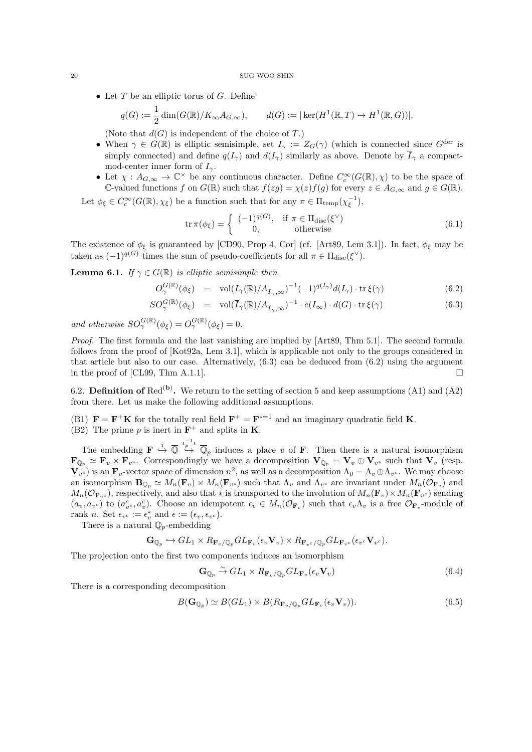• Let  $T$  be an elliptic torus of  $G$ . Define

$$
q(G) := \frac{1}{2} \dim(G(\mathbb{R})/K_{\infty}A_{G,\infty}), \qquad d(G) := |\ker(H^1(\mathbb{R},T) \to H^1(\mathbb{R},G))|.
$$

(Note that  $d(G)$  is independent of the choice of T.)

- When  $\gamma \in G(\mathbb{R})$  is elliptic semisimple, set  $I_{\gamma} := Z_G(\gamma)$  (which is connected since  $G^{\text{der}}$  is simply connected) and define  $q(I_{\gamma})$  and  $d(I_{\gamma})$  similarly as above. Denote by  $\overline{I}_{\gamma}$  a compactmod-center inner form of  $I_{\gamma}$ .
- Let  $\chi: A_{G,\infty} \to \mathbb{C}^{\times}$  be any continuous character. Define  $C_c^{\infty}(G(\mathbb{R}), \chi)$  to be the space of C-valued functions f on  $G(\mathbb{R})$  such that  $f(zg) = \chi(z)f(g)$  for every  $z \in A_{G,\infty}$  and  $g \in G(\mathbb{R})$ .

Let  $\phi_{\xi} \in C_c^{\infty}(G(\mathbb{R}), \chi_{\xi})$  be a function such that for any  $\pi \in \Pi_{\text{temp}}(\chi_{\xi}^{-1}),$ 

$$
\operatorname{tr} \pi(\phi_{\xi}) = \begin{cases} (-1)^{q(G)}, & \text{if } \pi \in \Pi_{\operatorname{disc}}(\xi^{\vee}) \\ 0, & \text{otherwise} \end{cases}
$$
(6.1)

The existence of  $\phi_{\xi}$  is guaranteed by [CD90, Prop 4, Cor] (cf. [Art89, Lem 3.1]). In fact,  $\phi_{\xi}$  may be taken as  $(-1)^{q(G)}$  times the sum of pseudo-coefficients for all  $\pi \in \Pi_{\text{disc}}(\xi^{\vee}).$ 

**Lemma 6.1.** If  $\gamma \in G(\mathbb{R})$  is elliptic semisimple then

$$
O_{\gamma}^{G(\mathbb{R})}(\phi_{\xi}) = \text{vol}(\overline{I}_{\gamma}(\mathbb{R})/A_{\overline{I}_{\gamma},\infty})^{-1}(-1)^{q(I_{\gamma})}d(I_{\gamma}) \cdot \text{tr}\,\xi(\gamma) \tag{6.2}
$$

$$
SO_{\gamma}^{G(\mathbb{R})}(\phi_{\xi}) = \text{vol}(\overline{I}_{\gamma}(\mathbb{R})/A_{\overline{I}_{\gamma},\infty})^{-1} \cdot e(I_{\infty}) \cdot d(G) \cdot \text{tr}\,\xi(\gamma) \tag{6.3}
$$

and otherwise  $SO_\gamma^{G(\mathbb{R})}(\phi_\xi) = O_\gamma^{G(\mathbb{R})}(\phi_\xi) = 0.$ 

Proof. The first formula and the last vanishing are implied by [Art89, Thm 5.1]. The second formula follows from the proof of [Kot92a, Lem 3.1], which is applicable not only to the groups considered in that article but also to our case. Alternatively,  $(6.3)$  can be deduced from  $(6.2)$  using the argument in the proof of [CL99, Thm A.1.1].

6.2. **Definition of** Red<sup>(b)</sup>. We return to the setting of section 5 and keep assumptions (A1) and (A2) from there. Let us make the following additional assumptions.

(B1)  $\mathbf{F} = \mathbf{F}^+ \mathbf{K}$  for the totally real field  $\mathbf{F}^+ = \mathbf{F}^{*-1}$  and an imaginary quadratic field **K**. (B2) The prime p is inert in  $\mathbf{F}^+$  and splits in **K**.

The embedding  $\mathbf{F} \stackrel{i}{\hookrightarrow} \overline{\mathbb{Q}}_p$  induces a place v of **F**. Then there is a natural isomorphism  $\mathbf{F}_{\mathbb{Q}_p} \simeq \mathbf{F}_v \times \mathbf{F}_{v^c}$ . Correspondingly we have a decomposition  $\mathbf{V}_{\mathbb{Q}_p} = \mathbf{V}_v \oplus \mathbf{V}_{v^c}$  such that  $\mathbf{V}_v$  (resp.  $\mathbf{V}_{v^c}$ ) is an  $\mathbf{F}_v$ -vector space of dimension  $n^2$ , as well as a decomposition  $\Lambda_0 = \Lambda_v \oplus \Lambda_{v^c}$ . We may choose an isomorphism  $\mathbf{B}_{\mathbb{Q}_p} \simeq M_n(\mathbf{F}_v) \times M_n(\mathbf{F}_{v^c})$  such that  $\Lambda_v$  and  $\Lambda_{v^c}$  are invariant under  $M_n(\mathcal{O}_{\mathbf{F}_v})$  and  $M_n(\mathcal{O}_{\mathbf{F}_v c})$ , respectively, and also that  $*$  is transported to the involution of  $M_n(\mathbf{F}_v) \times M_n(\mathbf{F}_{v^c})$  sending  $(a_v, a_{vc})$  to  $(a_{vc}^c, a_v^c)$ . Choose an idempotent  $\epsilon_v \in M_n(\mathcal{O}_{\mathbf{F}_v})$  such that  $\epsilon_v \Lambda_v$  is a free  $\mathcal{O}_{\mathbf{F}_v}$ -module of rank *n*. Set  $\epsilon_{v^c} := \epsilon_v^*$  and  $\epsilon := (\epsilon_v, \epsilon_{v^c})$ .

There is a natural  $\mathbb{Q}_p$ -embedding

$$
\mathbf{G}_{\mathbb{Q}_p} \hookrightarrow GL_1 \times R_{\mathbf{F}_v/\mathbb{Q}_p} GL_{\mathbf{F}_v}(\epsilon_v \mathbf{V}_v) \times R_{\mathbf{F}_v c/\mathbb{Q}_p} GL_{\mathbf{F}_v c}(\epsilon_{v^c} \mathbf{V}_{v^c}).
$$

The projection onto the first two components induces an isomorphism

$$
\mathbf{G}_{\mathbb{Q}_p} \xrightarrow{\sim} GL_1 \times R_{\mathbf{F}_v/\mathbb{Q}_p} GL_{\mathbf{F}_v}(\epsilon_v \mathbf{V}_v)
$$
\n(6.4)

There is a corresponding decomposition

$$
B(\mathbf{G}_{\mathbb{Q}_p}) \simeq B(GL_1) \times B(R_{\mathbf{F}_v/\mathbb{Q}_p} GL_{\mathbf{F}_v}(\epsilon_v \mathbf{V}_v)).
$$
\n(6.5)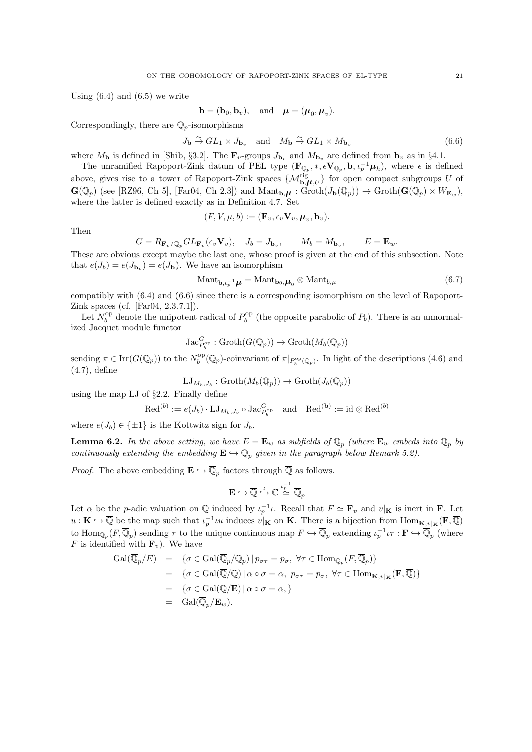Using  $(6.4)$  and  $(6.5)$  we write

$$
\mathbf{b}=(\mathbf{b}_0,\mathbf{b}_v), \quad \text{and} \quad \boldsymbol{\mu}=(\boldsymbol{\mu}_0,\boldsymbol{\mu}_v).
$$

Correspondingly, there are  $\mathbb{Q}_p$ -isomorphisms

$$
J_{\mathbf{b}} \stackrel{\sim}{\to} GL_1 \times J_{\mathbf{b}_v} \quad \text{and} \quad M_{\mathbf{b}} \stackrel{\sim}{\to} GL_1 \times M_{\mathbf{b}_v}
$$
 (6.6)

where  $M_{\bf b}$  is defined in [Shib, §3.2]. The  ${\bf F}_v$ -groups  $J_{\bf b_v}$  and  $M_{\bf b_v}$  are defined from  ${\bf b_v}$  as in §4.1.

The unramified Rapoport-Zink datum of PEL type  $(\mathbf{F}_{\mathbb{Q}_p}, *, \epsilon \mathbf{V}_{\mathbb{Q}_p}, \mathbf{b}, \iota_p^{-1} \boldsymbol{\mu}_h)$ , where  $\epsilon$  is defined above, gives rise to a tower of Rapoport-Zink spaces  $\{\mathcal{M}_{\mathbf{b},\mu,U}^{\text{rig}}\}$  for open compact subgroups U of  $\mathbf{G}(\mathbb{Q}_p)$  (see [RZ96, Ch 5], [Far04, Ch 2.3]) and  $\mathrm{Mant}_{\mathbf{b},\boldsymbol{\mu}}:\mathrm{Groth}(J_{\mathbf{b}}(\mathbb{Q}_p))\to \mathrm{Groth}(\mathbf{G}(\mathbb{Q}_p)\times W_{\mathbf{E}_w}),$ where the latter is defined exactly as in Definition 4.7. Set

$$
(F, V, \mu, b) := (\mathbf{F}_v, \epsilon_v \mathbf{V}_v, \boldsymbol{\mu}_v, \mathbf{b}_v).
$$

Then

$$
G = R_{\mathbf{F}_v/\mathbb{Q}_p} GL_{\mathbf{F}_v}(\epsilon_v \mathbf{V}_v), \quad J_b = J_{\mathbf{b}_v}, \qquad M_b = M_{\mathbf{b}_v}, \qquad E = \mathbf{E}_w.
$$

These are obvious except maybe the last one, whose proof is given at the end of this subsection. Note that  $e(J_b) = e(J_{\mathbf{b}_v}) = e(J_{\mathbf{b}})$ . We have an isomorphism

$$
\text{Mant}_{\mathbf{b},\iota_p^{-1}}\boldsymbol{\mu} = \text{Mant}_{\mathbf{b}_0,\boldsymbol{\mu}_0} \otimes \text{Mant}_{b,\mu} \tag{6.7}
$$

compatibly with (6.4) and (6.6) since there is a corresponding isomorphism on the level of Rapoport-Zink spaces (cf. [Far04, 2.3.7.1]).

Let  $N_b^{\rm op}$  denote the unipotent radical of  $P_b^{\rm op}$  (the opposite parabolic of  $P_b$ ). There is an unnormalized Jacquet module functor

$$
\operatorname{Jac}^G_{P_b^{\rm op}}:\operatorname{Groth}(G(\mathbb{Q}_p))\rightarrow\operatorname{Groth}(M_b(\mathbb{Q}_p))
$$

sending  $\pi \in \text{Irr}(G(\mathbb{Q}_p))$  to the  $N_b^{\text{op}}(\mathbb{Q}_p)$ -coinvariant of  $\pi|_{P_b^{\text{op}}(\mathbb{Q}_p)}$ . In light of the descriptions (4.6) and (4.7), define

$$
\mathrm{LJ}_{M_b,J_b}:\mathrm{Groth}(M_b(\mathbb{Q}_p))\to\mathrm{Groth}(J_b(\mathbb{Q}_p))
$$

using the map LJ of §2.2. Finally define

$$
\mathrm{Red}^{(b)}:=e(J_b)\cdot\mathrm{LJ}_{M_b,J_b}\circ\mathrm{Jac}^{G_{\mathrm{op}}}_{P_b}\quad\text{and}\quad \mathrm{Red}^{(\mathbf{b})}:=\mathrm{id}\otimes\mathrm{Red}^{(b)}
$$

where  $e(J_b) \in \{\pm 1\}$  is the Kottwitz sign for  $J_b$ .

**Lemma 6.2.** In the above setting, we have  $E = \mathbf{E}_w$  as subfields of  $\overline{\mathbb{Q}}_p$  (where  $\mathbf{E}_w$  embeds into  $\overline{\mathbb{Q}}_p$  by continuously extending the embedding  $\mathbf{E} \hookrightarrow \overline{\mathbb{Q}}_p$  given in the paragraph below Remark 5.2).

*Proof.* The above embedding  $\mathbf{E} \hookrightarrow \overline{\mathbb{Q}}_p$  factors through  $\overline{\mathbb{Q}}$  as follows.

$$
\mathbf{E} \hookrightarrow \overline{\mathbb{Q}} \stackrel{\iota}{\hookrightarrow} \mathbb{C} \stackrel{\iota_p^{-1}}{\cong} \overline{\mathbb{Q}}_p
$$

Let  $\alpha$  be the p-adic valuation on  $\overline{Q}$  induced by  $\iota_p^{-1}\iota$ . Recall that  $F \simeq \mathbf{F}_v$  and  $v|_{\mathbf{K}}$  is inert in **F**. Let  $u: \mathbf{K} \hookrightarrow \overline{\mathbb{Q}}$  be the map such that  $\iota_p^{-1} \iota u$  induces  $v|_{\mathbf{K}}$  on **K**. There is a bijection from  $\text{Hom}_{\mathbf{K},v|_{\mathbf{K}}}(\mathbf{F}, \overline{\mathbb{Q}})$ to  $\text{Hom}_{\mathbb{Q}_p}(F,\overline{\mathbb{Q}}_p)$  sending  $\tau$  to the unique continuous map  $F \hookrightarrow \overline{\mathbb{Q}}_p$  extending  $\iota_p^{-1}\iota\tau : \mathbf{F} \hookrightarrow \overline{\mathbb{Q}}_p$  (where F is identified with  $\mathbf{F}_v$ ). We have

$$
Gal(\overline{\mathbb{Q}}_p/E) = \{ \sigma \in Gal(\overline{\mathbb{Q}}_p/\mathbb{Q}_p) \mid p_{\sigma\tau} = p_{\sigma}, \forall \tau \in Hom_{\mathbb{Q}_p}(F, \overline{\mathbb{Q}}_p) \}
$$
  
\n
$$
= \{ \sigma \in Gal(\overline{\mathbb{Q}}/\mathbb{Q}) \mid \alpha \circ \sigma = \alpha, \ p_{\sigma\tau} = p_{\sigma}, \forall \tau \in Hom_{\mathbf{K}, v|_{\mathbf{K}}}(\mathbf{F}, \overline{\mathbb{Q}}) \}
$$
  
\n
$$
= \{ \sigma \in Gal(\overline{\mathbb{Q}}/\mathbf{E}) \mid \alpha \circ \sigma = \alpha, \}
$$
  
\n
$$
= Gal(\overline{\mathbb{Q}}_p/\mathbf{E}_w).
$$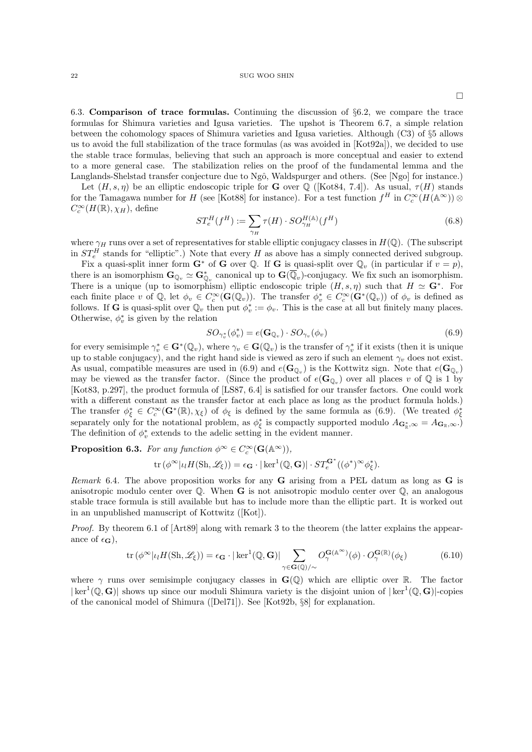$\Box$ 

6.3. Comparison of trace formulas. Continuing the discussion of §6.2, we compare the trace formulas for Shimura varieties and Igusa varieties. The upshot is Theorem 6.7, a simple relation between the cohomology spaces of Shimura varieties and Igusa varieties. Although (C3) of §5 allows us to avoid the full stabilization of the trace formulas (as was avoided in [Kot92a]), we decided to use the stable trace formulas, believing that such an approach is more conceptual and easier to extend to a more general case. The stabilization relies on the proof of the fundamental lemma and the Langlands-Shelstad transfer conjecture due to Ngô, Waldspurger and others. (See [Ngo] for instance.)

Let  $(H, s, \eta)$  be an elliptic endoscopic triple for **G** over Q ([Kot84, 7.4]). As usual,  $\tau(H)$  stands for the Tamagawa number for H (see [Kot88] for instance). For a test function  $f^H$  in  $C_c^{\infty}(H(\mathbb{A}^{\infty}))\otimes$  $C_c^{\infty}(H(\mathbb{R}), \chi_H)$ , define

$$
ST_e^H(f^H) := \sum_{\gamma_H} \tau(H) \cdot SO_{\gamma_H}^{H(\mathbb{A})}(f^H)
$$
\n(6.8)

where  $\gamma_H$  runs over a set of representatives for stable elliptic conjugacy classes in  $H(\mathbb{Q})$ . (The subscript in  $ST_e^H$  stands for "elliptic".) Note that every H as above has a simply connected derived subgroup.

Fix a quasi-split inner form  $G^*$  of G over Q. If G is quasi-split over  $\mathbb{Q}_v$  (in particular if  $v = p$ ), there is an isomorphism  $\mathbf{G}_{\mathbb{Q}_v} \simeq \mathbf{G}_{\mathbb{Q}_v}^*$  canonical up to  $\mathbf{G}(\overline{\mathbb{Q}}_v)$ -conjugacy. We fix such an isomorphism. There is a unique (up to isomorphism) elliptic endoscopic triple  $(H, s, \eta)$  such that  $H \simeq \mathbf{G}^*$ . For each finite place v of  $\mathbb{Q}$ , let  $\phi_v \in C_c^{\infty}(\mathbf{G}(\mathbb{Q}_v))$ . The transfer  $\phi_v^* \in C_c^{\infty}(\mathbf{G}^*(\mathbb{Q}_v))$  of  $\phi_v$  is defined as follows. If **G** is quasi-split over  $\mathbb{Q}_v$  then put  $\phi_v^* := \phi_v$ . This is the case at all but finitely many places. Otherwise,  $\phi_v^*$  is given by the relation

$$
SO_{\gamma_v^*}(\phi_v^*) = e(\mathbf{G}_{\mathbb{Q}_v}) \cdot SO_{\gamma_v}(\phi_v)
$$
\n(6.9)

for every semisimple  $\gamma_v^* \in \mathbf{G}^*(\mathbb{Q}_v)$ , where  $\gamma_v \in \mathbf{G}(\mathbb{Q}_v)$  is the transfer of  $\gamma_v^*$  if it exists (then it is unique up to stable conjugacy), and the right hand side is viewed as zero if such an element  $\gamma_v$  does not exist. As usual, compatible measures are used in (6.9) and  $e(\mathbf{G}_{\mathbb{Q}_v})$  is the Kottwitz sign. Note that  $e(\mathbf{G}_{\mathbb{Q}_v})$ may be viewed as the transfer factor. (Since the product of  $e(G_{\mathbb{Q}_v})$  over all places v of  $\mathbb Q$  is 1 by [Kot83, p.297], the product formula of [LS87, 6.4] is satisfied for our transfer factors. One could work with a different constant as the transfer factor at each place as long as the product formula holds.) The transfer  $\phi_{\xi}^* \in C_c^{\infty}(\mathbf{G}^*(\mathbb{R}), \chi_{\xi})$  of  $\phi_{\xi}$  is defined by the same formula as (6.9). (We treated  $\phi_{\xi}^*$ separately only for the notational problem, as  $\phi_{\xi}^{*}$  is compactly supported modulo  $A_{\mathbf{G}_{\mathbb{R}}^{*},\infty} = A_{\mathbf{G}_{\mathbb{R}},\infty}$ . The definition of  $\phi_v^*$  extends to the adelic setting in the evident manner.

**Proposition 6.3.** For any function  $\phi^{\infty} \in C_c^{\infty}(\mathbf{G}(\mathbb{A}^{\infty}))$ ,  $\mathrm{tr}\left(\phi^{\infty}|\iota_{l}H(\mathrm{Sh},\mathscr{L}_{\xi})\right)=\epsilon_{\mathbf{G}}\cdot|\ker^{1}(\mathbb{Q},\mathbf{G})|\cdot ST_{e}^{\mathbf{G}^{*}}((\phi^{*})^{\infty}\phi_{\xi}^{*}).$ 

Remark 6.4. The above proposition works for any  $G$  arising from a PEL datum as long as  $G$  is anisotropic modulo center over  $\mathbb Q$ . When **G** is not anisotropic modulo center over  $\mathbb Q$ , an analogous stable trace formula is still available but has to include more than the elliptic part. It is worked out in an unpublished manuscript of Kottwitz ([Kot]).

Proof. By theorem 6.1 of [Art89] along with remark 3 to the theorem (the latter explains the appearance of  $\epsilon_{\mathbf{G}}$ ),

$$
\operatorname{tr}\left(\phi^{\infty}|\iota_{l}H(\mathrm{Sh},\mathscr{L}_{\xi})\right) = \epsilon_{\mathbf{G}} \cdot |\ker^{1}(\mathbb{Q},\mathbf{G})| \sum_{\gamma \in \mathbf{G}(\mathbb{Q})/\sim} O_{\gamma}^{\mathbf{G}(\mathbb{A}^{\infty})}(\phi) \cdot O_{\gamma}^{\mathbf{G}(\mathbb{R})}(\phi_{\xi})
$$
(6.10)

where  $\gamma$  runs over semisimple conjugacy classes in  $\mathbf{G}(\mathbb{Q})$  which are elliptic over R. The factor  $|\ker^1(\mathbb{Q}, G)|$  shows up since our moduli Shimura variety is the disjoint union of  $|\ker^1(\mathbb{Q}, G)|$ -copies of the canonical model of Shimura ([Del71]). See [Kot92b, §8] for explanation.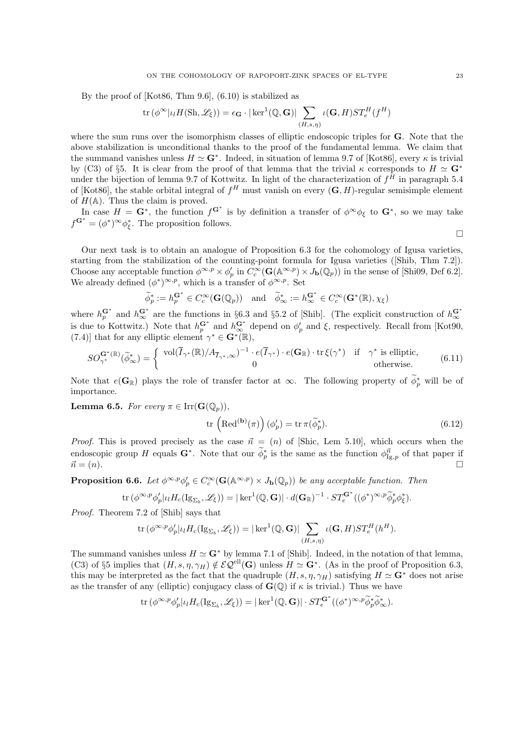By the proof of [Kot86, Thm 9.6], (6.10) is stabilized as

$$
\operatorname{tr}\left(\phi^{\infty}|\iota_{l}H(\mathrm{Sh},\mathscr{L}_{\xi})\right)=\epsilon_{\mathbf{G}}\cdot|\ker^{1}(\mathbb{Q},\mathbf{G})|\sum_{(H,s,\eta)}\iota(\mathbf{G},H)ST_{e}^{H}(f^{H})
$$

where the sum runs over the isomorphism classes of elliptic endoscopic triples for **G**. Note that the above stabilization is unconditional thanks to the proof of the fundamental lemma. We claim that the summand vanishes unless  $H \simeq \mathbf{G}^*$ . Indeed, in situation of lemma 9.7 of [Kot86], every  $\kappa$  is trivial by (C3) of §5. It is clear from the proof of that lemma that the trivial  $\kappa$  corresponds to  $H \simeq \mathbf{G}^*$ under the bijection of lemma 9.7 of Kottwitz. In light of the characterization of  $f^H$  in paragraph 5.4 of [Kot86], the stable orbital integral of  $f^H$  must vanish on every  $(G, H)$ -regular semisimple element of  $H(\mathbb{A})$ . Thus the claim is proved.

In case  $H = \mathbf{G}^*$ , the function  $f^{\mathbf{G}^*}$  is by definition a transfer of  $\phi^{\infty} \phi_{\xi}$  to  $\mathbf{G}^*$ , so we may take  $f^{\mathbf{G}^*} = (\phi^*)^{\infty} \phi_{\xi}^*$ . The proposition follows.

 $\Box$ 

Our next task is to obtain an analogue of Proposition 6.3 for the cohomology of Igusa varieties, starting from the stabilization of the counting-point formula for Igusa varieties ([Shib, Thm 7.2]). Choose any acceptable function  $\phi^{\infty,p} \times \phi'_p$  in  $C_c^{\infty}(\mathbf{G}(\mathbb{A}^{\infty,p}) \times J_{\mathbf{b}}(\mathbb{Q}_p))$  in the sense of [Shi09, Def 6.2]. We already defined  $(\phi^*)^{\infty,p}$ , which is a transfer of  $\phi^{\infty,p}$ . Set

$$
\widetilde{\phi}_p^* := h_p^{\mathbf{G}^*} \in C_c^{\infty}(\mathbf{G}(\mathbb{Q}_p)) \quad \text{and} \quad \widetilde{\phi}_\infty^* := h_\infty^{\mathbf{G}^*} \in C_c^{\infty}(\mathbf{G}^*(\mathbb{R}), \chi_{\xi})
$$

where  $h_p^{\mathbf{G}^*}$  and  $h_\infty^{\mathbf{G}^*}$  are the functions in §6.3 and §5.2 of [Shib]. (The explicit construction of  $h_\infty^{\mathbf{G}^*}$ is due to Kottwitz.) Note that  $h_p^{\mathbf{G}^*}$  and  $h_\infty^{\mathbf{G}^*}$  depend on  $\phi'_p$  and  $\xi$ , respectively. Recall from [Kot90, (7.4)] that for any elliptic element  $\gamma^* \in \mathbf{G}^*(\mathbb{R}),$ 

$$
SO_{\gamma^*}^{\mathbf{G}^*(\mathbb{R})}(\widetilde{\phi}_{\infty}^*) = \begin{cases} \text{vol}(\overline{I}_{\gamma^*}(\mathbb{R})/A_{\overline{I}_{\gamma^*},\infty})^{-1} \cdot e(\overline{I}_{\gamma^*}) \cdot e(\mathbf{G}_{\mathbb{R}}) \cdot \text{tr}\,\xi(\gamma^*) & \text{if } \gamma^* \text{ is elliptic,} \\ 0 & \text{otherwise.} \end{cases} \tag{6.11}
$$

Note that  $e(G_{\mathbb{R}})$  plays the role of transfer factor at  $\infty$ . The following property of  $\phi_p^*$  will be of importance.

**Lemma 6.5.** For every  $\pi \in \text{Irr}(\mathbf{G}(\mathbb{Q}_n))$ ,

$$
\operatorname{tr}\left(\operatorname{Red}^{(\mathbf{b})}(\pi)\right)(\phi'_p) = \operatorname{tr}\pi(\widetilde{\phi}_p^*).
$$
\n(6.12)

*Proof.* This is proved precisely as the case  $\vec{n} = (n)$  of [Shic, Lem 5.10], which occurs when the endoscopic group H equals  $\mathbf{G}^*$ . Note that our  $\phi_p^*$  is the same as the function  $\phi_{\text{Ig},p}^{\vec{n}}$  of that paper if  $\vec{n} = (n).$ 

**Proposition 6.6.** Let  $\phi^{\infty,p}\phi'_p \in C_c^{\infty}(\mathbf{G}(\mathbb{A}^{\infty,p}) \times J_{\mathbf{b}}(\mathbb{Q}_p))$  be any acceptable function. Then

$$
\mathrm{tr}\,(\phi^{\infty,p}\phi_p'| \iota_lH_c(\mathrm{Ig}_{\Sigma_b},\mathscr{L}_\xi))=|\ker^1(\mathbb{Q},\mathbf{G})|\cdot d(\mathbf{G}_\mathbb{R})^{-1}\cdot ST_e^{\mathbf{G}^*}((\phi^*)^{\infty,p}\widetilde{\phi}_p^*\phi_\xi^*).
$$

Proof. Theorem 7.2 of [Shib] says that

$$
\text{tr}\left(\phi^{\infty,p}\phi_p'|_{\mathcal{U}}H_c(\text{Ig}_{\Sigma_b},\mathscr{L}_{\xi})\right) = |\ker^1(\mathbb{Q},\mathbf{G})| \sum_{(H,s,\eta)} \iota(\mathbf{G},H)ST_e^H(h^H).
$$

The summand vanishes unless  $H \simeq \mathbf{G}^*$  by lemma 7.1 of [Shib]. Indeed, in the notation of that lemma, (C3) of §5 implies that  $(H, s, \eta, \gamma_H) \notin \mathcal{EQ}^{\text{ell}}(\mathbf{G})$  unless  $H \simeq \mathbf{G}^*$ . (As in the proof of Proposition 6.3, this may be interpreted as the fact that the quadruple  $(H, s, \eta, \gamma_H)$  satisfying  $H \simeq \mathbf{G}^*$  does not arise as the transfer of any (elliptic) conjugacy class of  $\mathbf{G}(\mathbb{Q})$  if  $\kappa$  is trivial.) Thus we have

$$
\mathrm{tr}\,(\phi^{\infty,p}\phi_p'| \iota_l H_c(\mathrm{Ig}_{\Sigma_b},\mathscr{L}_\xi))=|\ker^1(\mathbb{Q},\mathbf{G})|\cdot ST_e^{\mathbf{G}^*}((\phi^*)^{\infty,p}\widetilde{\phi}_p^*\widetilde{\phi}_\infty^*).
$$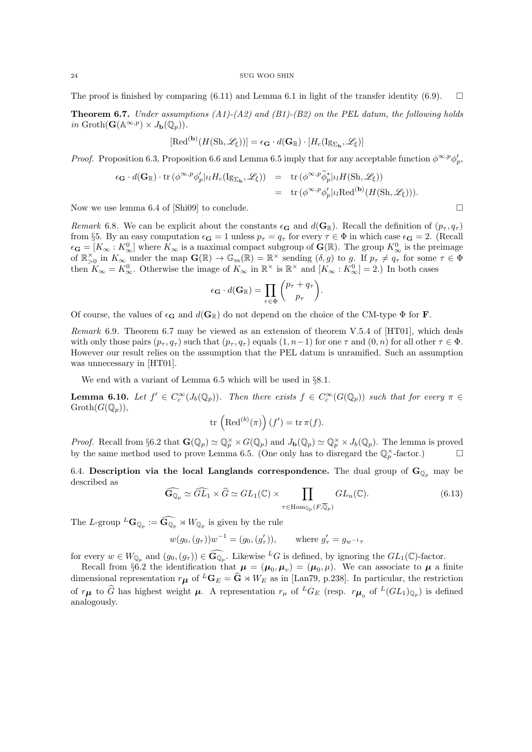The proof is finished by comparing (6.11) and Lemma 6.1 in light of the transfer identity (6.9).  $\square$ 

**Theorem 6.7.** Under assumptions  $(A1)$ - $(A2)$  and  $(B1)$ - $(B2)$  on the PEL datum, the following holds in  $\operatorname{Groth}(\mathbf{G}(\mathbb{A}^{\infty,p}) \times J_{\mathbf{b}}(\mathbb{Q}_p)).$ 

$$
[\text{Red}^{(\mathbf{b})}(H(\text{Sh},\mathscr{L}_{\xi}))] = \epsilon_{\mathbf{G}} \cdot d(\mathbf{G}_{\mathbb{R}}) \cdot [H_c(\text{Ig}_{\Sigma_{\mathbf{b}}},\mathscr{L}_{\xi})]
$$

*Proof.* Proposition 6.3, Proposition 6.6 and Lemma 6.5 imply that for any acceptable function  $\phi^{\infty,p}\phi'_p$ ,

$$
\epsilon_{\mathbf{G}} \cdot d(\mathbf{G}_{\mathbb{R}}) \cdot \operatorname{tr} (\phi^{\infty, p} \phi'_p | \iota_l H_c(\mathrm{Ig}_{\Sigma_{\mathbf{b}}}, \mathscr{L}_{\xi})) = \operatorname{tr} (\phi^{\infty, p} \widetilde{\phi}_p^* | \iota_l H(\mathrm{Sh}, \mathscr{L}_{\xi}))
$$
  
= 
$$
\operatorname{tr} (\phi^{\infty, p} \phi'_p | \iota_l \mathrm{Red}^{(\mathbf{b})} (H(\mathrm{Sh}, \mathscr{L}_{\xi}))).
$$

Now we use lemma 6.4 of [Shi09] to conclude.  $\square$ 

Remark 6.8. We can be explicit about the constants  $\epsilon_{\mathbf{G}}$  and  $d(\mathbf{G}_{\mathbb{R}})$ . Recall the definition of  $(p_{\tau}, q_{\tau})$ from §5. By an easy computation  $\epsilon_{\mathbf{G}} = 1$  unless  $p_{\tau} = q_{\tau}$  for every  $\tau \in \Phi$  in which case  $\epsilon_{\mathbf{G}} = 2$ . (Recall  $\epsilon_{\mathbf{G}} = [K_{\infty}: K_{\infty}^0]$  where  $K_{\infty}$  is a maximal compact subgroup of  $\mathbf{G}(\mathbb{R})$ . The group  $K_{\infty}^0$  is the preimage of  $\mathbb{R}_{>0}^{\times}$  in  $K_{\infty}$  under the map  $\mathbf{G}(\mathbb{R}) \to \mathbb{G}_m(\mathbb{R}) = \mathbb{R}^{\times}$  sending  $(\delta, g)$  to g. If  $p_{\tau} \neq q_{\tau}$  for some  $\tau \in \Phi$ then  $K_{\infty} = K_{\infty}^0$ . Otherwise the image of  $K_{\infty}$  in  $\mathbb{R}^{\times}$  is  $\mathbb{R}^{\times}$  and  $[K_{\infty} : K_{\infty}^0] = 2$ .) In both cases

$$
\epsilon_{\mathbf{G}} \cdot d(\mathbf{G}_{\mathbb{R}}) = \prod_{\tau \in \Phi} {p_{\tau} + q_{\tau} \choose p_{\tau}}.
$$

Of course, the values of  $\epsilon_{\mathbf{G}}$  and  $d(\mathbf{G}_{\mathbb{R}})$  do not depend on the choice of the CM-type  $\Phi$  for **F**.

Remark 6.9. Theorem 6.7 may be viewed as an extension of theorem V.5.4 of [HT01], which deals with only those pairs  $(p_\tau, q_\tau)$  such that  $(p_\tau, q_\tau)$  equals  $(1, n-1)$  for one  $\tau$  and  $(0, n)$  for all other  $\tau \in \Phi$ . However our result relies on the assumption that the PEL datum is unramified. Such an assumption was unnecessary in [HT01].

We end with a variant of Lemma 6.5 which will be used in §8.1.

**Lemma 6.10.** Let  $f' \in C_c^{\infty}(J_b(\mathbb{Q}_p))$ . Then there exists  $f \in C_c^{\infty}(G(\mathbb{Q}_p))$  such that for every  $\pi \in$  $\mathrm{Groth}(G(\mathbb{Q}_p)),$ 

$$
\mathrm{tr}\,\left(\mathrm{Red}^{(b)}(\pi)\right)(f')=\mathrm{tr}\,\pi(f).
$$

*Proof.* Recall from §6.2 that  $\mathbf{G}(\mathbb{Q}_p) \simeq \mathbb{Q}_p^{\times} \times G(\mathbb{Q}_p)$  and  $J_{\mathbf{b}}(\mathbb{Q}_p) \simeq \mathbb{Q}_p^{\times} \times J_b(\mathbb{Q}_p)$ . The lemma is proved by the same method used to prove Lemma 6.5. (One only has to disregard the  $\mathbb{Q}_p^{\times}$ -factor.)

6.4. Description via the local Langlands correspondence. The dual group of  $\mathbf{G}_{\mathbb{Q}_p}$  may be described as

$$
\widehat{\mathbf{G}_{\mathbb{Q}_p}} \simeq \widehat{GL}_1 \times \widehat{G} \simeq GL_1(\mathbb{C}) \times \prod_{\tau \in \text{Hom}_{\mathbb{Q}_p}(F,\overline{\mathbb{Q}}_p)} GL_n(\mathbb{C}).
$$
\n(6.13)

The L-group  ${}^L\mathbf{G}_{\mathbb{Q}_p} := \widehat{\mathbf{G}_{\mathbb{Q}_p}} \rtimes W_{\mathbb{Q}_p}$  is given by the rule

$$
w(g_0, (g_\tau))w^{-1} = (g_0, (g'_\tau)),
$$
 where  $g'_\tau = g_{w^{-1}\tau}$ 

for every  $w \in W_{\mathbb{Q}_p}$  and  $(g_0, (g_\tau)) \in \widehat{\mathbb{G}_{\mathbb{Q}_p}}$ . Likewise <sup>L</sup>G is defined, by ignoring the  $GL_1(\mathbb{C})$ -factor.

Recall from §6.2 the identification that  $\mu = (\mu_0, \mu_v) = (\mu_0, \mu)$ . We can associate to  $\mu$  a finite dimensional representation  $r_{\mu}$  of  ${}^{L}G_{E} = \hat{G} \rtimes W_{E}$  as in [Lan79, p.238]. In particular, the restriction of  $r_{\mu}$  to  $\widehat{G}$  has highest weight  $\mu$ . A representation  $r_{\mu}$  of  ${}^L G_E$  (resp.  $r_{\mu}$  of  ${}^L (GL_1)_{\mathbb{Q}_p}$ ) is defined analogously.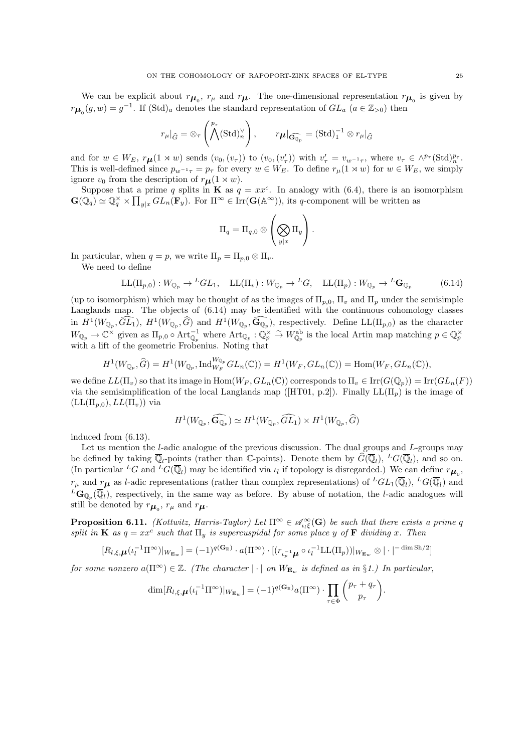We can be explicit about  $r_{\mu_0}$ ,  $r_{\mu}$  and  $r_{\mu}$ . The one-dimensional representation  $r_{\mu_0}$  is given by  $r_{\mu_0}(g, w) = g^{-1}$ . If  $(\text{Std})_a$  denotes the standard representation of  $GL_a$   $(a \in \mathbb{Z}_{>0})$  then

$$
r_{\mu}|_{\widehat{G}} = \otimes_{\tau} \left( \bigwedge^{p_{\tau}} (\text{Std})_{n}^{\vee} \right), \qquad r_{\boldsymbol{\mu}}|_{\widehat{\mathbf{G}_{\mathbb{Q}_p}}} = (\text{Std})_{1}^{-1} \otimes r_{\mu}|_{\widehat{G}}
$$

and for  $w \in W_E$ ,  $r\mu(1 \times w)$  sends  $(v_0, (v_\tau))$  to  $(v_0, (v'_\tau))$  with  $v'_\tau = v_{w^{-1}\tau}$ , where  $v_\tau \in \wedge^{p_\tau}(\text{Std})_n^{p_\tau}$ . This is well-defined since  $p_{w^{-1}\tau} = p_\tau$  for every  $w \in W_E$ . To define  $r_\mu(1 \times w)$  for  $w \in W_E$ , we simply ignore  $v_0$  from the description of  $r_{\mu}(1 \times w)$ .

Suppose that a prime q splits in **K** as  $q = xx^c$ . In analogy with (6.4), there is an isomorphism  $\mathbf{G}(\mathbb{Q}_q) \simeq \mathbb{Q}_q^{\times} \times \prod_{y|x} GL_n(\mathbf{F}_y)$ . For  $\Pi^{\infty} \in \text{Irr}(\mathbf{G}(\mathbb{A}^{\infty}))$ , its q-component will be written as

$$
\Pi_q = \Pi_{q,0} \otimes \left(\bigotimes_{y|x} \Pi_y\right).
$$

In particular, when  $q = p$ , we write  $\Pi_p = \Pi_{p,0} \otimes \Pi_v$ .

We need to define

$$
LL(\Pi_{p,0}): W_{\mathbb{Q}_p} \to {}^LGL_1, \quad LL(\Pi_v): W_{\mathbb{Q}_p} \to {}^LG, \quad LL(\Pi_p): W_{\mathbb{Q}_p} \to {}^L\mathbf{G}_{\mathbb{Q}_p} \tag{6.14}
$$

(up to isomorphism) which may be thought of as the images of  $\Pi_{p,0}$ ,  $\Pi_{v}$  and  $\Pi_{p}$  under the semisimple Langlands map. The objects of (6.14) may be identified with the continuous cohomology classes in  $H^1(W_{\mathbb{Q}_p}, \widehat{GL}_1)$ ,  $H^1(W_{\mathbb{Q}_p}, \widehat{G})$  and  $H^1(W_{\mathbb{Q}_p}, \widehat{\mathbf{G}}_{\mathbb{Q}_p})$ , respectively. Define  $LL(\Pi_{p,0})$  as the character  $W_{\mathbb{Q}_p} \to \mathbb{C}^{\times}$  given as  $\Pi_{p,0} \circ \text{Art}_{\mathbb{Q}_p}^{-1}$  where  $\text{Art}_{\mathbb{Q}_p} : \mathbb{Q}_p^{\times} \stackrel{\sim}{\to} W_{\mathbb{Q}_p}^{\text{ab}}$  is the local Artin map matching  $p \in \mathbb{Q}_p^{\times}$ with a lift of the geometric Frobenius. Noting that

$$
H^1(W_{\mathbb{Q}_p}, \widehat{G}) = H^1(W_{\mathbb{Q}_p}, \mathrm{Ind}_{W_F}^{W_{\mathbb{Q}_p}} GL_n(\mathbb{C})) = H^1(W_F, GL_n(\mathbb{C})) = \mathrm{Hom}(W_F, GL_n(\mathbb{C})),
$$

we define  $LL(\Pi_v)$  so that its image in  $\text{Hom}(W_F, GL_n(\mathbb{C}))$  corresponds to  $\Pi_v \in \text{Irr}(G(\mathbb{Q}_p)) = \text{Irr}(GL_n(F))$ via the semisimplification of the local Langlands map ([HT01, p.2]). Finally  $LL(\Pi_p)$  is the image of  $(LL(\Pi_{p,0}), LL(\Pi_v))$  via

$$
H^1(W_{\mathbb{Q}_p}, \widehat{\mathbf{G}_{\mathbb{Q}_p}}) \simeq H^1(W_{\mathbb{Q}_p}, \widehat{GL_1}) \times H^1(W_{\mathbb{Q}_p}, \widehat{G})
$$

induced from (6.13).

Let us mention the *l*-adic analogue of the previous discussion. The dual groups and  $L$ -groups may be defined by taking  $\overline{\mathbb{Q}}_l$ -points (rather than C-points). Denote them by  $\widehat{G}(\overline{\mathbb{Q}}_l)$ ,  $^L G(\overline{\mathbb{Q}}_l)$ , and so on. (In particular <sup>L</sup>G and <sup>L</sup>G( $\overline{\mathbb{Q}}_l$ ) may be identified via  $\iota_l$  if topology is disregarded.) We can define  $r_{\mu_0}$ ,  $r_{\mu}$  and  $r_{\mu}$  as *l*-adic representations (rather than complex representations) of  ${}^LGL_1(\overline{\mathbb{Q}}_l)$ ,  ${}^LG(\overline{\mathbb{Q}}_l)$  and  ${}^L\textbf{G}_{\mathbb{Q}_p}(\overline{\mathbb{Q}}_l)$ , respectively, in the same way as before. By abuse of notation, the *l*-adic analogues will still be denoted by  $r_{\mu_0}$ ,  $r_{\mu}$  and  $r_{\mu}$ .

**Proposition 6.11.** (Kottwitz, Harris-Taylor) Let  $\Pi^{\infty} \in \mathcal{A}_{\iota_k \xi}^{\infty}(\mathbf{G})$  be such that there exists a prime q split in **K** as  $q = xx^c$  such that  $\Pi_y$  is supercuspidal for some place y of **F** dividing x. Then

$$
[R_{l,\xi,\boldsymbol{\mu}}(\iota_l^{-1}\Pi^\infty)|_{W_{\mathbf{E}_w}}] = (-1)^{q(\mathbf{G}_{\mathbb{R}})} \cdot a(\Pi^\infty) \cdot [(\iota_{\iota_p^{-1}\boldsymbol{\mu}} \circ \iota_l^{-1}\mathrm{LL}(\Pi_p))|_{W_{\mathbf{E}_w}} \otimes |\cdot|^{-\dim \mathrm{Sh}/2}]
$$

for some nonzero  $a(\Pi^{\infty}) \in \mathbb{Z}$ . (The character  $|\cdot|$  on  $W_{\mathbf{E}_w}$  is defined as in §1.) In particular,

$$
\dim[R_{l,\xi,\boldsymbol{\mu}}(\iota_l^{-1}\Pi^\infty)|_{W_{\mathbf{E}_w}}] = (-1)^{q(\mathbf{G}_{\mathbb{R}})} a(\Pi^\infty) \cdot \prod_{\tau \in \Phi} \binom{p_\tau + q_\tau}{p_\tau}.
$$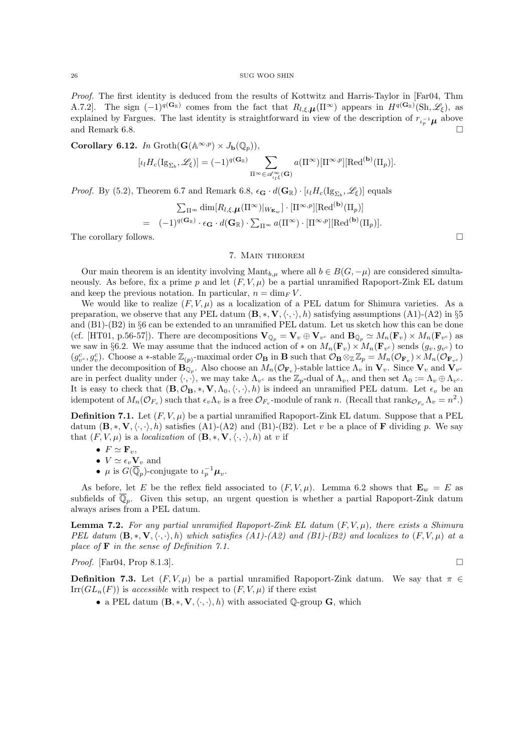Proof. The first identity is deduced from the results of Kottwitz and Harris-Taylor in [Far04, Thm A.7.2]. The sign  $(-1)^{q(\mathbf{G}_{\mathbb{R}})}$  comes from the fact that  $R_{l,\xi,\mu}(\Pi^{\infty})$  appears in  $H^{q(\mathbf{G}_{\mathbb{R}})}(\text{Sh},\mathscr{L}_{\xi})$ , as explained by Fargues. The last identity is straightforward in view of the description of  $r_{\iota_p^{-1}}\mu$  above and Remark 6.8.

Corollary 6.12. In  $\mathrm{Groth}(\mathbf{G}(\mathbb{A}^{\infty,p}) \times J_{\mathbf{b}}(\mathbb{Q}_p)),$ 

$$
[\iota_l H_c(\mathrm{Ig}_{\Sigma_b},\mathscr{L}_\xi)] = (-1)^{q(\mathbf{G}_\mathbb{R})} \sum_{\Pi^\infty \in \mathscr{A}_{\iota_l \xi}^\infty(\mathbf{G})} a(\Pi^\infty) [\Pi^{\infty,p}] [\mathrm{Red}^{(\mathbf{b})}(\Pi_p)].
$$

*Proof.* By (5.2), Theorem 6.7 and Remark 6.8,  $\epsilon_{\mathbf{G}} \cdot d(\mathbf{G}_{\mathbb{R}}) \cdot [\iota_l H_c(\mathrm{Ig}_{\Sigma_b}, \mathscr{L}_{\xi})]$  equals

$$
\sum_{\Pi^{\infty}} \dim[R_{l,\xi,\mu}(\Pi^{\infty})|_{W_{\mathbf{E}_w}}] \cdot [\Pi^{\infty,p}][\text{Red}^{(\mathbf{b})}(\Pi_p)]
$$
  
=  $(-1)^{q(\mathbf{G}_{\mathbb{R}})} \cdot \epsilon_{\mathbf{G}} \cdot d(\mathbf{G}_{\mathbb{R}}) \cdot \sum_{\Pi^{\infty}} a(\Pi^{\infty}) \cdot [\Pi^{\infty,p}][\text{Red}^{(\mathbf{b})}(\Pi_p)].$ 

The corollary follows.

## 7. Main theorem

Our main theorem is an identity involving Mant<sub>b,µ</sub> where all  $b \in B(G, -\mu)$  are considered simultaneously. As before, fix a prime p and let  $(F, V, \mu)$  be a partial unramified Rapoport-Zink EL datum and keep the previous notation. In particular,  $n = \dim_F V$ .

We would like to realize  $(F, V, \mu)$  as a localization of a PEL datum for Shimura varieties. As a preparation, we observe that any PEL datum  $(\mathbf{B}, \ast, \mathbf{V}, \langle \cdot, \cdot \rangle, h)$  satisfying assumptions  $(A1)-(A2)$  in §5 and (B1)-(B2) in §6 can be extended to an unramified PEL datum. Let us sketch how this can be done (cf. [HT01, p.56-57]). There are decompositions  $\mathbf{V}_{\mathbb{Q}_p} = \mathbf{V}_v \oplus \mathbf{V}_{v^c}$  and  $\mathbf{B}_{\mathbb{Q}_p} \simeq M_n(\mathbf{F}_v) \times M_n(\mathbf{F}_{v^c})$  as we saw in §6.2. We may assume that the induced action of  $*$  on  $M_n(\mathbf{F}_v) \times M_n(\mathbf{F}_{v^c})$  sends  $(g_v, g_{v^c})$  to  $(g_v^c, g_v^c)$ . Choose a \*-stable  $\mathbb{Z}_{(p)}$ -maximal order  $\mathcal{O}_B$  in **B** such that  $\mathcal{O}_B \otimes_{\mathbb{Z}} \mathbb{Z}_p = M_n(\mathcal{O}_{\mathbf{F}_v}) \times M_n(\mathcal{O}_{\mathbf{F}_v^c})$ under the decomposition of  $B_{\mathbb{Q}_p}$ . Also choose an  $M_n(\mathcal{O}_{\mathbf{F}_v})$ -stable lattice  $\Lambda_v$  in  $\mathbf{V}_v$ . Since  $\mathbf{V}_v$  and  $\mathbf{V}_{v^c}$ are in perfect duality under  $\langle \cdot, \cdot \rangle$ , we may take  $\Lambda_{v^c}$  as the  $\mathbb{Z}_p$ -dual of  $\Lambda_v$ , and then set  $\Lambda_0 := \Lambda_v \oplus \Lambda_{v^c}$ . It is easy to check that  $(\mathbf{B}, \mathcal{O}_\mathbf{B}, *, \mathbf{V}, \Lambda_0, \langle \cdot, \cdot \rangle, h)$  is indeed an unramified PEL datum. Let  $\epsilon_v$  be an idempotent of  $M_n(\mathcal{O}_{F_v})$  such that  $\epsilon_v \Lambda_v$  is a free  $\mathcal{O}_{F_v}$ -module of rank n. (Recall that  $\text{rank}_{\mathcal{O}_{F_v}} \Lambda_v = n^2$ .)

**Definition 7.1.** Let  $(F, V, \mu)$  be a partial unramified Rapoport-Zink EL datum. Suppose that a PEL datum  $(\mathbf{B}, \ast, \mathbf{V}, \langle \cdot, \cdot \rangle, h)$  satisfies (A1)-(A2) and (B1)-(B2). Let v be a place of **F** dividing p. We say that  $(F, V, \mu)$  is a *localization* of  $(\mathbf{B}, \ast, \mathbf{V}, \langle \cdot, \cdot \rangle, h)$  at v if

- $F \simeq \mathbf{F}_v$ ,
- $V \simeq \epsilon_v \mathbf{V}_v$  and
- $\mu$  is  $G(\overline{\mathbb{Q}}_p)$ -conjugate to  $\iota_p^{-1}\mu_v$ .

As before, let E be the reflex field associated to  $(F, V, \mu)$ . Lemma 6.2 shows that  $\mathbf{E}_w = E$  as subfields of  $\overline{\mathbb{Q}}_p$ . Given this setup, an urgent question is whether a partial Rapoport-Zink datum always arises from a PEL datum.

**Lemma 7.2.** For any partial unramified Rapoport-Zink EL datum  $(F, V, \mu)$ , there exists a Shimura PEL datum  $(\mathbf{B},*,\mathbf{V},\langle\cdot,\cdot\rangle,h)$  which satisfies  $(A1)-(A2)$  and  $(B1)-(B2)$  and localizes to  $(F,V,\mu)$  at a place of  $\bf{F}$  in the sense of Definition 7.1.

*Proof.* [Far04, Prop 8.1.3].

**Definition 7.3.** Let  $(F, V, \mu)$  be a partial unramified Rapoport-Zink datum. We say that  $\pi \in$  $\text{Irr}(GL_n(F))$  is accessible with respect to  $(F, V, \mu)$  if there exist

• a PEL datum  $(\mathbf{B}, \ast, \mathbf{V}, \langle \cdot, \cdot \rangle, h)$  with associated Q-group G, which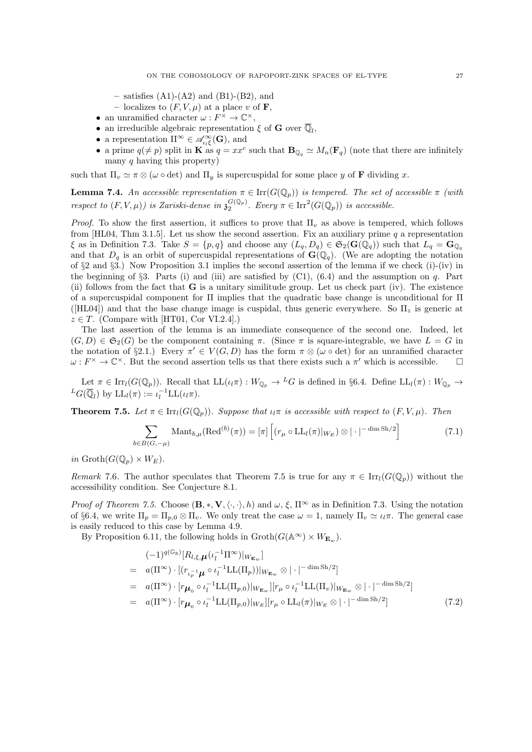- $-$  satisfies  $(A1)-(A2)$  and  $(B1)-(B2)$ , and
- localizes to  $(F, V, \mu)$  at a place v of **F**,
- an unramified character  $\omega: F^{\times} \to \mathbb{C}^{\times}$ ,
- $\bullet\,$  an irreducible algebraic representation  $\xi$  of<br>  ${\bf G}$  over  $\overline{\mathbb{Q}}_l,$
- a representation  $\Pi^{\infty} \in \mathscr{A}_{\iota_{l}\xi}^{\infty}(\mathbf{G})$ , and
- a prime  $q(\neq p)$  split in **K** as  $q = xx^c$  such that  $\mathbf{B}_{\mathbb{Q}_q} \simeq M_n(\mathbf{F}_q)$  (note that there are infinitely many  $q$  having this property)

such that  $\Pi_v \simeq \pi \otimes (\omega \circ \det)$  and  $\Pi_y$  is supercuspidal for some place y of **F** dividing x.

**Lemma 7.4.** An accessible representation  $\pi \in \text{Irr}(G(\mathbb{Q}_p))$  is tempered. The set of accessible  $\pi$  (with respect to  $(F, V, \mu)$ ) is Zariski-dense in  $\mathfrak{z}_2^{G(\mathbb{Q}_p)}$ . Every  $\pi \in \text{Irr}^2(G(\mathbb{Q}_p))$  is accessible.

*Proof.* To show the first assertion, it suffices to prove that  $\Pi_v$  as above is tempered, which follows from  $[HL04, Thm 3.1.5]$ . Let us show the second assertion. Fix an auxiliary prime q a representation  $\xi$  as in Definition 7.3. Take  $S = \{p, q\}$  and choose any  $(L_q, D_q) \in \mathfrak{S}_2(\mathbf{G}(\mathbb{Q}_q))$  such that  $L_q = \mathbf{G}_{\mathbb{Q}_q}$ and that  $D_q$  is an orbit of supercuspidal representations of  $\mathbf{G}(\mathbb{Q}_q)$ . (We are adopting the notation of §2 and §3.) Now Proposition 3.1 implies the second assertion of the lemma if we check (i)-(iv) in the beginning of  $\S3$ . Parts (i) and (iii) are satisfied by (C1), (6.4) and the assumption on q. Part (ii) follows from the fact that  $G$  is a unitary similitude group. Let us check part (iv). The existence of a supercuspidal component for Π implies that the quadratic base change is unconditional for Π ([HL04]) and that the base change image is cuspidal, thus generic everywhere. So  $\Pi_z$  is generic at  $z \in T$ . (Compare with [HT01, Cor VI.2.4].)

The last assertion of the lemma is an immediate consequence of the second one. Indeed, let  $(G, D) \in \mathfrak{S}_2(G)$  be the component containing  $\pi$ . (Since  $\pi$  is square-integrable, we have  $L = G$  in the notation of §2.1.) Every  $\pi' \in V(G, D)$  has the form  $\pi \otimes (\omega \circ \det)$  for an unramified character  $\omega: F^{\times} \to \mathbb{C}^{\times}$ . But the second assertion tells us that there exists such a  $\pi'$  which is accessible.

Let  $\pi \in \text{Irr}_l(G(\mathbb{Q}_p))$ . Recall that  $LL(\iota_l\pi): W_{\mathbb{Q}_p} \to {}^L G$  is defined in §6.4. Define  $LL_l(\pi): W_{\mathbb{Q}_p} \to$  ${}^L G(\overline{\mathbb{Q}}_l)$  by  $\mathrm{LL}_l(\pi) := \iota_l^{-1} \mathrm{LL}(\iota_l \pi)$ .

**Theorem 7.5.** Let  $\pi \in \text{Irr}_l(G(\mathbb{Q}_p))$ . Suppose that  $\iota_l\pi$  is accessible with respect to  $(F, V, \mu)$ . Then

$$
\sum_{b \in B(G, -\mu)} \text{Mant}_{b,\mu}(\text{Red}^{(b)}(\pi)) = [\pi] \left[ (r_{\mu} \circ \text{LL}_{l}(\pi)|_{W_E}) \otimes | \cdot |^{-\dim \text{Sh}/2} \right] \tag{7.1}
$$

in  $\operatorname{Groth}(G(\mathbb{Q}_p)\times W_E)$ .

Remark 7.6. The author speculates that Theorem 7.5 is true for any  $\pi \in \text{Irr}_l(G(\mathbb{Q}_p))$  without the accessibility condition. See Conjecture 8.1.

*Proof of Theorem 7.5.* Choose  $(\mathbf{B}, \ast, \mathbf{V}, \langle \cdot, \cdot \rangle, h)$  and  $\omega, \xi, \Pi^{\infty}$  as in Definition 7.3. Using the notation of §6.4, we write  $\Pi_p = \Pi_{p,0} \otimes \Pi_v$ . We only treat the case  $\omega = 1$ , namely  $\Pi_v \simeq \iota_l \pi$ . The general case is easily reduced to this case by Lemma 4.9.

By Proposition 6.11, the following holds in  $\operatorname{Groth}(G(\mathbb{A}^{\infty}) \times W_{\mathbf{E}_w})$ .

$$
(-1)^{q(\mathbb{G}_{\mathbb{R}})}[R_{l,\xi,\mu}(\iota_{l}^{-1}\Pi^{\infty})|_{W_{\mathbf{E}_{w}}}]
$$
\n
$$
= a(\Pi^{\infty}) \cdot [(\r_{\iota_{p}^{-1}}\mu \circ \iota_{l}^{-1}\text{LL}(\Pi_{p}))|_{W_{\mathbf{E}_{w}}} \otimes |\cdot|^{-\dim \text{Sh}/2}]
$$
\n
$$
= a(\Pi^{\infty}) \cdot [r\mu_{0} \circ \iota_{l}^{-1}\text{LL}(\Pi_{p,0})|_{W_{\mathbf{E}_{w}}}][r\mu \circ \iota_{l}^{-1}\text{LL}(\Pi_{v})|_{W_{\mathbf{E}_{w}}} \otimes |\cdot|^{-\dim \text{Sh}/2}]
$$
\n
$$
= a(\Pi^{\infty}) \cdot [r\mu_{0} \circ \iota_{l}^{-1}\text{LL}(\Pi_{p,0})|_{W_{E}}][r\mu \circ \text{LL}_{l}(\pi)|_{W_{E}} \otimes |\cdot|^{-\dim \text{Sh}/2}]
$$
\n
$$
(7.2)
$$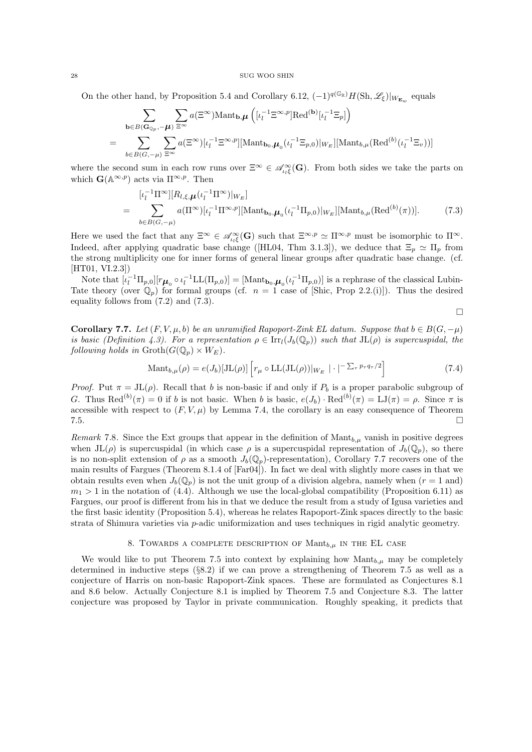On the other hand, by Proposition 5.4 and Corollary 6.12,  $(-1)^{q(\mathbb{G}_{\mathbb{R}})}H(\mathrm{Sh},\mathscr{L}_{\xi})|_{W_{\mathbf{E}_w}}$  equals

$$
\sum_{\mathbf{b}\in B(\mathbf{G}_{\mathbb{Q}_p}, -\boldsymbol{\mu})} \sum_{\Xi^{\infty}} a(\Xi^{\infty}) \text{Mant}_{\mathbf{b},\boldsymbol{\mu}} \left( [\iota_l^{-1}\Xi^{\infty,p}] \text{Red}^{(\mathbf{b})} [\iota_l^{-1}\Xi_p] \right)
$$
\n
$$
= \sum_{b\in B(G,-\boldsymbol{\mu})} \sum_{\Xi^{\infty}} a(\Xi^{\infty}) [\iota_l^{-1}\Xi^{\infty,p}] [\text{Mant}_{\mathbf{b}_0,\boldsymbol{\mu}_0} (\iota_l^{-1}\Xi_{p,0})]_{W_E}] [\text{Mant}_{b,\boldsymbol{\mu}} (\text{Red}^{(b)} (\iota_l^{-1}\Xi_v))]
$$

where the second sum in each row runs over  $\Xi^{\infty} \in \mathscr{A}_{\iota_k \xi}^{\infty}(\mathbf{G})$ . From both sides we take the parts on which  $\mathbf{G}(\mathbb{A}^{\infty,p})$  acts via  $\Pi^{\infty,p}$ . Then

$$
= \sum_{b \in B(G,-\mu)} [l_l^{1} \Pi^{\infty}][R_{l,\xi,\mu}(\iota_l^{-1} \Pi^{\infty})|_{W_E}]
$$
  
= 
$$
\sum_{b \in B(G,-\mu)} a(\Pi^{\infty})[\iota_l^{-1} \Pi^{\infty,p}][\text{Mant}_{\mathbf{b}_0,\mu}( \iota_l^{-1} \Pi_{p,0})|_{W_E}][\text{Mant}_{b,\mu}(\text{Red}^{(b)}(\pi))].
$$
 (7.3)

Here we used the fact that any  $\Xi^{\infty} \in \mathscr{A}_{\iota_l \xi}^{\infty}(\mathbf{G})$  such that  $\Xi^{\infty,p} \simeq \Pi^{\infty,p}$  must be isomorphic to  $\Pi^{\infty}$ . Indeed, after applying quadratic base change ([HL04, Thm 3.1.3]), we deduce that  $\Xi_p \simeq \Pi_p$  from the strong multiplicity one for inner forms of general linear groups after quadratic base change. (cf. [HT01, VI.2.3])

Note that  $[\iota_l^{-1} \Pi_{p,0}] [r \mu_0 \circ \iota_l^{-1} L L(\Pi_{p,0})] = [\text{Mant}_{\mathbf{b}_0,\mathbf{\mu}_0}(\iota_l^{-1} \Pi_{p,0})]$  is a rephrase of the classical Lubin-Tate theory (over  $\mathbb{Q}_p$ ) for formal groups (cf.  $n = 1$  case of [Shic, Prop 2.2.(i)]). Thus the desired equality follows from (7.2) and (7.3).

$$
\Box
$$

**Corollary 7.7.** Let  $(F, V, \mu, b)$  be an unramified Rapoport-Zink EL datum. Suppose that  $b \in B(G, -\mu)$ is basic (Definition 4.3). For a representation  $\rho \in \text{Irr}_l(J_b(\mathbb{Q}_p))$  such that  $JL(\rho)$  is supercuspidal, the following holds in  $\mathrm{Groth}(G(\mathbb{Q}_p)\times W_E)$ .

$$
\text{Mant}_{b,\mu}(\rho) = e(J_b)[\text{JL}(\rho)] \left[ r_{\mu} \circ \text{LL}(\text{JL}(\rho)) |_{W_E} \right] \cdot \left| \left| \left| \sum_{\tau} p_{\tau} q_{\tau}/2 \right| \right. \right] \tag{7.4}
$$

*Proof.* Put  $\pi = JL(\rho)$ . Recall that b is non-basic if and only if  $P_b$  is a proper parabolic subgroup of G. Thus  $\text{Red}^{(b)}(\pi) = 0$  if b is not basic. When b is basic,  $e(J_b) \cdot \text{Red}^{(b)}(\pi) = LJ(\pi) = \rho$ . Since  $\pi$  is accessible with respect to  $(F, V, \mu)$  by Lemma 7.4, the corollary is an easy consequence of Theorem  $7.5.$ 

Remark 7.8. Since the Ext groups that appear in the definition of  $\text{Mant}_{b,\mu}$  vanish in positive degrees when  $JL(\rho)$  is supercuspidal (in which case  $\rho$  is a supercuspidal representation of  $J_b(\mathbb{Q}_p)$ , so there is no non-split extension of  $\rho$  as a smooth  $J_b(\mathbb{Q}_p)$ -representation), Corollary 7.7 recovers one of the main results of Fargues (Theorem 8.1.4 of [Far04]). In fact we deal with slightly more cases in that we obtain results even when  $J_b(\mathbb{Q}_p)$  is not the unit group of a division algebra, namely when  $(r = 1 \text{ and})$  $m_1 > 1$  in the notation of (4.4). Although we use the local-global compatibility (Proposition 6.11) as Fargues, our proof is different from his in that we deduce the result from a study of Igusa varieties and the first basic identity (Proposition 5.4), whereas he relates Rapoport-Zink spaces directly to the basic strata of Shimura varieties via p-adic uniformization and uses techniques in rigid analytic geometry.

# 8. TOWARDS A COMPLETE DESCRIPTION OF  $\text{Mant}_{b,\mu}$  in the EL case

We would like to put Theorem 7.5 into context by explaining how  $\text{Mant}_{b,\mu}$  may be completely determined in inductive steps (§8.2) if we can prove a strengthening of Theorem 7.5 as well as a conjecture of Harris on non-basic Rapoport-Zink spaces. These are formulated as Conjectures 8.1 and 8.6 below. Actually Conjecture 8.1 is implied by Theorem 7.5 and Conjecture 8.3. The latter conjecture was proposed by Taylor in private communication. Roughly speaking, it predicts that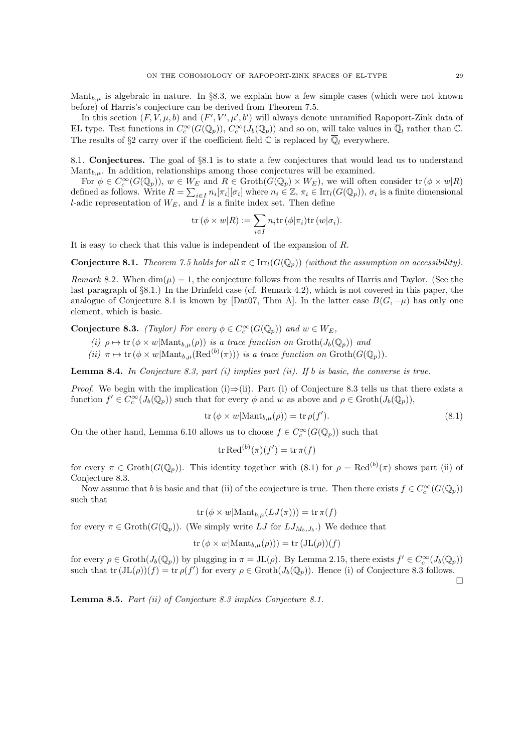Mant $_{b,\mu}$  is algebraic in nature. In §8.3, we explain how a few simple cases (which were not known before) of Harris's conjecture can be derived from Theorem 7.5.

In this section  $(F, V, \mu, b)$  and  $(F', V', \mu', b')$  will always denote unramified Rapoport-Zink data of EL type. Test functions in  $C_c^{\infty}(G(\mathbb{Q}_p))$ ,  $C_c^{\infty}(J_b(\mathbb{Q}_p))$  and so on, will take values in  $\overline{\mathbb{Q}}_l$  rather than  $\mathbb{C}$ . The results of §2 carry over if the coefficient field  $\mathbb C$  is replaced by  $\overline{\mathbb Q}_l$  everywhere.

8.1. Conjectures. The goal of §8.1 is to state a few conjectures that would lead us to understand  $\text{Mant}_{b,\mu}$ . In addition, relationships among those conjectures will be examined.

For  $\phi \in C_c^{\infty}(G(\mathbb{Q}_p)), w \in W_E$  and  $R \in \text{Groth}(G(\mathbb{Q}_p) \times W_E)$ , we will often consider  $\text{tr}(\phi \times w|R)$ defined as follows. Write  $R = \sum_{i \in I} n_i [\pi_i] [\sigma_i]$  where  $n_i \in \mathbb{Z}$ ,  $\pi_i \in \text{Irr}_l(G(\mathbb{Q}_p))$ ,  $\sigma_i$  is a finite dimensional l-adic representation of  $W_E$ , and  $\overline{I}$  is a finite index set. Then define

$$
\mathrm{tr}\,(\phi\times w|R):=\sum_{i\in I}n_i\mathrm{tr}\,(\phi|\pi_i)\mathrm{tr}\,(w|\sigma_i).
$$

It is easy to check that this value is independent of the expansion of R.

**Conjecture 8.1.** Theorem 7.5 holds for all  $\pi \in \text{Irr}_l(G(\mathbb{Q}_n))$  (without the assumption on accessibility).

Remark 8.2. When  $\dim(\mu) = 1$ , the conjecture follows from the results of Harris and Taylor. (See the last paragraph of §8.1.) In the Drinfeld case (cf. Remark 4.2), which is not covered in this paper, the analogue of Conjecture 8.1 is known by [Dat07, Thm A]. In the latter case  $B(G, -\mu)$  has only one element, which is basic.

**Conjecture 8.3.** (Taylor) For every  $\phi \in C_c^{\infty}(G(\mathbb{Q}_p))$  and  $w \in W_E$ ,

(i)  $\rho \mapsto \text{tr}(\phi \times w | \text{Mant}_{b,\mu}(\rho))$  is a trace function on  $\text{Groth}(J_b(\mathbb{Q}_p))$  and

(ii)  $\pi \mapsto \text{tr}(\phi \times w | \text{Mant}_{b,\mu}(\text{Red}^{(b)}(\pi)))$  is a trace function on  $\text{Groth}(G(\mathbb{Q}_p)).$ 

**Lemma 8.4.** In Conjecture 8.3, part (i) implies part (ii). If b is basic, the converse is true.

*Proof.* We begin with the implication (i)⇒(ii). Part (i) of Conjecture 8.3 tells us that there exists a function  $f' \in C_c^{\infty}(J_b(\mathbb{Q}_p))$  such that for every  $\phi$  and w as above and  $\rho \in \text{Groth}(J_b(\mathbb{Q}_p))$ ,

$$
\operatorname{tr}\left(\phi \times w | \operatorname{Mant}_{b,\mu}(\rho)\right) = \operatorname{tr}\rho(f').\tag{8.1}
$$

On the other hand, Lemma 6.10 allows us to choose  $f \in C_c^{\infty}(G(\mathbb{Q}_p))$  such that

$$
\operatorname{tr} \operatorname{Red}^{(b)}(\pi)(f') = \operatorname{tr} \pi(f)
$$

for every  $\pi \in \text{Groth}(G(\mathbb{Q}_p))$ . This identity together with  $(8.1)$  for  $\rho = \text{Red}^{(b)}(\pi)$  shows part (ii) of Conjecture 8.3.

Now assume that b is basic and that (ii) of the conjecture is true. Then there exists  $f \in C_c^{\infty}(G(\mathbb{Q}_p))$ such that

$$
\operatorname{tr}(\phi \times w | \mathrm{Mant}_{b,\mu}(LJ(\pi))) = \operatorname{tr} \pi(f)
$$

for every  $\pi \in \text{Groth}(G(\mathbb{Q}_p))$ . (We simply write LJ for  $LJ_{M_b,J_b}$ .) We deduce that

$$
\text{tr}(\phi \times w | \text{Mant}_{b,\mu}(\rho))) = \text{tr}(\text{JL}(\rho))(f)
$$

for every  $\rho \in \text{Groth}(J_b(\mathbb{Q}_p))$  by plugging in  $\pi = \text{JL}(\rho)$ . By Lemma 2.15, there exists  $f' \in C_c^{\infty}(J_b(\mathbb{Q}_p))$ such that  $\text{tr}(\text{JL}(\rho))(f) = \text{tr}\,\rho(f')$  for every  $\rho \in \text{Groth}(J_b(\mathbb{Q}_p))$ . Hence (i) of Conjecture 8.3 follows.

 $\Box$ 

Lemma 8.5. Part (ii) of Conjecture 8.3 implies Conjecture 8.1.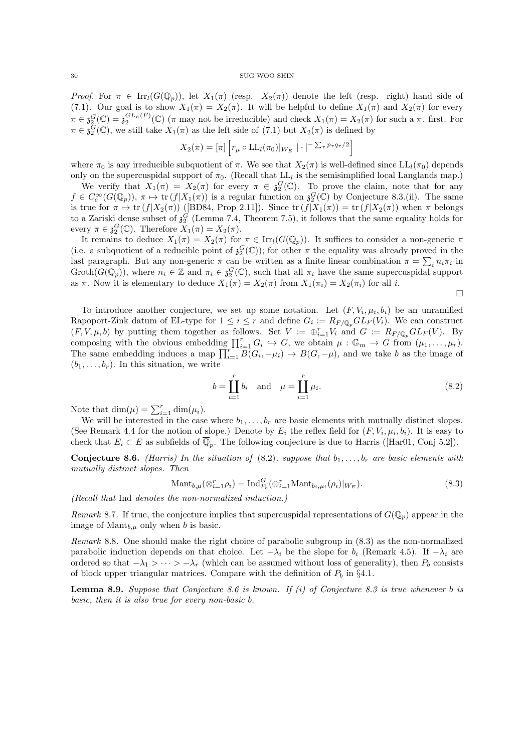Proof. For  $\pi \in \text{Irr}_l(G(\mathbb{Q}_p))$ , let  $X_1(\pi)$  (resp.  $X_2(\pi)$ ) denote the left (resp. right) hand side of (7.1). Our goal is to show  $X_1(\pi) = X_2(\pi)$ . It will be helpful to define  $X_1(\pi)$  and  $X_2(\pi)$  for every  $\pi \in \mathfrak{z}_2^G(\mathbb{C}) = \mathfrak{z}_2^{GL_n(F)}(\mathbb{C})$  ( $\pi$  may not be irreducible) and check  $X_1(\pi) = X_2(\pi)$  for such a  $\pi$ . first. For  $\pi \in \tilde{\mathfrak{z}}_2^{\tilde{G}}(\mathbb{C})$ , we still take  $X_1(\pi)$  as the left side of  $(7.1)$  but  $X_2(\pi)$  is defined by

$$
X_2(\pi) = [\pi] \left[ r_\mu \circ \mathrm{LL}_l(\pi_0) |_{W_E} | \cdot |^{-\sum_{\tau} p_\tau q_\tau/2} \right]
$$

where  $\pi_0$  is any irreducible subquotient of  $\pi$ . We see that  $X_2(\pi)$  is well-defined since  $LL_l(\pi_0)$  depends only on the supercuspidal support of  $\pi_0$ . (Recall that  $LL_l$  is the semisimplified local Langlands map.)

We verify that  $X_1(\pi) = X_2(\pi)$  for every  $\pi \in \mathfrak{z}_2^G(\mathbb{C})$ . To prove the claim, note that for any  $f \in C_c^{\infty}(G(\mathbb{Q}_p)), \pi \mapsto \text{tr}(f|X_1(\pi))$  is a regular function on  $\mathfrak{z}_2^G(\mathbb{C})$  by Conjecture 8.3.(ii). The same is true for  $\pi \mapsto \text{tr}(f|X_2(\pi))$  ([BD84, Prop 2.11]). Since  $\text{tr}(f|X_1(\pi)) = \text{tr}(f|X_2(\pi))$  when  $\pi$  belongs to a Zariski dense subset of  $\mathfrak{z}_2^G$  (Lemma 7.4, Theorem 7.5), it follows that the same equality holds for every  $\pi \in \mathfrak{z}_2^G(\mathbb{C})$ . Therefore  $X_1(\pi) = X_2(\pi)$ .

It remains to deduce  $X_1(\pi) = X_2(\pi)$  for  $\pi \in \text{Irr}_l(G(\mathbb{Q}_p))$ . It suffices to consider a non-generic  $\pi$ (i.e. a subquotient of a reducible point of  $\mathfrak{z}_2^G(\mathbb{C})$ ); for other  $\pi$  the equality was already proved in the last paragraph. But any non-generic  $\pi$  can be written as a finite linear combination  $\pi = \sum_i n_i \pi_i$  in  $\mathrm{Groth}(G(\mathbb{Q}_p))$ , where  $n_i \in \mathbb{Z}$  and  $\pi_i \in \mathfrak{z}_2^G(\mathbb{C})$ , such that all  $\pi_i$  have the same supercuspidal support as  $\pi$ . Now it is elementary to deduce  $X_1(\pi) = X_2(\pi)$  from  $X_1(\pi_i) = X_2(\pi_i)$  for all i.

 $\Box$ 

To introduce another conjecture, we set up some notation. Let  $(F, V_i, \mu_i, b_i)$  be an unramified Rapoport-Zink datum of EL-type for  $1 \leq i \leq r$  and define  $G_i := R_{F/\mathbb{Q}_p} GL_F(V_i)$ . We can construct  $(F, V, \mu, b)$  by putting them together as follows. Set  $V := \bigoplus_{i=1}^r V_i$  and  $G := R_{F/\mathbb{Q}_p} GL_F(V)$ . By composing with the obvious embedding  $\prod_{i=1}^r G_i \hookrightarrow G$ , we obtain  $\mu: \mathbb{G}_m \to G$  from  $(\mu_1, \ldots, \mu_r)$ . The same embedding induces a map  $\prod_{i=1}^{r} B(G_i, -\mu_i) \to B(G, -\mu)$ , and we take b as the image of  $(b_1, \ldots, b_r)$ . In this situation, we write

$$
b = \prod_{i=1}^{r} b_i
$$
 and  $\mu = \prod_{i=1}^{r} \mu_i$ . (8.2)

Note that  $\dim(\mu) = \sum_{i=1}^r \dim(\mu_i)$ .

We will be interested in the case where  $b_1, \ldots, b_r$  are basic elements with mutually distinct slopes. (See Remark 4.4 for the notion of slope.) Denote by  $E_i$  the reflex field for  $(F, V_i, \mu_i, b_i)$ . It is easy to check that  $E_i \subset E$  as subfields of  $\overline{\mathbb{Q}}_p$ . The following conjecture is due to Harris ([Har01, Conj 5.2]).

**Conjecture 8.6.** (Harris) In the situation of (8.2), suppose that  $b_1, \ldots, b_r$  are basic elements with mutually distinct slopes. Then

$$
\text{Mant}_{b,\mu}(\otimes_{i=1}^r \rho_i) = \text{Ind}_{P_b}^G(\otimes_{i=1}^r \text{Mant}_{b_i,\mu_i}(\rho_i)|_{W_E}).\tag{8.3}
$$

(Recall that Ind denotes the non-normalized induction.)

Remark 8.7. If true, the conjecture implies that supercuspidal representations of  $G(\mathbb{Q}_p)$  appear in the image of  $\text{Mant}_{b,\mu}$  only when b is basic.

Remark 8.8. One should make the right choice of parabolic subgroup in (8.3) as the non-normalized parabolic induction depends on that choice. Let  $-\lambda_i$  be the slope for  $b_i$  (Remark 4.5). If  $-\lambda_i$  are ordered so that  $-\lambda_1 > \cdots > -\lambda_r$  (which can be assumed without loss of generality), then  $P_b$  consists of block upper triangular matrices. Compare with the definition of  $P_b$  in §4.1.

**Lemma 8.9.** Suppose that Conjecture 8.6 is known. If (i) of Conjecture 8.3 is true whenever  $b$  is basic, then it is also true for every non-basic b.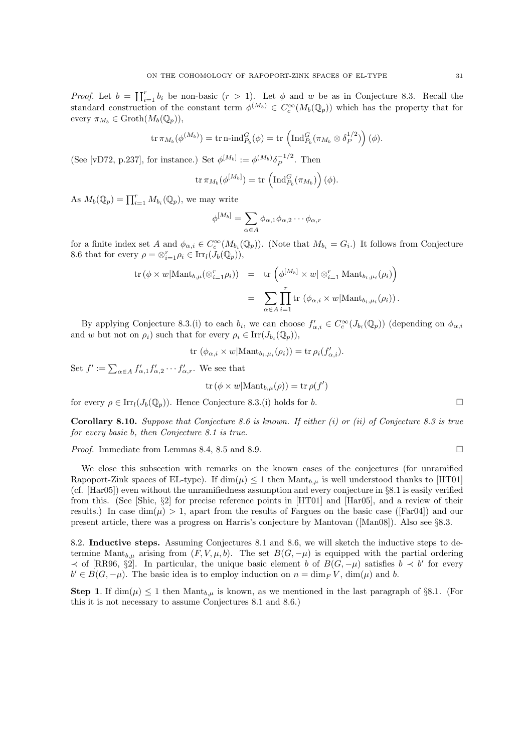*Proof.* Let  $b = \prod_{i=1}^r b_i$  be non-basic  $(r > 1)$ . Let  $\phi$  and w be as in Conjecture 8.3. Recall the standard construction of the constant term  $\phi^{(M_b)} \in C_c^{\infty}(M_b(\mathbb{Q}_p))$  which has the property that for every  $\pi_{M_b} \in \text{Groth}(M_b(\mathbb{Q}_p)),$ 

$$
\operatorname{tr} \pi_{M_b}(\phi^{(M_b)}) = \operatorname{tr} \operatorname{n-ind}_{P_b}^G(\phi) = \operatorname{tr} \left( \operatorname{Ind}_{P_b}^G(\pi_{M_b} \otimes \delta_P^{1/2}) \right)(\phi).
$$

(See [vD72, p.237], for instance.) Set  $\phi^{[M_b]} := \phi^{(M_b)} \delta_P^{-1/2}$  $P^{-1/2}$ . Then

$$
\operatorname{tr} \pi_{M_b}(\phi^{[M_b]}) = \operatorname{tr} \left( \operatorname{Ind}_{P_b}^G(\pi_{M_b}) \right)(\phi).
$$

As  $M_b(\mathbb{Q}_p) = \prod_{i=1}^r M_{b_i}(\mathbb{Q}_p)$ , we may write

$$
\phi^{[M_b]} = \sum_{\alpha \in A} \phi_{\alpha,1} \phi_{\alpha,2} \cdots \phi_{\alpha,r}
$$

for a finite index set A and  $\phi_{\alpha,i} \in C_c^{\infty}(M_{b_i}(\mathbb{Q}_p))$ . (Note that  $M_{b_i} = G_i$ .) It follows from Conjecture 8.6 that for every  $\rho = \otimes_{i=1}^r \rho_i \in \text{Irr}_l(\tilde{J}_b(\mathbb{Q}_p)),$ 

$$
\text{tr}\left(\phi \times w | \text{Mant}_{b,\mu}(\otimes_{i=1}^r \rho_i)\right) = \text{tr}\left(\phi^{[M_b]} \times w | \otimes_{i=1}^r \text{Mant}_{b_i,\mu_i}(\rho_i)\right)
$$

$$
= \sum_{\alpha \in A} \prod_{i=1}^r \text{tr}\left(\phi_{\alpha,i} \times w | \text{Mant}_{b_i,\mu_i}(\rho_i)\right).
$$

By applying Conjecture 8.3.(i) to each  $b_i$ , we can choose  $f'_{\alpha,i} \in C_c^{\infty}(J_{b_i}(\mathbb{Q}_p))$  (depending on  $\phi_{\alpha,i}$ and w but not on  $\rho_i$ ) such that for every  $\rho_i \in \text{Irr}(J_{b_i}(\mathbb{Q}_p)),$ 

$$
\text{tr}\,\left(\phi_{\alpha,i}\times w | \text{Mant}_{b_i,\mu_i}(\rho_i)\right) = \text{tr}\,\rho_i(f'_{\alpha,i}).
$$

Set  $f' := \sum_{\alpha \in A} f'_{\alpha,1} f'_{\alpha,2} \cdots f'_{\alpha,r}$ . We see that

$$
\operatorname{tr}(\phi \times w | \mathrm{Mant}_{b,\mu}(\rho)) = \operatorname{tr} \rho(f')
$$

for every  $\rho \in \text{Irr}_l(J_b(\mathbb{Q}_p))$ . Hence Conjecture 8.3.(i) holds for b.

**Corollary 8.10.** Suppose that Conjecture 8.6 is known. If either  $(i)$  or  $(ii)$  of Conjecture 8.3 is true for every basic b, then Conjecture 8.1 is true.

*Proof.* Immediate from Lemmas 8.4, 8.5 and 8.9.

We close this subsection with remarks on the known cases of the conjectures (for unramified Rapoport-Zink spaces of EL-type). If  $\dim(\mu) \leq 1$  then  $\text{Mant}_{b,\mu}$  is well understood thanks to [HT01] (cf. [Har05]) even without the unramifiedness assumption and every conjecture in §8.1 is easily verified from this. (See [Shic, §2] for precise reference points in [HT01] and [Har05], and a review of their results.) In case  $\dim(\mu) > 1$ , apart from the results of Fargues on the basic case ([Far04]) and our present article, there was a progress on Harris's conjecture by Mantovan ([Man08]). Also see §8.3.

8.2. Inductive steps. Assuming Conjectures 8.1 and 8.6, we will sketch the inductive steps to determine Mant<sub>b,µ</sub> arising from  $(F, V, \mu, b)$ . The set  $B(G, -\mu)$  is equipped with the partial ordering  $\prec$  of [RR96, §2]. In particular, the unique basic element b of  $B(G, -\mu)$  satisfies  $b \prec b'$  for every  $b' \in B(G, -\mu)$ . The basic idea is to employ induction on  $n = \dim_F V$ ,  $\dim(\mu)$  and b.

**Step 1.** If dim( $\mu$ )  $\leq$  1 then Mant<sub>b,  $\mu$ </sub> is known, as we mentioned in the last paragraph of §8.1. (For this it is not necessary to assume Conjectures 8.1 and 8.6.)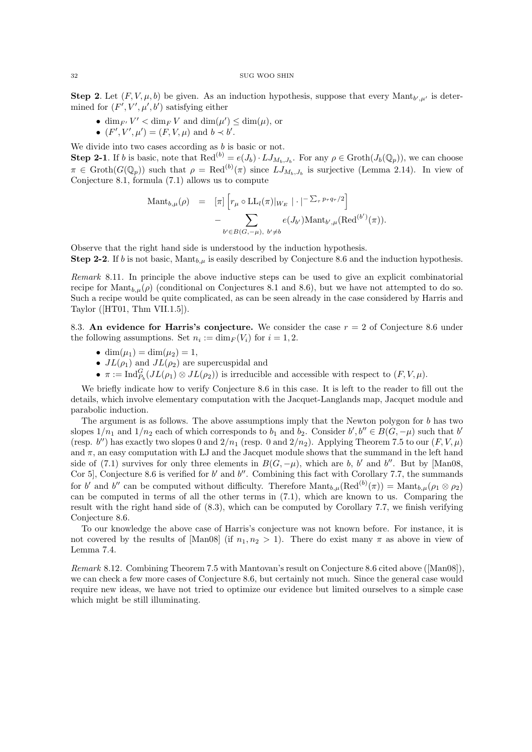**Step 2.** Let  $(F, V, \mu, b)$  be given. As an induction hypothesis, suppose that every Mant<sub>b', $\mu$ ' is deter-</sub> mined for  $(F', V', \mu', b')$  satisfying either

- dim<sub>F'</sub>  $V' <$  dim<sub>F</sub> V and dim $(\mu') \leq$  dim $(\mu)$ , or
- $(F', V', \mu') = (F, V, \mu)$  and  $b \prec b'$ .

We divide into two cases according as  $b$  is basic or not.

**Step 2-1**. If b is basic, note that  $\text{Red}^{(b)} = e(J_b) \cdot LJ_{M_b,J_b}$ . For any  $\rho \in \text{Groth}(J_b(\mathbb{Q}_p))$ , we can choose  $\pi \in \text{Groth}(G(\mathbb{Q}_p))$  such that  $\rho = \text{Red}^{(b)}(\pi)$  since  $LJ_{M_b,J_b}$  is surjective (Lemma 2.14). In view of Conjecture 8.1, formula (7.1) allows us to compute

$$
\begin{array}{rcl}\n\mathrm{Mant}_{b,\mu}(\rho) & = & [\pi] \left[ r_{\mu} \circ \mathrm{LL}_{l}(\pi) |_{W_E} \, | \cdot |^{-\sum_{\tau} p_{\tau} q_{\tau}/2} \right] \\
& & - \sum_{b' \in B(G, -\mu), \ b' \neq b} e(J_{b'}) \mathrm{Mant}_{b',\mu}(\mathrm{Red}^{(b')}(\pi)).\n\end{array}
$$

Observe that the right hand side is understood by the induction hypothesis. **Step 2-2.** If b is not basic, Mant<sub>b,µ</sub> is easily described by Conjecture 8.6 and the induction hypothesis.

Remark 8.11. In principle the above inductive steps can be used to give an explicit combinatorial recipe for  $\text{Mant}_{b,\mu}(\rho)$  (conditional on Conjectures 8.1 and 8.6), but we have not attempted to do so. Such a recipe would be quite complicated, as can be seen already in the case considered by Harris and Taylor ([HT01, Thm VII.1.5]).

8.3. An evidence for Harris's conjecture. We consider the case  $r = 2$  of Conjecture 8.6 under the following assumptions. Set  $n_i := \dim_F(V_i)$  for  $i = 1, 2$ .

- dim $(\mu_1) = \dim(\mu_2) = 1$ ,
- $JL(\rho_1)$  and  $JL(\rho_2)$  are supercuspidal and
- $\pi := \text{Ind}_{P_b}^G(JL(\rho_1) \otimes JL(\rho_2))$  is irreducible and accessible with respect to  $(F, V, \mu)$ .

We briefly indicate how to verify Conjecture 8.6 in this case. It is left to the reader to fill out the details, which involve elementary computation with the Jacquet-Langlands map, Jacquet module and parabolic induction.

The argument is as follows. The above assumptions imply that the Newton polygon for b has two slopes  $1/n_1$  and  $1/n_2$  each of which corresponds to  $b_1$  and  $b_2$ . Consider  $b', b'' \in B(G, -\mu)$  such that  $b'$ (resp.  $b''$ ) has exactly two slopes 0 and  $2/n_1$  (resp. 0 and  $2/n_2$ ). Applying Theorem 7.5 to our  $(F, V, \mu)$ and  $\pi$ , an easy computation with LJ and the Jacquet module shows that the summand in the left hand side of (7.1) survives for only three elements in  $B(G, -\mu)$ , which are b, b' and b''. But by [Man08, Cor 5, Conjecture 8.6 is verified for  $b'$  and  $b''$ . Combining this fact with Corollary 7.7, the summands for b' and b'' can be computed without difficulty. Therefore  $\mathrm{Mant}_{b,\mu}(\mathrm{Red}^{(b)}(\pi)) = \mathrm{Mant}_{b,\mu}(\rho_1 \otimes \rho_2)$ can be computed in terms of all the other terms in (7.1), which are known to us. Comparing the result with the right hand side of (8.3), which can be computed by Corollary 7.7, we finish verifying Conjecture 8.6.

To our knowledge the above case of Harris's conjecture was not known before. For instance, it is not covered by the results of [Man08] (if  $n_1, n_2 > 1$ ). There do exist many  $\pi$  as above in view of Lemma 7.4.

Remark 8.12. Combining Theorem 7.5 with Mantovan's result on Conjecture 8.6 cited above ([Man08]), we can check a few more cases of Conjecture 8.6, but certainly not much. Since the general case would require new ideas, we have not tried to optimize our evidence but limited ourselves to a simple case which might be still illuminating.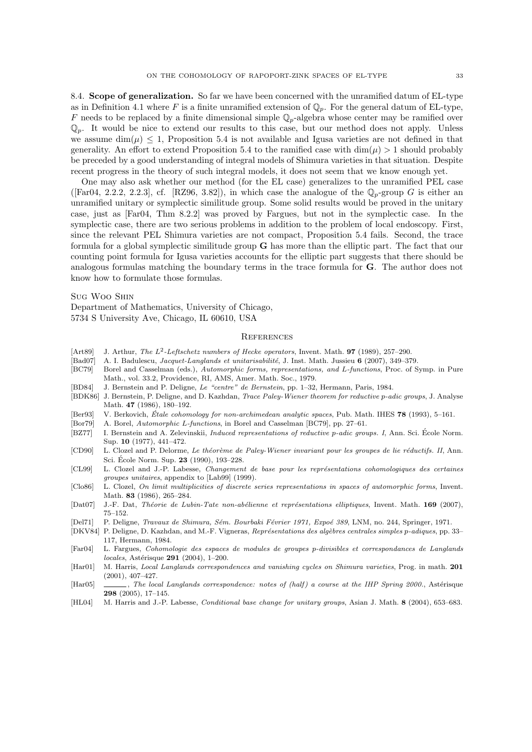8.4. Scope of generalization. So far we have been concerned with the unramified datum of EL-type as in Definition 4.1 where F is a finite unramified extension of  $\mathbb{Q}_p$ . For the general datum of EL-type, F needs to be replaced by a finite dimensional simple  $\mathbb{Q}_p$ -algebra whose center may be ramified over  $\mathbb{Q}_p$ . It would be nice to extend our results to this case, but our method does not apply. Unless we assume  $\dim(\mu) \leq 1$ , Proposition 5.4 is not available and Igusa varieties are not defined in that generality. An effort to extend Proposition 5.4 to the ramified case with  $\dim(\mu) > 1$  should probably be preceded by a good understanding of integral models of Shimura varieties in that situation. Despite

One may also ask whether our method (for the EL case) generalizes to the unramified PEL case ([Far04, 2.2.2, 2.2.3], cf. [RZ96, 3.82]), in which case the analogue of the  $\mathbb{Q}_p$ -group G is either an unramified unitary or symplectic similitude group. Some solid results would be proved in the unitary case, just as [Far04, Thm 8.2.2] was proved by Fargues, but not in the symplectic case. In the symplectic case, there are two serious problems in addition to the problem of local endoscopy. First, since the relevant PEL Shimura varieties are not compact, Proposition 5.4 fails. Second, the trace formula for a global symplectic similitude group G has more than the elliptic part. The fact that our counting point formula for Igusa varieties accounts for the elliptic part suggests that there should be analogous formulas matching the boundary terms in the trace formula for G. The author does not know how to formulate those formulas.

recent progress in the theory of such integral models, it does not seem that we know enough yet.

Sug Woo Shin

Department of Mathematics, University of Chicago, 5734 S University Ave, Chicago, IL 60610, USA

### **REFERENCES**

- [Art89] J. Arthur, The  $L^2$ -Leftschetz numbers of Hecke operators, Invent. Math. **97** (1989), 257–290.
- [Bad07] A. I. Badulescu, *Jacquet-Langlands et unitarisabilité*, J. Inst. Math. Jussieu 6 (2007), 349–379.
- [BC79] Borel and Casselman (eds.), Automorphic forms, representations, and L-functions, Proc. of Symp. in Pure Math., vol. 33.2, Providence, RI, AMS, Amer. Math. Soc., 1979.
- [BD84] J. Bernstein and P. Deligne, Le "centre" de Bernstein, pp. 1–32, Hermann, Paris, 1984.
- [BDK86] J. Bernstein, P. Deligne, and D. Kazhdan, Trace Paley-Wiener theorem for reductive p-adic groups, J. Analyse Math. 47 (1986), 180–192.
- [Ber93] V. Berkovich, Étale cohomology for non-archimedean analytic spaces, Pub. Math. IHES 78 (1993), 5–161.
- [Bor79] A. Borel, Automorphic L-functions, in Borel and Casselman [BC79], pp. 27–61.
- [BZ77] I. Bernstein and A. Zelevinskii, *Induced representations of reductive p-adic groups. I*, Ann. Sci. École Norm. Sup. 10 (1977), 441–472.
- [CD90] L. Clozel and P. Delorme, Le théorème de Paley-Wiener invariant pour les groupes de lie réductifs. II, Ann. Sci. École Norm. Sup. 23 (1990), 193–228.
- [CL99] L. Clozel and J.-P. Labesse, Changement de base pour les représentations cohomologiques des certaines groupes unitaires, appendix to [Lab99] (1999).
- [Clo86] L. Clozel, On limit multiplicities of discrete series representations in spaces of automorphic forms, Invent. Math. 83 (1986), 265–284.
- [Dat07] J.-F. Dat, Théorie de Lubin-Tate non-abélienne et représentations elliptiques, Invent. Math. 169 (2007), 75–152.
- [Del71] P. Deligne, Travaux de Shimura, Sém. Bourbaki Février 1971, Expoé 389, LNM, no. 244, Springer, 1971.
- [DKV84] P. Deligne, D. Kazhdan, and M.-F. Vigneras, Représentations des algèbres centrales simples p-adiques, pp. 33– 117, Hermann, 1984.
- [Far04] L. Fargues, Cohomologie des espaces de modules de groupes p-divisibles et correspondances de Langlands  $locales, Astérisque 291 (2004), 1–200.$
- [Har01] M. Harris, Local Langlands correspondences and vanishing cycles on Shimura varieties, Prog. in math. 201 (2001), 407–427.
- [Har05] , The local Langlands correspondence: notes of (half) a course at the IHP Spring 2000., Astérisque 298 (2005), 17–145.
- [HL04] M. Harris and J.-P. Labesse, *Conditional base change for unitary groups*, Asian J. Math. 8 (2004), 653–683.